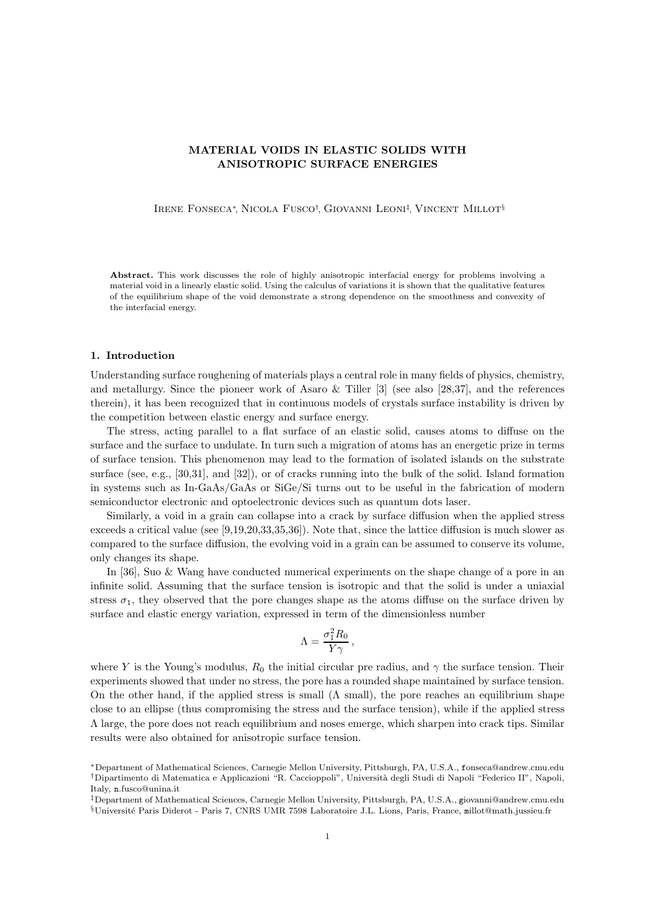# MATERIAL VOIDS IN ELASTIC SOLIDS WITH ANISOTROPIC SURFACE ENERGIES

Irene Fonseca<sup>∗</sup>, Nicola Fusco† , Giovanni Leoni‡ , Vincent Millot§

Abstract. This work discusses the role of highly anisotropic interfacial energy for problems involving a material void in a linearly elastic solid. Using the calculus of variations it is shown that the qualitative features of the equilibrium shape of the void demonstrate a strong dependence on the smoothness and convexity of the interfacial energy.

#### 1. Introduction

Understanding surface roughening of materials plays a central role in many fields of physics, chemistry, and metallurgy. Since the pioneer work of Asaro & Tiller [3] (see also [28,37], and the references therein), it has been recognized that in continuous models of crystals surface instability is driven by the competition between elastic energy and surface energy.

The stress, acting parallel to a flat surface of an elastic solid, causes atoms to diffuse on the surface and the surface to undulate. In turn such a migration of atoms has an energetic prize in terms of surface tension. This phenomenon may lead to the formation of isolated islands on the substrate surface (see, e.g., [30,31], and [32]), or of cracks running into the bulk of the solid. Island formation in systems such as In-GaAs/GaAs or SiGe/Si turns out to be useful in the fabrication of modern semiconductor electronic and optoelectronic devices such as quantum dots laser.

Similarly, a void in a grain can collapse into a crack by surface diffusion when the applied stress exceeds a critical value (see [9,19,20,33,35,36]). Note that, since the lattice diffusion is much slower as compared to the surface diffusion, the evolving void in a grain can be assumed to conserve its volume, only changes its shape.

In [36], Suo & Wang have conducted numerical experiments on the shape change of a pore in an infinite solid. Assuming that the surface tension is isotropic and that the solid is under a uniaxial stress  $\sigma_1$ , they observed that the pore changes shape as the atoms diffuse on the surface driven by surface and elastic energy variation, expressed in term of the dimensionless number

$$
\Lambda = \frac{\sigma_1^2 R_0}{Y\gamma} \,,
$$

where Y is the Young's modulus,  $R_0$  the initial circular pre radius, and  $\gamma$  the surface tension. Their experiments showed that under no stress, the pore has a rounded shape maintained by surface tension. On the other hand, if the applied stress is small  $(\Lambda \text{ small})$ , the pore reaches an equilibrium shape close to an ellipse (thus compromising the stress and the surface tension), while if the applied stress  $\Lambda$  large, the pore does not reach equilibrium and noses emerge, which sharpen into crack tips. Similar results were also obtained for anisotropic surface tension.

<sup>∗</sup>Department of Mathematical Sciences, Carnegie Mellon University, Pittsburgh, PA, U.S.A., fonseca@andrew.cmu.edu †Dipartimento di Matematica e Applicazioni "R. Caccioppoli", Universit`a degli Studi di Napoli "Federico II", Napoli, Italy, n.fusco@unina.it

<sup>‡</sup>Department of Mathematical Sciences, Carnegie Mellon University, Pittsburgh, PA, U.S.A., giovanni@andrew.cmu.edu §Universit´e Paris Diderot - Paris 7, CNRS UMR 7598 Laboratoire J.L. Lions, Paris, France, millot@math.jussieu.fr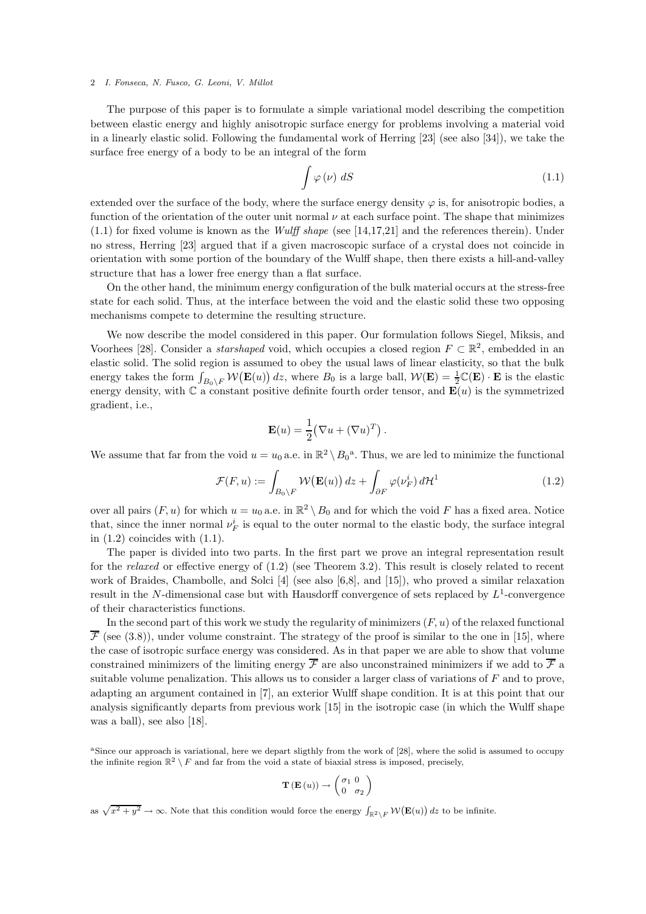The purpose of this paper is to formulate a simple variational model describing the competition between elastic energy and highly anisotropic surface energy for problems involving a material void in a linearly elastic solid. Following the fundamental work of Herring [23] (see also [34]), we take the surface free energy of a body to be an integral of the form

$$
\int \varphi(\nu) \, dS \tag{1.1}
$$

extended over the surface of the body, where the surface energy density  $\varphi$  is, for anisotropic bodies, a function of the orientation of the outer unit normal  $\nu$  at each surface point. The shape that minimizes (1.1) for fixed volume is known as the *Wulff shape* (see [14,17,21] and the references therein). Under no stress, Herring [23] argued that if a given macroscopic surface of a crystal does not coincide in orientation with some portion of the boundary of the Wulff shape, then there exists a hill-and-valley structure that has a lower free energy than a flat surface.

On the other hand, the minimum energy configuration of the bulk material occurs at the stress-free state for each solid. Thus, at the interface between the void and the elastic solid these two opposing mechanisms compete to determine the resulting structure.

We now describe the model considered in this paper. Our formulation follows Siegel, Miksis, and Voorhees [28]. Consider a *starshaped* void, which occupies a closed region  $F \subset \mathbb{R}^2$ , embedded in an elastic solid. The solid region is assumed to obey the usual laws of linear elasticity, so that the bulk energy takes the form  $\int_{B_0\backslash F} \mathcal{W}(\mathbf{E}(u)) dz$ , where  $B_0$  is a large ball,  $\mathcal{W}(\mathbf{E}) = \frac{1}{2} \mathbb{C}(\mathbf{E}) \cdot \mathbf{E}$  is the elastic energy density, with  $\mathbb C$  a constant positive definite fourth order tensor, and  $\mathbf E(u)$  is the symmetrized gradient, i.e.,

$$
\mathbf{E}(u) = \frac{1}{2} (\nabla u + (\nabla u)^T).
$$

We assume that far from the void  $u = u_0$  a.e. in  $\mathbb{R}^2 \setminus B_0^{\mathfrak{a}}$ . Thus, we are led to minimize the functional

$$
\mathcal{F}(F, u) := \int_{B_0 \setminus F} \mathcal{W}(\mathbf{E}(u)) \, dz + \int_{\partial F} \varphi(\nu_F^i) \, d\mathcal{H}^1 \tag{1.2}
$$

over all pairs  $(F, u)$  for which  $u = u_0$  a.e. in  $\mathbb{R}^2 \setminus B_0$  and for which the void F has a fixed area. Notice that, since the inner normal  $\nu_F^i$  is equal to the outer normal to the elastic body, the surface integral in  $(1.2)$  coincides with  $(1.1)$ .

The paper is divided into two parts. In the first part we prove an integral representation result for the *relaxed* or effective energy of (1.2) (see Theorem 3.2). This result is closely related to recent work of Braides, Chambolle, and Solci [4] (see also [6,8], and [15]), who proved a similar relaxation result in the N-dimensional case but with Hausdorff convergence of sets replaced by  $L^1$ -convergence of their characteristics functions.

In the second part of this work we study the regularity of minimizers  $(F, u)$  of the relaxed functional  $\overline{\mathcal{F}}$  (see (3.8)), under volume constraint. The strategy of the proof is similar to the one in [15], where the case of isotropic surface energy was considered. As in that paper we are able to show that volume constrained minimizers of the limiting energy  $\overline{\mathcal{F}}$  are also unconstrained minimizers if we add to  $\overline{\mathcal{F}}$  a suitable volume penalization. This allows us to consider a larger class of variations of F and to prove, adapting an argument contained in [7], an exterior Wulff shape condition. It is at this point that our analysis significantly departs from previous work [15] in the isotropic case (in which the Wulff shape was a ball), see also [18].

<sup>a</sup>Since our approach is variational, here we depart sligthly from the work of [28], where the solid is assumed to occupy the infinite region  $\mathbb{R}^2 \setminus F$  and far from the void a state of biaxial stress is imposed, precisely,

$$
\mathbf{T}(\mathbf{E}(u)) \rightarrow \begin{pmatrix} \sigma_1 & 0 \\ 0 & \sigma_2 \end{pmatrix}
$$

as  $\sqrt{x^2 + y^2} \to \infty$ . Note that this condition would force the energy  $\int_{\mathbb{R}^2 \setminus F} \mathcal{W}(\mathbf{E}(u)) dz$  to be infinite.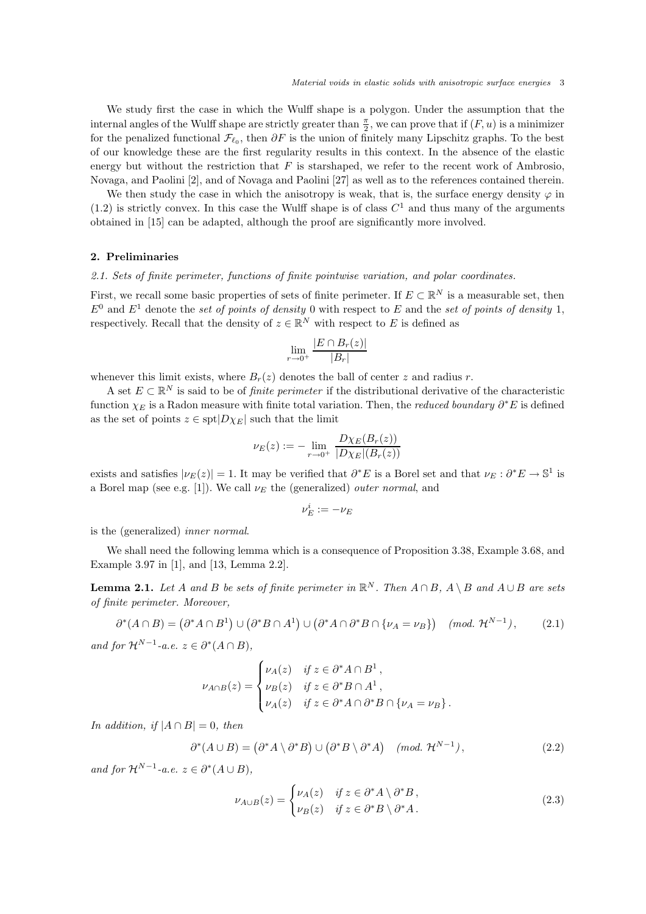We study first the case in which the Wulff shape is a polygon. Under the assumption that the internal angles of the Wulff shape are strictly greater than  $\frac{\pi}{2}$ , we can prove that if  $(F, u)$  is a minimizer for the penalized functional  $\mathcal{F}_{\ell_0}$ , then  $\partial F$  is the union of finitely many Lipschitz graphs. To the best of our knowledge these are the first regularity results in this context. In the absence of the elastic energy but without the restriction that  $F$  is starshaped, we refer to the recent work of Ambrosio, Novaga, and Paolini [2], and of Novaga and Paolini [27] as well as to the references contained therein.

We then study the case in which the anisotropy is weak, that is, the surface energy density  $\varphi$  in  $(1.2)$  is strictly convex. In this case the Wulff shape is of class  $C<sup>1</sup>$  and thus many of the arguments obtained in [15] can be adapted, although the proof are significantly more involved.

# 2. Preliminaries

#### *2.1. Sets of finite perimeter, functions of finite pointwise variation, and polar coordinates.*

First, we recall some basic properties of sets of finite perimeter. If  $E \subset \mathbb{R}^N$  is a measurable set, then  $E^0$  and  $E^1$  denote the *set of points of density* 0 with respect to E and the *set of points of density* 1, respectively. Recall that the density of  $z \in \mathbb{R}^N$  with respect to E is defined as

$$
\lim_{r \to 0^+} \frac{|E \cap B_r(z)|}{|B_r|}
$$

whenever this limit exists, where  $B_r(z)$  denotes the ball of center z and radius r.

A set  $E \subset \mathbb{R}^N$  is said to be of *finite perimeter* if the distributional derivative of the characteristic function  $\chi_E$  is a Radon measure with finite total variation. Then, the *reduced boundary*  $\partial^* E$  is defined as the set of points  $z \in \text{spt}|D\chi_E|$  such that the limit

$$
\nu_E(z) := - \lim_{r \to 0^+} \frac{D\chi_E(B_r(z))}{|D\chi_E|(B_r(z))}
$$

exists and satisfies  $|\nu_E(z)| = 1$ . It may be verified that  $\partial^* E$  is a Borel set and that  $\nu_E : \partial^* E \to \mathbb{S}^1$  is a Borel map (see e.g. [1]). We call  $\nu_E$  the (generalized) *outer normal*, and

$$
\nu_E^i := -\nu_E
$$

is the (generalized) *inner normal*.

We shall need the following lemma which is a consequence of Proposition 3.38, Example 3.68, and Example 3.97 in [1], and [13, Lemma 2.2].

**Lemma 2.1.** *Let* A and B *be sets of finite perimeter in*  $\mathbb{R}^N$ *. Then*  $A \cap B$ *,*  $A \setminus B$  *and*  $A \cup B$  *are sets of finite perimeter. Moreover,*

$$
\partial^*(A \cap B) = (\partial^* A \cap B^1) \cup (\partial^* B \cap A^1) \cup (\partial^* A \cap \partial^* B \cap \{\nu_A = \nu_B\}) \quad (mod. \ \mathcal{H}^{N-1}), \tag{2.1}
$$

*and for*  $\mathcal{H}^{N-1}$ -*a.e.*  $z \in \partial^*(A \cap B)$ ,

$$
\nu_{A\cap B}(z) = \begin{cases} \nu_A(z) & \text{if } z \in \partial^* A \cap B^1, \\ \nu_B(z) & \text{if } z \in \partial^* B \cap A^1, \\ \nu_A(z) & \text{if } z \in \partial^* A \cap \partial^* B \cap \{\nu_A = \nu_B\}. \end{cases}
$$

*In addition, if*  $|A \cap B| = 0$ *, then* 

$$
\partial^*(A \cup B) = (\partial^* A \setminus \partial^* B) \cup (\partial^* B \setminus \partial^* A) \quad (mod. \ \mathcal{H}^{N-1}), \tag{2.2}
$$

*and for*  $\mathcal{H}^{N-1}$ -*a.e.*  $z \in \partial^*(A \cup B)$ ,

$$
\nu_{A\cup B}(z) = \begin{cases} \nu_A(z) & \text{if } z \in \partial^* A \setminus \partial^* B, \\ \nu_B(z) & \text{if } z \in \partial^* B \setminus \partial^* A. \end{cases} \tag{2.3}
$$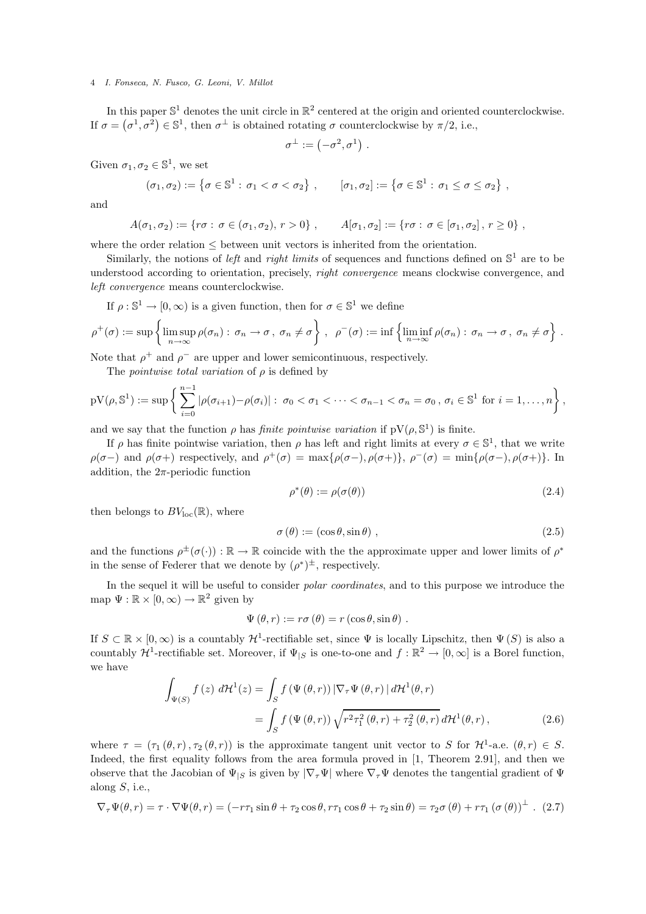In this paper  $\mathbb{S}^1$  denotes the unit circle in  $\mathbb{R}^2$  centered at the origin and oriented counterclockwise. If  $\sigma = (\sigma^1, \sigma^2) \in \mathbb{S}^1$ , then  $\sigma^{\perp}$  is obtained rotating  $\sigma$  counterclockwise by  $\pi/2$ , i.e.,

$$
\sigma^\perp:=\left(-\sigma^2,\sigma^1\right)
$$

.

Given  $\sigma_1, \sigma_2 \in \mathbb{S}^1$ , we set

$$
(\sigma_1, \sigma_2) := \{ \sigma \in \mathbb{S}^1 : \sigma_1 < \sigma < \sigma_2 \}, \qquad [\sigma_1, \sigma_2] := \{ \sigma \in \mathbb{S}^1 : \sigma_1 \leq \sigma \leq \sigma_2 \},
$$

and

$$
A(\sigma_1, \sigma_2) := \{ r\sigma : \sigma \in (\sigma_1, \sigma_2), r > 0 \}, \qquad A[\sigma_1, \sigma_2] := \{ r\sigma : \sigma \in [\sigma_1, \sigma_2], r \ge 0 \},
$$

where the order relation  $\leq$  between unit vectors is inherited from the orientation.

Similarly, the notions of *left* and *right limits* of sequences and functions defined on  $\mathbb{S}^1$  are to be understood according to orientation, precisely, *right convergence* means clockwise convergence, and *left convergence* means counterclockwise.

If  $\rho : \mathbb{S}^1 \to [0, \infty)$  is a given function, then for  $\sigma \in \mathbb{S}^1$  we define

$$
\rho^+(\sigma) := \sup \left\{ \limsup_{n \to \infty} \rho(\sigma_n) : \sigma_n \to \sigma, \ \sigma_n \neq \sigma \right\}, \ \ \rho^-(\sigma) := \inf \left\{ \liminf_{n \to \infty} \rho(\sigma_n) : \sigma_n \to \sigma, \ \sigma_n \neq \sigma \right\}.
$$

Note that  $\rho^+$  and  $\rho^-$  are upper and lower semicontinuous, respectively.

The *pointwise total variation* of ρ is defined by

$$
pV(\rho, \mathbb{S}^1) := \sup \left\{ \sum_{i=0}^{n-1} |\rho(\sigma_{i+1}) - \rho(\sigma_i)| : \sigma_0 < \sigma_1 < \cdots < \sigma_{n-1} < \sigma_n = \sigma_0, \ \sigma_i \in \mathbb{S}^1 \ \text{for} \ i = 1, \ldots, n \right\},\
$$

and we say that the function  $\rho$  has *finite pointwise variation* if  $pV(\rho, \mathbb{S}^1)$  is finite.

If  $\rho$  has finite pointwise variation, then  $\rho$  has left and right limits at every  $\sigma \in \mathbb{S}^1$ , that we write  $\rho(\sigma-)$  and  $\rho(\sigma+)$  respectively, and  $\rho^+(\sigma) = \max{\{\rho(\sigma-), \rho(\sigma+)\}, \rho^-(\sigma) = \min{\{\rho(\sigma-), \rho(\sigma+)\}}.$  In addition, the  $2\pi$ -periodic function

$$
\rho^*(\theta) := \rho(\sigma(\theta)) \tag{2.4}
$$

then belongs to  $BV_{loc}(\mathbb{R})$ , where

$$
\sigma(\theta) := (\cos \theta, \sin \theta) \tag{2.5}
$$

and the functions  $\rho^{\pm}(\sigma(\cdot)) : \mathbb{R} \to \mathbb{R}$  coincide with the the approximate upper and lower limits of  $\rho^*$ in the sense of Federer that we denote by  $(\rho^*)^{\pm}$ , respectively.

In the sequel it will be useful to consider *polar coordinates*, and to this purpose we introduce the map  $\Psi : \mathbb{R} \times [0, \infty) \to \mathbb{R}^2$  given by

$$
\Psi(\theta, r) := r\sigma(\theta) = r(\cos\theta, \sin\theta) .
$$

If  $S \subset \mathbb{R} \times [0, \infty)$  is a countably  $\mathcal{H}^1$ -rectifiable set, since  $\Psi$  is locally Lipschitz, then  $\Psi(S)$  is also a countably  $\mathcal{H}^1$ -rectifiable set. Moreover, if  $\Psi_{|S}$  is one-to-one and  $f : \mathbb{R}^2 \to [0, \infty]$  is a Borel function, we have

$$
\int_{\Psi(S)} f(z) d\mathcal{H}^{1}(z) = \int_{S} f(\Psi(\theta, r)) \left| \nabla_{\tau} \Psi(\theta, r) \right| d\mathcal{H}^{1}(\theta, r)
$$
\n
$$
= \int_{S} f(\Psi(\theta, r)) \sqrt{r^{2} \tau_{1}^{2}(\theta, r) + \tau_{2}^{2}(\theta, r)} d\mathcal{H}^{1}(\theta, r), \qquad (2.6)
$$

where  $\tau = (\tau_1(\theta, r), \tau_2(\theta, r))$  is the approximate tangent unit vector to S for  $\mathcal{H}^1$ -a.e.  $(\theta, r) \in S$ . Indeed, the first equality follows from the area formula proved in [1, Theorem 2.91], and then we observe that the Jacobian of  $\Psi_{|S}$  is given by  $|\nabla_{\tau}\Psi|$  where  $\nabla_{\tau}\Psi$  denotes the tangential gradient of  $\Psi$ along  $S$ , i.e.,

$$
\nabla_{\tau} \Psi(\theta, r) = \tau \cdot \nabla \Psi(\theta, r) = (-r\tau_1 \sin \theta + \tau_2 \cos \theta, r\tau_1 \cos \theta + \tau_2 \sin \theta) = \tau_2 \sigma(\theta) + r\tau_1 (\sigma(\theta))^\perp. (2.7)
$$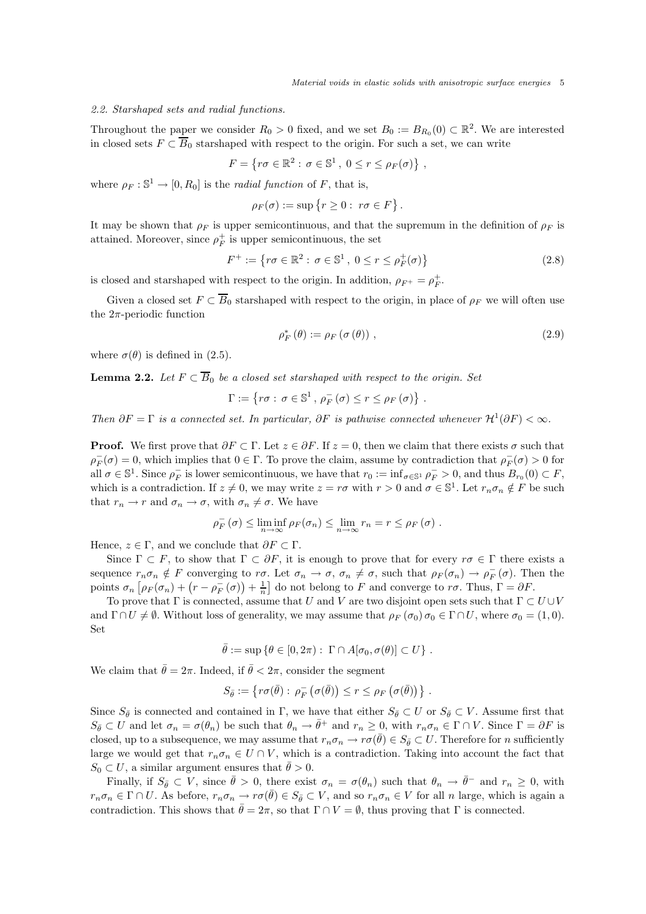# *2.2. Starshaped sets and radial functions.*

Throughout the paper we consider  $R_0 > 0$  fixed, and we set  $B_0 := B_{R_0}(0) \subset \mathbb{R}^2$ . We are interested in closed sets  $F \subset \overline{B}_0$  starshaped with respect to the origin. For such a set, we can write

$$
F = \{ r\sigma \in \mathbb{R}^2 : \sigma \in \mathbb{S}^1, 0 \le r \le \rho_F(\sigma) \},
$$

where  $\rho_F : \mathbb{S}^1 \to [0, R_0]$  is the *radial function* of F, that is,

$$
\rho_F(\sigma) := \sup \{ r \ge 0 : \ r\sigma \in F \}
$$

It may be shown that  $\rho_F$  is upper semicontinuous, and that the supremum in the definition of  $\rho_F$  is attained. Moreover, since  $\rho_F^+$  is upper semicontinuous, the set

$$
F^{+} := \left\{ r\sigma \in \mathbb{R}^{2} : \sigma \in \mathbb{S}^{1}, 0 \le r \le \rho_{F}^{+}(\sigma) \right\}
$$
 (2.8)

.

is closed and starshaped with respect to the origin. In addition,  $\rho_{F^+} = \rho_F^+$ .

Given a closed set  $F \subset \overline{B}_0$  starshaped with respect to the origin, in place of  $\rho_F$  we will often use the  $2\pi$ -periodic function

$$
\rho_F^* \left( \theta \right) := \rho_F \left( \sigma \left( \theta \right) \right) , \tag{2.9}
$$

where  $\sigma(\theta)$  is defined in (2.5).

**Lemma 2.2.** *Let*  $F \subset \overline{B_0}$  *be a closed set starshaped with respect to the origin. Set* 

$$
\Gamma := \{ r\sigma : \, \sigma \in \mathbb{S}^1 \, , \, \rho_F^-(\sigma) \le r \le \rho_F(\sigma) \} \, .
$$

*Then*  $\partial F = \Gamma$  *is a connected set. In particular,*  $\partial F$  *is pathwise connected whenever*  $\mathcal{H}^1(\partial F) < \infty$ *.* 

**Proof.** We first prove that  $\partial F \subset \Gamma$ . Let  $z \in \partial F$ . If  $z = 0$ , then we claim that there exists  $\sigma$  such that  $\rho_F^-(\sigma) = 0$ , which implies that  $0 \in \Gamma$ . To prove the claim, assume by contradiction that  $\rho_F^-(\sigma) > 0$  for all  $\sigma \in \mathbb{S}^1$ . Since  $\rho_F^-$  is lower semicontinuous, we have that  $r_0 := \inf_{\sigma \in \mathbb{S}^1} \rho_F^- > 0$ , and thus  $B_{r_0}(0) \subset F$ , which is a contradiction. If  $z \neq 0$ , we may write  $z = r\sigma$  with  $r > 0$  and  $\sigma \in \mathbb{S}^1$ . Let  $r_n \sigma_n \notin F$  be such that  $r_n \to r$  and  $\sigma_n \to \sigma$ , with  $\sigma_n \neq \sigma$ . We have

$$
\rho_F^-(\sigma) \leq \liminf_{n \to \infty} \rho_F(\sigma_n) \leq \lim_{n \to \infty} r_n = r \leq \rho_F(\sigma) .
$$

Hence,  $z \in \Gamma$ , and we conclude that  $\partial F \subset \Gamma$ .

Since  $\Gamma \subset F$ , to show that  $\Gamma \subset \partial F$ , it is enough to prove that for every  $r\sigma \in \Gamma$  there exists a sequence  $r_n \sigma_n \notin F$  converging to  $r\sigma$ . Let  $\sigma_n \to \sigma$ ,  $\sigma_n \neq \sigma$ , such that  $\rho_F(\sigma_n) \to \rho_F^-(\sigma)$ . Then the points  $\sigma_n$   $\left[ \rho_F(\sigma_n) + \left( r - \rho_F^-(\sigma) \right) + \frac{1}{n} \right]$  do not belong to F and converge to  $r\sigma$ . Thus,  $\Gamma = \partial F$ .

To prove that  $\Gamma$  is connected, assume that U and V are two disjoint open sets such that  $\Gamma \subset U \cup V$ and  $\Gamma \cap U \neq \emptyset$ . Without loss of generality, we may assume that  $\rho_F(\sigma_0) \sigma_0 \in \Gamma \cap U$ , where  $\sigma_0 = (1, 0)$ . Set

$$
\bar{\theta} := \sup \{ \theta \in [0, 2\pi) : \Gamma \cap A[\sigma_0, \sigma(\theta)] \subset U \} .
$$

We claim that  $\bar{\theta} = 2\pi$ . Indeed, if  $\bar{\theta} < 2\pi$ , consider the segment

$$
S_{\bar{\theta}} := \{ r \sigma(\bar{\theta}) : \rho_F^-\left(\sigma(\bar{\theta})\right) \le r \le \rho_F\left(\sigma(\bar{\theta})\right) \} .
$$

Since  $S_{\bar{\theta}}$  is connected and contained in Γ, we have that either  $S_{\bar{\theta}} \subset U$  or  $S_{\bar{\theta}} \subset V$ . Assume first that  $S_{\bar{\theta}} \subset U$  and let  $\sigma_n = \sigma(\theta_n)$  be such that  $\theta_n \to \bar{\theta}^+$  and  $r_n \geq 0$ , with  $r_n \sigma_n \in \Gamma \cap V$ . Since  $\Gamma = \partial F$  is closed, up to a subsequence, we may assume that  $r_n \sigma_n \to r \sigma(\bar{\theta}) \in S_{\bar{\theta}} \subset U$ . Therefore for n sufficiently large we would get that  $r_n \sigma_n \in U \cap V$ , which is a contradiction. Taking into account the fact that  $S_0 \subset U$ , a similar argument ensures that  $\bar{\theta} > 0$ .

Finally, if  $S_{\bar{\theta}} \subset V$ , since  $\bar{\theta} > 0$ , there exist  $\sigma_n = \sigma(\theta_n)$  such that  $\theta_n \to \bar{\theta}^-$  and  $r_n \geq 0$ , with  $r_n\sigma_n \in \Gamma \cap U$ . As before,  $r_n\sigma_n \to r\sigma(\bar{\theta}) \in S_{\bar{\theta}} \subset V$ , and so  $r_n\sigma_n \in V$  for all n large, which is again a contradiction. This shows that  $\bar{\theta} = 2\pi$ , so that  $\Gamma \cap V = \emptyset$ , thus proving that  $\Gamma$  is connected.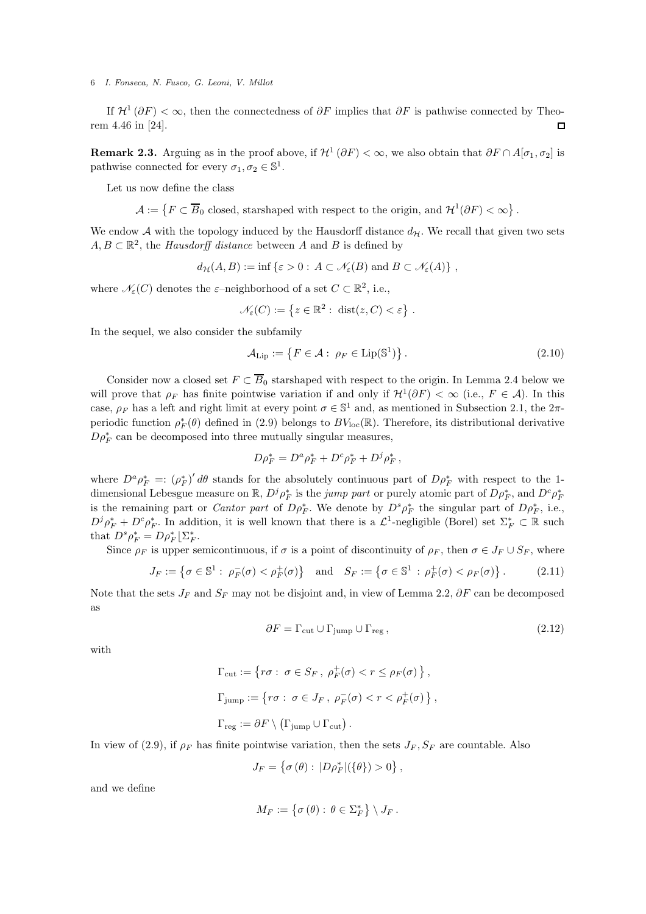If  $\mathcal{H}^1(\partial F) < \infty$ , then the connectedness of  $\partial F$  implies that  $\partial F$  is pathwise connected by Theorem 4.46 in [24].

**Remark 2.3.** Arguing as in the proof above, if  $\mathcal{H}^1(\partial F) < \infty$ , we also obtain that  $\partial F \cap A[\sigma_1, \sigma_2]$  is pathwise connected for every  $\sigma_1, \sigma_2 \in \mathbb{S}^1$ .

Let us now define the class

 $\mathcal{A} := \{ F \subset \overline{B}_0 \text{ closed, starshaped with respect to the origin, and } \mathcal{H}^1(\partial F) < \infty \}.$ 

We endow  $A$  with the topology induced by the Hausdorff distance  $d_{\mathcal{H}}$ . We recall that given two sets  $A, B \subset \mathbb{R}^2$ , the *Hausdorff distance* between A and B is defined by

$$
d_{\mathcal{H}}(A, B) := \inf \{ \varepsilon > 0 : A \subset \mathcal{N}_{\varepsilon}(B) \text{ and } B \subset \mathcal{N}_{\varepsilon}(A) \},
$$

where  $\mathcal{N}_{\varepsilon}(C)$  denotes the  $\varepsilon$ -neighborhood of a set  $C \subset \mathbb{R}^2$ , i.e.,

$$
\mathcal{N}_{\varepsilon}(C) := \left\{ z \in \mathbb{R}^2 : \; \mathrm{dist}(z, C) < \varepsilon \right\} \, .
$$

In the sequel, we also consider the subfamily

$$
\mathcal{A}_{\text{Lip}} := \left\{ F \in \mathcal{A} : \ \rho_F \in \text{Lip}(\mathbb{S}^1) \right\}. \tag{2.10}
$$

Consider now a closed set  $F \subset \overline{B}_0$  starshaped with respect to the origin. In Lemma 2.4 below we will prove that  $\rho_F$  has finite pointwise variation if and only if  $\mathcal{H}^1(\partial F) < \infty$  (i.e.,  $F \in \mathcal{A}$ ). In this case,  $\rho_F$  has a left and right limit at every point  $\sigma \in \mathbb{S}^1$  and, as mentioned in Subsection 2.1, the  $2\pi$ periodic function  $\rho_F^*(\theta)$  defined in (2.9) belongs to  $BV_{\text{loc}}(\mathbb{R})$ . Therefore, its distributional derivative  $D\rho_{F}^{*}$  can be decomposed into three mutually singular measures,

$$
D\rho_F^* = D^a \rho_F^* + D^c \rho_F^* + D^j \rho_F^*,
$$

where  $D^a \rho_F^* =: (\rho_F^*)' d\theta$  stands for the absolutely continuous part of  $D \rho_F^*$  with respect to the 1dimensional Lebesgue measure on  $\mathbb{R}$ ,  $D^j \rho_F^*$  is the *jump part* or purely atomic part of  $D \rho_F^*$ , and  $D^c \rho_F^*$ is the remaining part or *Cantor part* of  $D\rho_F^*$ . We denote by  $D^s \rho_F^*$  the singular part of  $D\rho_F^*$ , i.e.,  $D^j \rho_F^* + D^c \rho_F^*$ . In addition, it is well known that there is a  $\mathcal{L}^1$ -negligible (Borel) set  $\Sigma_F^* \subset \mathbb{R}$  such that  $D^s \rho_F^* = D \rho_F^* \lfloor \Sigma_F^*$ .

Since  $\rho_F$  is upper semicontinuous, if  $\sigma$  is a point of discontinuity of  $\rho_F$ , then  $\sigma \in J_F \cup S_F$ , where

$$
J_F := \left\{ \sigma \in \mathbb{S}^1 : \ \rho_F^-(\sigma) < \rho_F^+(\sigma) \right\} \quad \text{and} \quad S_F := \left\{ \sigma \in \mathbb{S}^1 : \rho_F^+(\sigma) < \rho_F(\sigma) \right\}. \tag{2.11}
$$

Note that the sets  $J_F$  and  $S_F$  may not be disjoint and, in view of Lemma 2.2,  $\partial F$  can be decomposed as

$$
\partial F = \Gamma_{\text{cut}} \cup \Gamma_{\text{jump}} \cup \Gamma_{\text{reg}}\,,\tag{2.12}
$$

with

$$
\Gamma_{\text{cut}} := \{ r\sigma : \sigma \in S_F, \ \rho_F^+(\sigma) < r \le \rho_F(\sigma) \},
$$
\n
$$
\Gamma_{\text{jump}} := \{ r\sigma : \ \sigma \in J_F, \ \rho_F^-(\sigma) < r < \rho_F^+(\sigma) \},
$$
\n
$$
\Gamma_{\text{reg}} := \partial F \setminus (\Gamma_{\text{jump}} \cup \Gamma_{\text{cut}}).
$$

In view of (2.9), if  $\rho_F$  has finite pointwise variation, then the sets  $J_F$ ,  $S_F$  are countable. Also

$$
J_F = \left\{ \sigma \left( \theta \right) : \, |D\rho_F^*|(\{\theta\}) > 0 \right\},\,
$$

and we define

$$
M_F:=\left\{\sigma\left(\theta\right):\,\theta\in\Sigma^*_F\right\}\setminus J_F\,.
$$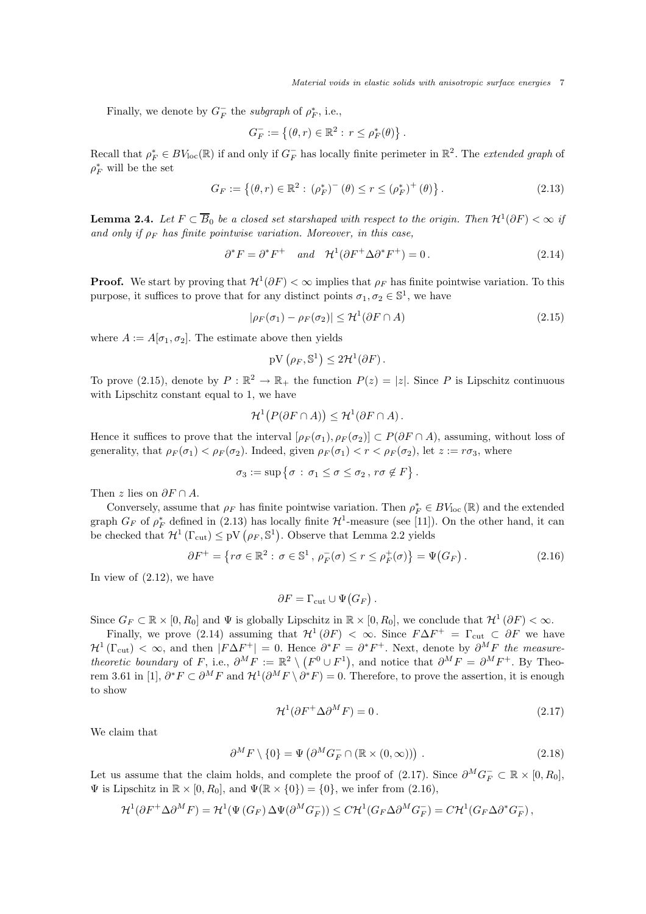Finally, we denote by  $G_F^-$  the *subgraph* of  $\rho_F^*$ , i.e.,

$$
G_F^- := \{(\theta, r) \in \mathbb{R}^2 : r \le \rho_F^*(\theta)\}.
$$

Recall that  $\rho_F^* \in BV_{loc}(\mathbb{R})$  if and only if  $G_F^-$  has locally finite perimeter in  $\mathbb{R}^2$ . The *extended graph* of  $\rho^*_F$  will be the set

$$
G_F := \{ (\theta, r) \in \mathbb{R}^2 : (\rho_F^*)^-(\theta) \le r \le (\rho_F^*)^+(\theta) \}.
$$
 (2.13)

**Lemma 2.4.** Let  $F \subset \overline{B}_0$  be a closed set starshaped with respect to the origin. Then  $\mathcal{H}^1(\partial F) < \infty$  if and only if  $\rho_F$  has finite pointwise variation. Moreover, in this case,

$$
\partial^* F = \partial^* F^+ \quad \text{and} \quad \mathcal{H}^1(\partial F^+ \Delta \partial^* F^+) = 0. \tag{2.14}
$$

**Proof.** We start by proving that  $\mathcal{H}^1(\partial F) < \infty$  implies that  $\rho_F$  has finite pointwise variation. To this purpose, it suffices to prove that for any distinct points  $\sigma_1, \sigma_2 \in \mathbb{S}^1$ , we have

$$
|\rho_F(\sigma_1) - \rho_F(\sigma_2)| \le \mathcal{H}^1(\partial F \cap A)
$$
\n(2.15)

where  $A := A[\sigma_1, \sigma_2]$ . The estimate above then yields

 $pV(\rho_F, \mathbb{S}^1) \leq 2\mathcal{H}^1(\partial F).$ 

To prove (2.15), denote by  $P : \mathbb{R}^2 \to \mathbb{R}_+$  the function  $P(z) = |z|$ . Since P is Lipschitz continuous with Lipschitz constant equal to 1, we have

$$
\mathcal{H}^1(P(\partial F \cap A)) \leq \mathcal{H}^1(\partial F \cap A).
$$

Hence it suffices to prove that the interval  $[\rho_F(\sigma_1), \rho_F(\sigma_2)] \subset P(\partial F \cap A)$ , assuming, without loss of generality, that  $\rho_F(\sigma_1) < \rho_F(\sigma_2)$ . Indeed, given  $\rho_F(\sigma_1) < r < \rho_F(\sigma_2)$ , let  $z := r\sigma_3$ , where

$$
\sigma_3 := \sup \{ \sigma : \sigma_1 \leq \sigma \leq \sigma_2 , r \sigma \notin F \}.
$$

Then z lies on  $\partial F \cap A$ .

Conversely, assume that  $\rho_F$  has finite pointwise variation. Then  $\rho_F^* \in BV_{\text{loc}}(\mathbb{R})$  and the extended graph  $G_F$  of  $\rho_F^*$  defined in (2.13) has locally finite  $\mathcal{H}^1$ -measure (see [11]). On the other hand, it can be checked that  $\mathcal{H}^1(\Gamma_{\text{cut}}) \leq pV(\rho_F, \mathbb{S}^1)$ . Observe that Lemma 2.2 yields

$$
\partial F^+ = \left\{ r\sigma \in \mathbb{R}^2 : \sigma \in \mathbb{S}^1, \, \rho_F^-(\sigma) \le r \le \rho_F^+(\sigma) \right\} = \Psi(G_F). \tag{2.16}
$$

In view of (2.12), we have

$$
\partial F = \Gamma_{\rm cut} \cup \Psi(G_F).
$$

Since  $G_F \subset \mathbb{R} \times [0, R_0]$  and  $\Psi$  is globally Lipschitz in  $\mathbb{R} \times [0, R_0]$ , we conclude that  $\mathcal{H}^1(\partial F) < \infty$ .

Finally, we prove (2.14) assuming that  $\mathcal{H}^1(\partial F) < \infty$ . Since  $F\Delta F^+ = \Gamma_{\text{cut}} \subset \partial F$  we have  $\mathcal{H}^1(\Gamma_{\text{cut}}) < \infty$ , and then  $|F\Delta F^+| = 0$ . Hence  $\partial^* F = \partial^* F^+$ . Next, denote by  $\partial^M F$  the measure*theoretic boundary* of F, i.e.,  $\partial^M F := \mathbb{R}^2 \setminus (F^0 \cup F^1)$ , and notice that  $\partial^M F = \partial^M F^+$ . By Theorem 3.61 in [1],  $\partial^* F \subset \partial^M F$  and  $\mathcal{H}^1(\partial^M F \setminus \partial^* F) = 0$ . Therefore, to prove the assertion, it is enough to show

$$
\mathcal{H}^1(\partial F^+ \Delta \partial^M F) = 0. \tag{2.17}
$$

We claim that

$$
\partial^M F \setminus \{0\} = \Psi \left( \partial^M G_F^- \cap (\mathbb{R} \times (0, \infty)) \right) . \tag{2.18}
$$

Let us assume that the claim holds, and complete the proof of (2.17). Since  $\partial^M G_F^- \subset \mathbb{R} \times [0, R_0]$ ,  $\Psi$  is Lipschitz in  $\mathbb{R} \times [0, R_0]$ , and  $\Psi(\mathbb{R} \times \{0\}) = \{0\}$ , we infer from (2.16),

$$
\mathcal{H}^1(\partial F^+ \Delta \partial^M F) = \mathcal{H}^1(\Psi(G_F) \Delta \Psi(\partial^M G_F^-)) \leq C \mathcal{H}^1(G_F \Delta \partial^M G_F^-) = C \mathcal{H}^1(G_F \Delta \partial^* G_F^-),
$$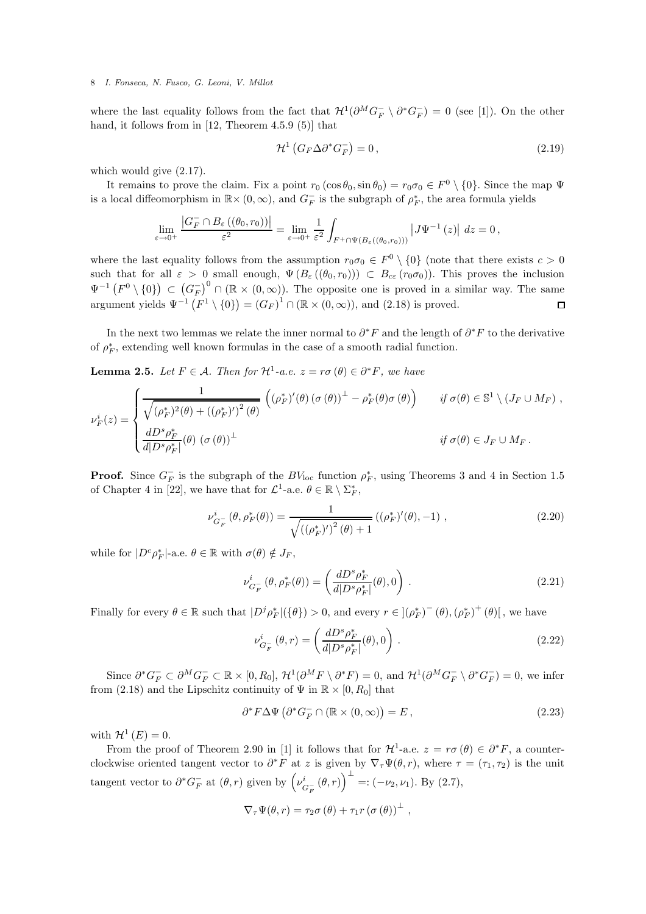where the last equality follows from the fact that  $\mathcal{H}^1(\partial^MG_F^- \setminus \partial^*G_F^-) = 0$  (see [1]). On the other hand, it follows from in [12, Theorem 4.5.9 (5)] that

$$
\mathcal{H}^1\left(G_F\Delta\partial^*G_F^-\right) = 0\,,\tag{2.19}
$$

which would give (2.17).

It remains to prove the claim. Fix a point  $r_0 (\cos \theta_0, \sin \theta_0) = r_0 \sigma_0 \in F^0 \setminus \{0\}$ . Since the map  $\Psi$ is a local diffeomorphism in  $\mathbb{R} \times (0, \infty)$ , and  $G_F^-$  is the subgraph of  $\rho_F^*$ , the area formula yields

$$
\lim_{\varepsilon\to0^+}\frac{\left|G_F^-\cap B_{\varepsilon}\left(\left(\theta_0,r_0\right)\right)\right|}{\varepsilon^2}=\lim_{\varepsilon\to0^+}\frac{1}{\varepsilon^2}\int_{F^+\cap\Psi\left(B_{\varepsilon}\left(\left(\theta_0,r_0\right)\right)\right)}\left|J\Psi^{-1}\left(z\right)\right|\,dz=0\,,
$$

where the last equality follows from the assumption  $r_0\sigma_0 \in F^0 \setminus \{0\}$  (note that there exists  $c > 0$ such that for all  $\varepsilon > 0$  small enough,  $\Psi(B_{\varepsilon}((\theta_0, r_0))) \subset B_{c\varepsilon}(r_0\sigma_0))$ . This proves the inclusion  $\Psi^{-1}(F^0\setminus\{0\})\subset (G_F^{-})^0\cap (\mathbb{R}\times (0,\infty)).$  The opposite one is proved in a similar way. The same argument yields  $\Psi^{-1}(F^1 \setminus \{0\}) = (G_F)^1 \cap (\mathbb{R} \times (0, \infty))$ , and  $(2.18)$  is proved.  $\Box$ 

In the next two lemmas we relate the inner normal to  $\partial^* F$  and the length of  $\partial^* F$  to the derivative of  $\rho_F^\ast$ , extending well known formulas in the case of a smooth radial function.

**Lemma 2.5.** *Let*  $F \in \mathcal{A}$ *. Then for*  $\mathcal{H}^1$ -*a.e.*  $z = r\sigma(\theta) \in \partial^*F$ *, we have* 

$$
\nu_F^i(z) = \begin{cases}\n\frac{1}{\sqrt{(\rho_F^*)^2(\theta) + ((\rho_F^*)')^2(\theta)}} \left( (\rho_F^*)'(\theta) (\sigma(\theta))^{\perp} - \rho_F^*(\theta) \sigma(\theta) \right) & \text{if } \sigma(\theta) \in \mathbb{S}^1 \setminus (J_F \cup M_F), \\
\frac{dD^s \rho_F^*}{d|D^s \rho_F^*|}(\theta) (\sigma(\theta))^{\perp} & \text{if } \sigma(\theta) \in J_F \cup M_F.\n\end{cases}
$$

**Proof.** Since  $G_F^-$  is the subgraph of the  $BV_{\text{loc}}$  function  $\rho_F^*$ , using Theorems 3 and 4 in Section 1.5 of Chapter 4 in [22], we have that for  $\mathcal{L}^1$ -a.e.  $\theta \in \mathbb{R} \setminus \Sigma^*$ ,

$$
\nu_{G_F^-}^i(\theta, \rho_F^*(\theta)) = \frac{1}{\sqrt{\left((\rho_F^*)'\right)^2(\theta) + 1}} \left((\rho_F^*)'(\theta), -1\right),\tag{2.20}
$$

while for  $|D^c \rho_F^*|$ -a.e.  $\theta \in \mathbb{R}$  with  $\sigma(\theta) \notin J_F$ ,

$$
\nu_{G_F^-}^i(\theta, \rho_F^*(\theta)) = \left(\frac{dD^s \rho_F^*}{d|D^s \rho_F^*|}(\theta), 0\right). \tag{2.21}
$$

Finally for every  $\theta \in \mathbb{R}$  such that  $|D^j \rho_F^*|(\{\theta\}) > 0$ , and every  $r \in ](\rho_F^*)^-(\theta), (\rho_F^*)^+(\theta)]$ , we have

$$
\nu_{G_F^-}^i(\theta, r) = \left(\frac{dD^s \rho_F^*}{d|D^s \rho_F^*|}(\theta), 0\right). \tag{2.22}
$$

Since  $\partial^* G_F^- \subset \partial^M G_F^- \subset \mathbb{R} \times [0, R_0], \mathcal{H}^1(\partial^M F \setminus \partial^* F) = 0$ , and  $\mathcal{H}^1(\partial^M G_F^- \setminus \partial^* G_F^-) = 0$ , we infer from (2.18) and the Lipschitz continuity of  $\Psi$  in  $\mathbb{R} \times [0, R_0]$  that

$$
\partial^* F \Delta \Psi \left( \partial^* G_F^- \cap (\mathbb{R} \times (0, \infty)) = E \,,\right) \tag{2.23}
$$

with  $\mathcal{H}^1(E) = 0$ .

From the proof of Theorem 2.90 in [1] it follows that for  $\mathcal{H}^1$ -a.e.  $z = r\sigma(\theta) \in \partial^*F$ , a counterclockwise oriented tangent vector to  $\partial^* F$  at z is given by  $\nabla_{\tau} \Psi(\theta, r)$ , where  $\tau = (\tau_1, \tau_2)$  is the unit tangent vector to  $\partial^* G_F^-$  at  $(\theta, r)$  given by  $\left(\nu_{\mathcal{C}}^i\right)$  $\int_{G_F}^{i} (\theta, r) \, \bigg)^{\perp} =: (-\nu_2, \nu_1).$  By (2.7),

$$
\nabla_{\tau} \Psi(\theta, r) = \tau_2 \sigma (\theta) + \tau_1 r (\sigma (\theta))^{\perp} ,
$$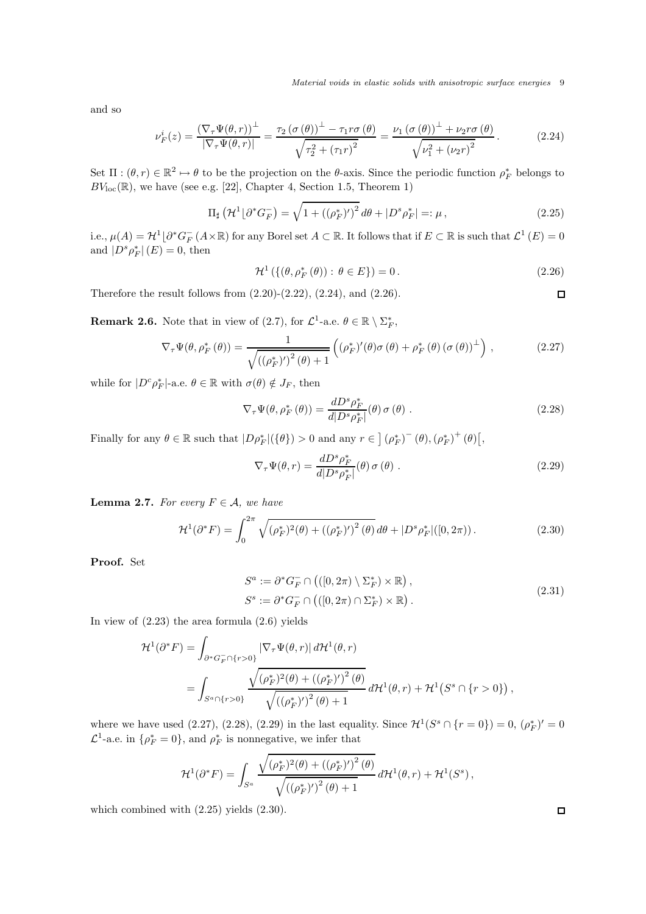Material voids in elastic solids with anisotropic surface energies 9

and so

$$
\nu_F^i(z) = \frac{\left(\nabla_\tau \Psi(\theta, r)\right)^\perp}{\left|\nabla_\tau \Psi(\theta, r)\right|} = \frac{\tau_2 \left(\sigma\left(\theta\right)\right)^\perp - \tau_1 r \sigma\left(\theta\right)}{\sqrt{\tau_2^2 + \left(\tau_1 r\right)^2}} = \frac{\nu_1 \left(\sigma\left(\theta\right)\right)^\perp + \nu_2 r \sigma\left(\theta\right)}{\sqrt{\nu_1^2 + \left(\nu_2 r\right)^2}}.
$$
\n(2.24)

Set  $\Pi: (\theta, r) \in \mathbb{R}^2 \mapsto \theta$  to be the projection on the  $\theta$ -axis. Since the periodic function  $\rho_F^*$  belongs to  $BV_{loc}(\mathbb{R})$ , we have (see e.g. [22], Chapter 4, Section 1.5, Theorem 1)

$$
\Pi_{\sharp} \left( \mathcal{H}^1 \lfloor \partial^* G_F^- \right) = \sqrt{1 + \left( (\rho_F^*)' \right)^2} \, d\theta + |D^s \rho_F^*| =: \mu \,, \tag{2.25}
$$

i.e.,  $\mu(A) = \mathcal{H}^1 \lfloor \partial^* G_F^-(A \times \mathbb{R})$  for any Borel set  $A \subset \mathbb{R}$ . It follows that if  $E \subset \mathbb{R}$  is such that  $\mathcal{L}^1(E) = 0$ and  $|D^s \rho_F^*|(E) = 0$ , then

$$
\mathcal{H}^1\left(\{(\theta,\rho_F^*(\theta)) : \theta \in E\}\right) = 0.
$$
\n(2.26)

Therefore the result follows from  $(2.20)-(2.22)$ ,  $(2.24)$ , and  $(2.26)$ .

**Remark 2.6.** Note that in view of (2.7), for  $\mathcal{L}^1$ -a.e.  $\theta \in \mathbb{R} \setminus \Sigma_F^*$ ,

$$
\nabla_{\tau} \Psi(\theta, \rho_F^* (\theta)) = \frac{1}{\sqrt{\left( (\rho_F^*)' \right)^2 (\theta) + 1}} \left( (\rho_F^*)'(\theta) \sigma (\theta) + \rho_F^* (\theta) (\sigma (\theta))^{\perp} \right), \tag{2.27}
$$

while for  $|D^c \rho_F^*|$ -a.e.  $\theta \in \mathbb{R}$  with  $\sigma(\theta) \notin J_F$ , then

$$
\nabla_{\tau} \Psi(\theta, \rho_F^* (\theta)) = \frac{dD^s \rho_F^*}{d|D^s \rho_F^*|} (\theta) \sigma (\theta).
$$
 (2.28)

Finally for any  $\theta \in \mathbb{R}$  such that  $|D\rho_F^*|(\{\theta\}) > 0$  and any  $r \in (\rho_F^*)^-(\theta), (\rho_F^*)^+(\theta)$ ,

$$
\nabla_{\tau} \Psi(\theta, r) = \frac{dD^s \rho_F^*}{d|D^s \rho_F^*|}(\theta) \sigma(\theta) . \qquad (2.29)
$$

**Lemma 2.7.** *For every*  $F \in \mathcal{A}$ *, we have* 

$$
\mathcal{H}^{1}(\partial^{*} F) = \int_{0}^{2\pi} \sqrt{(\rho_{F}^{*})^{2}(\theta) + ((\rho_{F}^{*})')^{2}(\theta)} d\theta + |D^{s} \rho_{F}^{*}|([0, 2\pi)).
$$
\n(2.30)

Proof. Set

$$
S^a := \partial^* G_F^- \cap \left( ([0, 2\pi) \setminus \Sigma_F^*) \times \mathbb{R} \right),
$$
  
\n
$$
S^s := \partial^* G_F^- \cap \left( ([0, 2\pi) \cap \Sigma_F^*) \times \mathbb{R} \right).
$$
\n(2.31)

In view of  $(2.23)$  the area formula  $(2.6)$  yields

$$
\mathcal{H}^{1}(\partial^{*} F) = \int_{\partial^{*} G_{F}^{-} \cap \{r>0\}} \left| \nabla_{\tau} \Psi(\theta, r) \right| d\mathcal{H}^{1}(\theta, r)
$$
\n
$$
= \int_{S^{a} \cap \{r>0\}} \frac{\sqrt{(\rho_{F}^{*})^{2}(\theta) + ((\rho_{F}^{*})')^{2}(\theta)}}{\sqrt{((\rho_{F}^{*})')^{2}(\theta) + 1}} d\mathcal{H}^{1}(\theta, r) + \mathcal{H}^{1}\left(S^{s} \cap \{r>0\}\right),
$$

where we have used (2.27), (2.28), (2.29) in the last equality. Since  $\mathcal{H}^1(S^s \cap \{r=0\}) = 0$ ,  $(\rho_F^*)' = 0$  $\mathcal{L}^1$ -a.e. in  $\{\rho_F^* = 0\}$ , and  $\rho_F^*$  is nonnegative, we infer that

$$
\mathcal{H}^{1}(\partial^* F) = \int_{S^a} \frac{\sqrt{(\rho_F^*)^2(\theta) + ((\rho_F^*)')^2(\theta)}}{\sqrt{((\rho_F^*)')^2(\theta) + 1}} d\mathcal{H}^1(\theta, r) + \mathcal{H}^1(S^s),
$$

which combined with (2.25) yields (2.30).

 $\Box$ 

 $\Box$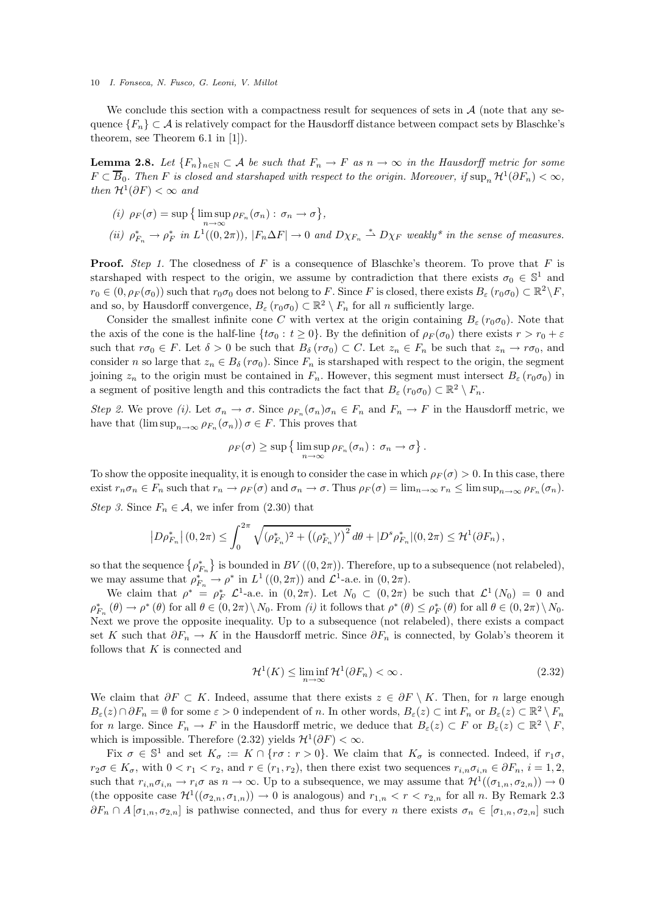We conclude this section with a compactness result for sequences of sets in  $A$  (note that any sequence  ${F_n} \subset A$  is relatively compact for the Hausdorff distance between compact sets by Blaschke's theorem, see Theorem 6.1 in [1]).

**Lemma 2.8.** Let  ${F_n}_{n \in \mathbb{N}} \subset A$  be such that  $F_n \to F$  as  $n \to \infty$  in the Hausdorff metric for some  $F \subset \overline{B}_0$ . Then F is closed and starshaped with respect to the origin. Moreover, if  $\sup_n \mathcal{H}^1(\partial F_n) < \infty$ , *then*  $\mathcal{H}^1(\partial F) < \infty$  *and* 

(i) 
$$
\rho_F(\sigma) = \sup \{ \limsup_{n \to \infty} \rho_{F_n}(\sigma_n) : \sigma_n \to \sigma \},
$$
  
\n(ii)  $\rho_{F_n}^* \to \rho_F^*$  in  $L^1((0, 2\pi))$ ,  $|F_n \Delta F| \to 0$  and  $D\chi_{F_n} \stackrel{*}{\rightharpoonup} D\chi_F$  weakly<sup>\*</sup> in the sense of measures.

**Proof.** *Step 1*. The closedness of F is a consequence of Blaschke's theorem. To prove that F is starshaped with respect to the origin, we assume by contradiction that there exists  $\sigma_0 \in \mathbb{S}^1$  and  $r_0 \in (0, \rho_F(\sigma_0))$  such that  $r_0\sigma_0$  does not belong to F. Since F is closed, there exists  $B_\varepsilon(r_0\sigma_0) \subset \mathbb{R}^2 \setminus F$ , and so, by Hausdorff convergence,  $B_{\varepsilon}(r_0\sigma_0) \subset \mathbb{R}^2 \setminus F_n$  for all n sufficiently large.

Consider the smallest infinite cone C with vertex at the origin containing  $B_{\varepsilon}(r_0\sigma_0)$ . Note that the axis of the cone is the half-line  $\{t\sigma_0 : t \geq 0\}$ . By the definition of  $\rho_F(\sigma_0)$  there exists  $r > r_0 + \varepsilon$ such that  $r\sigma_0 \in F$ . Let  $\delta > 0$  be such that  $B_\delta(r\sigma_0) \subset C$ . Let  $z_n \in F_n$  be such that  $z_n \to r\sigma_0$ , and consider n so large that  $z_n \in B_\delta(r\sigma_0)$ . Since  $F_n$  is starshaped with respect to the origin, the segment joining  $z_n$  to the origin must be contained in  $F_n$ . However, this segment must intersect  $B_\varepsilon(r_0\sigma_0)$  in a segment of positive length and this contradicts the fact that  $B_{\varepsilon}$  ( $r_0\sigma_0$ )  $\subset \mathbb{R}^2 \setminus F_n$ .

*Step 2.* We prove *(i)*. Let  $\sigma_n \to \sigma$ . Since  $\rho_{F_n}(\sigma_n)\sigma_n \in F_n$  and  $F_n \to F$  in the Hausdorff metric, we have that  $(\limsup_{n\to\infty}\rho_{F_n}(\sigma_n))\,\sigma\in F$ . This proves that

$$
\rho_F(\sigma) \ge \sup \left\{ \limsup_{n \to \infty} \rho_{F_n}(\sigma_n) : \sigma_n \to \sigma \right\}.
$$

To show the opposite inequality, it is enough to consider the case in which  $\rho_F(\sigma) > 0$ . In this case, there exist  $r_n \sigma_n \in F_n$  such that  $r_n \to \rho_F(\sigma)$  and  $\sigma_n \to \sigma$ . Thus  $\rho_F(\sigma) = \lim_{n \to \infty} r_n \leq \limsup_{n \to \infty} \rho_{F_n}(\sigma_n)$ . *Step 3.* Since  $F_n \in \mathcal{A}$ , we infer from (2.30) that

$$
\left| D\rho_{F_n}^* \right|(0,2\pi) \leq \int_0^{2\pi} \sqrt{(\rho_{F_n}^*)^2 + \left( (\rho_{F_n}^*)' \right)^2} \, d\theta + |D^s\rho_{F_n}^*|(0,2\pi) \leq \mathcal{H}^1(\partial F_n) \,,
$$

so that the sequence  $\{\rho_{F_n}^*\}$  is bounded in  $BV((0, 2\pi))$ . Therefore, up to a subsequence (not relabeled), we may assume that  $\rho_{F_n}^* \to \rho^*$  in  $L^1((0, 2\pi))$  and  $\mathcal{L}^1$ -a.e. in  $(0, 2\pi)$ .

We claim that  $\rho^* = \rho_F^* \mathcal{L}^1$ -a.e. in  $(0, 2\pi)$ . Let  $N_0 \subset (0, 2\pi)$  be such that  $\mathcal{L}^1(N_0) = 0$  and  $\rho_{F_n}^* (\theta) \to \rho^* (\theta)$  for all  $\theta \in (0, 2\pi) \setminus N_0$ . From *(i)* it follows that  $\rho^* (\theta) \leq \rho_F^* (\theta)$  for all  $\theta \in (0, 2\pi) \setminus N_0$ . Next we prove the opposite inequality. Up to a subsequence (not relabeled), there exists a compact set K such that  $\partial F_n \to K$  in the Hausdorff metric. Since  $\partial F_n$  is connected, by Golab's theorem it follows that  $K$  is connected and

$$
\mathcal{H}^1(K) \le \liminf_{n \to \infty} \mathcal{H}^1(\partial F_n) < \infty. \tag{2.32}
$$

We claim that  $\partial F \subset K$ . Indeed, assume that there exists  $z \in \partial F \setminus K$ . Then, for n large enough  $B_{\varepsilon}(z) \cap \partial F_n = \emptyset$  for some  $\varepsilon > 0$  independent of n. In other words,  $B_{\varepsilon}(z) \subset \text{int } F_n$  or  $B_{\varepsilon}(z) \subset \mathbb{R}^2 \setminus F_n$ for *n* large. Since  $F_n \to F$  in the Hausdorff metric, we deduce that  $B_{\varepsilon}(z) \subset F$  or  $B_{\varepsilon}(z) \subset \mathbb{R}^2 \setminus F$ , which is impossible. Therefore (2.32) yields  $\mathcal{H}^1(\partial F) < \infty$ .

Fix  $\sigma \in \mathbb{S}^1$  and set  $K_{\sigma} := K \cap \{r\sigma : r > 0\}$ . We claim that  $K_{\sigma}$  is connected. Indeed, if  $r_1\sigma$ ,  $r_2\sigma \in K_{\sigma}$ , with  $0 < r_1 < r_2$ , and  $r \in (r_1, r_2)$ , then there exist two sequences  $r_{i,n}\sigma_{i,n} \in \partial F_n$ ,  $i = 1, 2$ , such that  $r_{i,n}\sigma_{i,n} \to r_i\sigma$  as  $n \to \infty$ . Up to a subsequence, we may assume that  $\mathcal{H}^1((\sigma_{1,n}, \sigma_{2,n})) \to 0$ (the opposite case  $\mathcal{H}^1((\sigma_{2,n}, \sigma_{1,n})) \to 0$  is analogous) and  $r_{1,n} < r < r_{2,n}$  for all n. By Remark 2.3  $\partial F_n \cap A$  [ $\sigma_{1,n}, \sigma_{2,n}$ ] is pathwise connected, and thus for every n there exists  $\sigma_n \in [\sigma_{1,n}, \sigma_{2,n}]$  such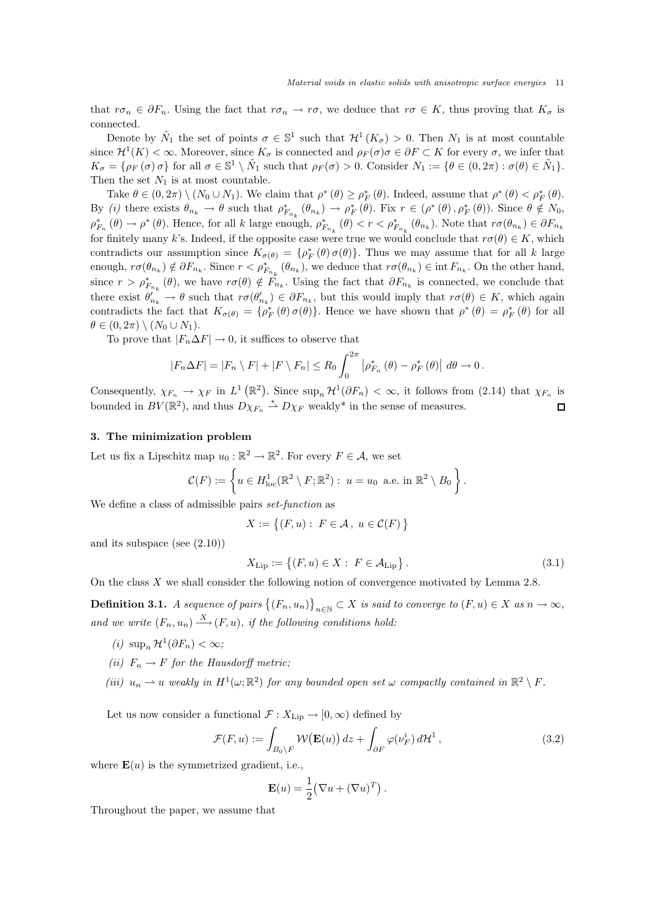that  $r\sigma_n \in \partial F_n$ . Using the fact that  $r\sigma_n \to r\sigma$ , we deduce that  $r\sigma \in K$ , thus proving that  $K_{\sigma}$  is connected.

Denote by  $\tilde{N}_1$  the set of points  $\sigma \in \mathbb{S}^1$  such that  $\mathcal{H}^1(K_{\sigma}) > 0$ . Then  $N_1$  is at most countable since  $\mathcal{H}^1(K) < \infty$ . Moreover, since  $K_{\sigma}$  is connected and  $\rho_F(\sigma)\sigma \in \partial F \subset K$  for every  $\sigma$ , we infer that  $K_{\sigma} = \{\rho_F(\sigma) \sigma\}$  for all  $\sigma \in \mathbb{S}^1 \setminus \tilde{N}_1$  such that  $\rho_F(\sigma) > 0$ . Consider  $N_1 := \{\theta \in (0, 2\pi) : \sigma(\theta) \in \tilde{N}_1\}.$ Then the set  $N_1$  is at most countable.

Take  $\theta \in (0, 2\pi) \setminus (N_0 \cup N_1)$ . We claim that  $\rho^*(\theta) \ge \rho_F^*(\theta)$ . Indeed, assume that  $\rho^*(\theta) < \rho_F^*(\theta)$ . By *(i)* there exists  $\theta_{n_k} \to \theta$  such that  $\rho_{F_{n_k}}^*(\theta_{n_k}) \to \rho_F^*(\theta)$ . Fix  $r \in (\rho^*(\theta), \rho_F^*(\theta))$ . Since  $\theta \notin N_0$ ,  $\rho_{F_n}^*$  ( $\theta$ )  $\rightarrow \rho^*$  ( $\theta$ ). Hence, for all k large enough,  $\rho_{F_{n_k}}^*$  ( $\theta$ )  $\lt r \lt \rho_{F_{n_k}}^*$  ( $\theta_{n_k}$ ). Note that  $r\sigma(\theta_{n_k}) \in \partial F_{n_k}$ for finitely many k's. Indeed, if the opposite case were true we would conclude that  $r\sigma(\theta) \in K$ , which contradicts our assumption since  $K_{\sigma(\theta)} = \{\rho_F^*(\theta) \sigma(\theta)\}\$ . Thus we may assume that for all k large enough,  $r\sigma(\theta_{n_k}) \notin \partial F_{n_k}$ . Since  $r < \rho^*_{F_{n_k}}(\theta_{n_k})$ , we deduce that  $r\sigma(\theta_{n_k}) \in \text{int } F_{n_k}$ . On the other hand, since  $r > \rho_{F_{n_k}}^*(\theta)$ , we have  $r\sigma(\theta) \notin \tilde{F}_{n_k}$ . Using the fact that  $\partial F_{n_k}$  is connected, we conclude that there exist  $\theta'_{n_k} \to \theta$  such that  $r\sigma(\theta'_{n_k}) \in \partial F_{n_k}$ , but this would imply that  $r\sigma(\theta) \in K$ , which again contradicts the fact that  $K_{\sigma(\theta)} = {\rho_F^*(\theta) \sigma(\theta)}$ . Hence we have shown that  $\rho^*(\theta) = \rho_F^*(\theta)$  for all  $\theta \in (0, 2\pi) \setminus (N_0 \cup N_1).$ 

To prove that  $|F_n \Delta F| \to 0$ , it suffices to observe that

$$
|F_n \Delta F| = |F_n \setminus F| + |F \setminus F_n| \le R_0 \int_0^{2\pi} \left| \rho_{F_n}^* \left( \theta \right) - \rho_F^* \left( \theta \right) \right| d\theta \to 0.
$$

Consequently,  $\chi_{F_n} \to \chi_F$  in  $L^1(\mathbb{R}^2)$ . Since  $\sup_n \mathcal{H}^1(\partial F_n) < \infty$ , it follows from (2.14) that  $\chi_{F_n}$  is bounded in  $BV(\mathbb{R}^2)$ , and thus  $D\chi_{F_n} \stackrel{*}{\rightharpoonup} D\chi_F$  weakly\* in the sense of measures.  $\Box$ 

# 3. The minimization problem

Let us fix a Lipschitz map  $u_0 : \mathbb{R}^2 \to \mathbb{R}^2$ . For every  $F \in \mathcal{A}$ , we set

$$
\mathcal{C}(F) := \left\{ u \in H^1_{\text{loc}}(\mathbb{R}^2 \setminus F; \mathbb{R}^2) : u = u_0 \text{ a.e. in } \mathbb{R}^2 \setminus B_0 \right\}.
$$

We define a class of admissible pairs *set-function* as

$$
X:=\big\{(F,u):\; F\in\mathcal{A}\,,\; u\in\mathcal{C}(F)\,\big\}
$$

and its subspace (see (2.10))

$$
X_{\text{Lip}} := \left\{ (F, u) \in X : F \in \mathcal{A}_{\text{Lip}} \right\}.
$$
\n(3.1)

On the class X we shall consider the following notion of convergence motivated by Lemma 2.8.

**Definition 3.1.** *A sequence of pairs*  $\{(F_n, u_n)\}_{n \in \mathbb{N}} \subset X$  *is said to converge to*  $(F, u) \in X$  *as*  $n \to \infty$ *,* and we write  $(F_n, u_n) \xrightarrow{X} (F, u)$ , if the following conditions hold:

- $(i) \ \sup_n \mathcal{H}^1(\partial F_n) < \infty;$
- *(ii)*  $F_n \to F$  *for the Hausdorff metric;*
- (*iii*)  $u_n \rightharpoonup u$  *weakly in*  $H^1(\omega; \mathbb{R}^2)$  *for any bounded open set*  $\omega$  *compactly contained in*  $\mathbb{R}^2 \setminus F$ *.*

Let us now consider a functional  $\mathcal{F}: X_{\text{Lip}} \to [0, \infty)$  defined by

$$
\mathcal{F}(F, u) := \int_{B_0 \setminus F} \mathcal{W}(\mathbf{E}(u)) \, dz + \int_{\partial F} \varphi(\nu_F^i) \, d\mathcal{H}^1 \,, \tag{3.2}
$$

where  $\mathbf{E}(u)$  is the symmetrized gradient, i.e.,

$$
\mathbf{E}(u) = \frac{1}{2} (\nabla u + (\nabla u)^T).
$$

Throughout the paper, we assume that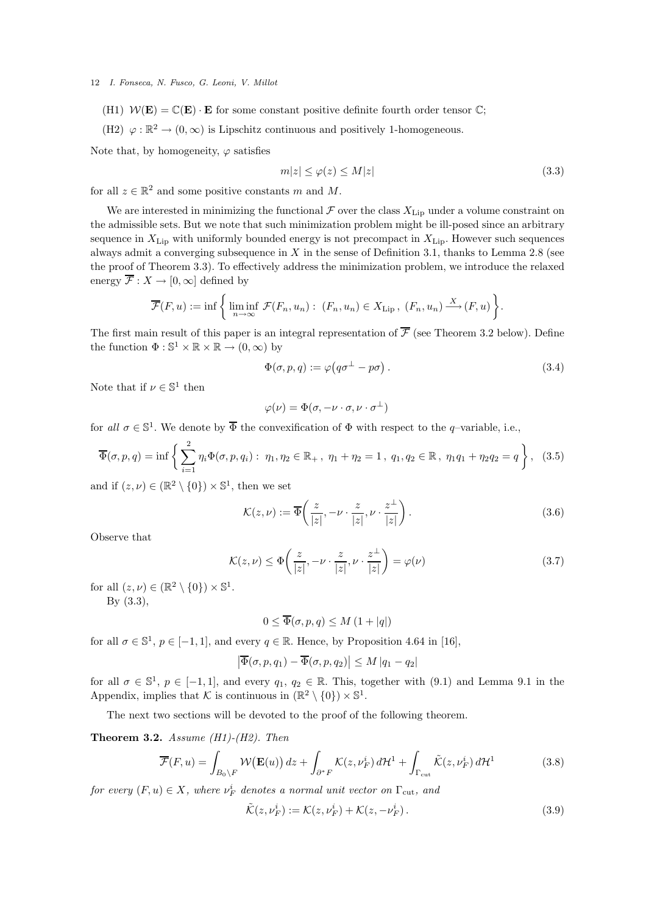(H1)  $W(\mathbf{E}) = \mathbb{C}(\mathbf{E}) \cdot \mathbf{E}$  for some constant positive definite fourth order tensor  $\mathbb{C}$ ;

(H2)  $\varphi:\mathbb{R}^2\to (0,\infty)$  is Lipschitz continuous and positively 1-homogeneous.

Note that, by homogeneity,  $\varphi$  satisfies

$$
m|z| \le \varphi(z) \le M|z| \tag{3.3}
$$

for all  $z \in \mathbb{R}^2$  and some positive constants m and M.

We are interested in minimizing the functional  $\mathcal F$  over the class  $X_{\text{Lip}}$  under a volume constraint on the admissible sets. But we note that such minimization problem might be ill-posed since an arbitrary sequence in  $X_{\text{Lip}}$  with uniformly bounded energy is not precompact in  $X_{\text{Lip}}$ . However such sequences always admit a converging subsequence in  $X$  in the sense of Definition 3.1, thanks to Lemma 2.8 (see the proof of Theorem 3.3). To effectively address the minimization problem, we introduce the relaxed energy  $\overline{\mathcal{F}}: X \to [0, \infty]$  defined by

$$
\overline{\mathcal{F}}(F, u) := \inf \left\{ \liminf_{n \to \infty} \mathcal{F}(F_n, u_n) : (F_n, u_n) \in X_{\text{Lip}} , (F_n, u_n) \xrightarrow{X} (F, u) \right\}.
$$

The first main result of this paper is an integral representation of  $\overline{\mathcal{F}}$  (see Theorem 3.2 below). Define the function  $\Phi : \mathbb{S}^1 \times \mathbb{R} \times \mathbb{R} \to (0, \infty)$  by

$$
\Phi(\sigma, p, q) := \varphi(q\sigma^{\perp} - p\sigma). \tag{3.4}
$$

Note that if  $\nu \in \mathbb{S}^1$  then

$$
\varphi(\nu) = \Phi(\sigma, -\nu \cdot \sigma, \nu \cdot \sigma^{\perp})
$$

for all  $\sigma \in \mathbb{S}^1$ . We denote by  $\overline{\Phi}$  the convexification of  $\Phi$  with respect to the q-variable, i.e.,

$$
\overline{\Phi}(\sigma, p, q) = \inf \left\{ \sum_{i=1}^{2} \eta_i \Phi(\sigma, p, q_i) : \eta_1, \eta_2 \in \mathbb{R}_+, \eta_1 + \eta_2 = 1, q_1, q_2 \in \mathbb{R}, \eta_1 q_1 + \eta_2 q_2 = q \right\}, \quad (3.5)
$$

and if  $(z, \nu) \in (\mathbb{R}^2 \setminus \{0\}) \times \mathbb{S}^1$ , then we set

$$
\mathcal{K}(z,\nu) := \overline{\Phi}\left(\frac{z}{|z|}, -\nu \cdot \frac{z}{|z|}, \nu \cdot \frac{z^{\perp}}{|z|}\right). \tag{3.6}
$$

Observe that

$$
\mathcal{K}(z,\nu) \le \Phi\left(\frac{z}{|z|}, -\nu \cdot \frac{z}{|z|}, \nu \cdot \frac{z^{\perp}}{|z|}\right) = \varphi(\nu)
$$
\n(3.7)

for all  $(z, \nu) \in (\mathbb{R}^2 \setminus \{0\}) \times \mathbb{S}^1$ . By (3.3),

$$
0 \le \overline{\Phi}(\sigma, p, q) \le M \left(1 + |q|\right)
$$

for all  $\sigma \in \mathbb{S}^1$ ,  $p \in [-1, 1]$ , and every  $q \in \mathbb{R}$ . Hence, by Proposition 4.64 in [16],

$$
\left|\overline{\Phi}(\sigma,p,q_1)-\overline{\Phi}(\sigma,p,q_2)\right|\leq M\left|q_1-q_2\right|
$$

for all  $\sigma \in \mathbb{S}^1$ ,  $p \in [-1,1]$ , and every  $q_1, q_2 \in \mathbb{R}$ . This, together with  $(9.1)$  and Lemma 9.1 in the Appendix, implies that K is continuous in  $(\mathbb{R}^2 \setminus \{0\}) \times \mathbb{S}^1$ .

The next two sections will be devoted to the proof of the following theorem.

Theorem 3.2. *Assume (H1)-(H2). Then*

$$
\overline{\mathcal{F}}(F, u) = \int_{B_0 \setminus F} \mathcal{W}(\mathbf{E}(u)) dz + \int_{\partial^* F} \mathcal{K}(z, \nu_F^i) d\mathcal{H}^1 + \int_{\Gamma_{\text{cut}}} \tilde{\mathcal{K}}(z, \nu_F^i) d\mathcal{H}^1 \tag{3.8}
$$

 $for\ every\ (F, u) \in X$ , where  $\nu_F^i$  denotes a normal unit vector on  $\Gamma_{\rm cut}$ , and

$$
\tilde{\mathcal{K}}(z,\nu_F^i) := \mathcal{K}(z,\nu_F^i) + \mathcal{K}(z,-\nu_F^i). \tag{3.9}
$$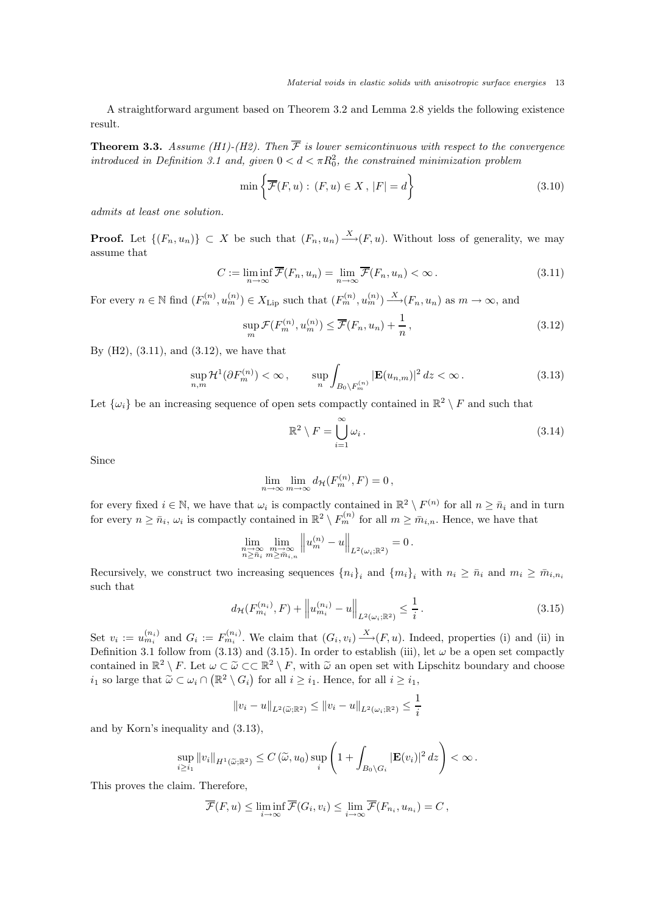A straightforward argument based on Theorem 3.2 and Lemma 2.8 yields the following existence result.

**Theorem 3.3.** Assume (H1)-(H2). Then  $\overline{\mathcal{F}}$  is lower semicontinuous with respect to the convergence *introduced in Definition 3.1 and, given*  $0 < d < \pi R_0^2$ , the constrained minimization problem

$$
\min\left\{\overline{\mathcal{F}}(F, u): (F, u) \in X, |F| = d\right\}
$$
\n(3.10)

*admits at least one solution.*

**Proof.** Let  $\{(F_n, u_n)\}\subset X$  be such that  $(F_n, u_n) \xrightarrow{X} (F, u)$ . Without loss of generality, we may assume that

$$
C := \liminf_{n \to \infty} \overline{\mathcal{F}}(F_n, u_n) = \lim_{n \to \infty} \overline{\mathcal{F}}(F_n, u_n) < \infty. \tag{3.11}
$$

For every  $n \in \mathbb{N}$  find  $(F_m^{(n)}, u_m^{(n)}) \in X_{\text{Lip}}$  such that  $(F_m^{(n)}, u_m^{(n)}) \xrightarrow{X} (F_n, u_n)$  as  $m \to \infty$ , and

$$
\sup_{m} \mathcal{F}(F_m^{(n)}, u_m^{(n)}) \leq \overline{\mathcal{F}}(F_n, u_n) + \frac{1}{n},\tag{3.12}
$$

By (H2), (3.11), and (3.12), we have that

$$
\sup_{n,m} \mathcal{H}^1(\partial F_m^{(n)}) < \infty \,, \qquad \sup_n \int_{B_0 \backslash F_m^{(n)}} |\mathbf{E}(u_{n,m})|^2 \, dz < \infty \,. \tag{3.13}
$$

Let  $\{\omega_i\}$  be an increasing sequence of open sets compactly contained in  $\mathbb{R}^2 \setminus F$  and such that

$$
\mathbb{R}^2 \setminus F = \bigcup_{i=1}^{\infty} \omega_i.
$$
 (3.14)

Since

$$
\lim_{n \to \infty} \lim_{m \to \infty} d_{\mathcal{H}}(F_m^{(n)}, F) = 0,
$$

for every fixed  $i \in \mathbb{N}$ , we have that  $\omega_i$  is compactly contained in  $\mathbb{R}^2 \setminus F^{(n)}$  for all  $n \geq \bar{n}_i$  and in turn for every  $n \geq \bar{n}_i$ ,  $\omega_i$  is compactly contained in  $\mathbb{R}^2 \setminus F_m^{(n)}$  for all  $m \geq \bar{m}_{i,n}$ . Hence, we have that

$$
\lim_{\substack{n \to \infty \\ n \ge \bar{n}_i}} \lim_{\substack{m \to \infty \\ m \ge \bar{m}_{i,n}}} \left\| u_m^{(n)} - u \right\|_{L^2(\omega_i; \mathbb{R}^2)} = 0.
$$

Recursively, we construct two increasing sequences  $\{n_i\}_i$  and  $\{m_i\}_i$  with  $n_i \geq \bar{n}_i$  and  $m_i \geq \bar{m}_{i,n_i}$ such that

$$
d_{\mathcal{H}}(F_{m_i}^{(n_i)}, F) + \left\| u_{m_i}^{(n_i)} - u \right\|_{L^2(\omega_i; \mathbb{R}^2)} \le \frac{1}{i} \,. \tag{3.15}
$$

Set  $v_i := u_{m_i}^{(n_i)}$  and  $G_i := F_{m_i}^{(n_i)}$ . We claim that  $(G_i, v_i) \rightarrow (F, u)$ . Indeed, properties (i) and (ii) in Definition 3.1 follow from (3.13) and (3.15). In order to establish (iii), let  $\omega$  be a open set compactly contained in  $\mathbb{R}^2 \setminus F$ . Let  $\omega \subset \tilde{\omega} \subset \mathbb{R}^2 \setminus F$ , with  $\tilde{\omega}$  an open set with Lipschitz boundary and choose  $i_1$  so large that  $\widetilde{\omega} \subset \omega_i \cap (\mathbb{R}^2 \setminus G_i)$  for all  $i \geq i_1$ . Hence, for all  $i \geq i_1$ ,

$$
||v_i - u||_{L^2(\widetilde{\omega}; \mathbb{R}^2)} \le ||v_i - u||_{L^2(\omega_i; \mathbb{R}^2)} \le \frac{1}{i}
$$

and by Korn's inequality and (3.13),

$$
\sup_{i\geq i_1} \|v_i\|_{H^1(\widetilde{\omega};\mathbb{R}^2)} \leq C(\widetilde{\omega},u_0) \sup_i \left(1 + \int_{B_0\setminus G_i} |\mathbf{E}(v_i)|^2 \, dz\right) < \infty.
$$

This proves the claim. Therefore,

$$
\overline{\mathcal{F}}(F, u) \leq \liminf_{i \to \infty} \overline{\mathcal{F}}(G_i, v_i) \leq \lim_{i \to \infty} \overline{\mathcal{F}}(F_{n_i}, u_{n_i}) = C,
$$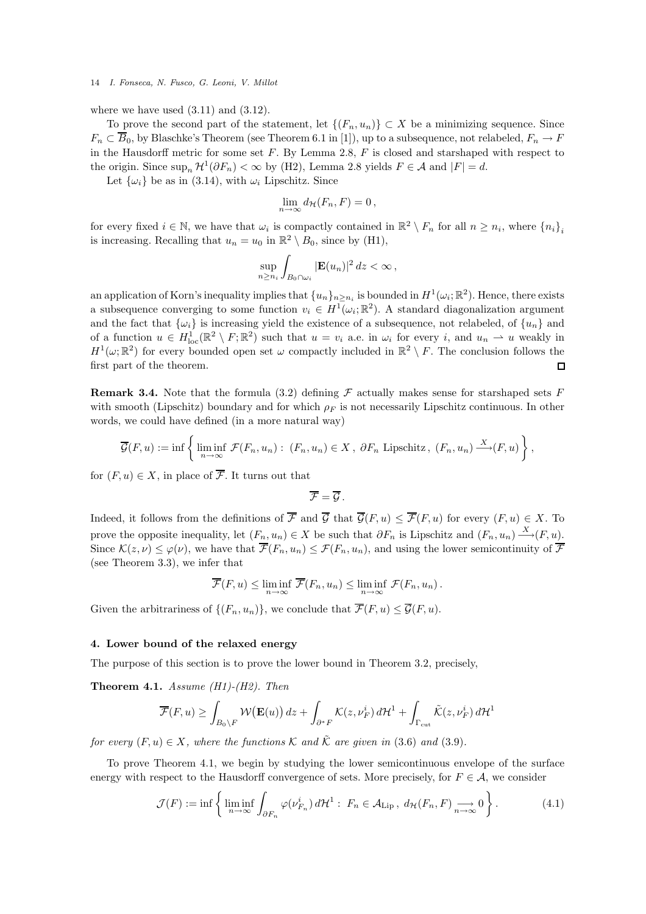where we have used  $(3.11)$  and  $(3.12)$ .

To prove the second part of the statement, let  $\{(F_n, u_n)\}\subset X$  be a minimizing sequence. Since  $F_n \subset \overline{B}_0$ , by Blaschke's Theorem (see Theorem 6.1 in [1]), up to a subsequence, not relabeled,  $F_n \to F$ in the Hausdorff metric for some set  $F$ . By Lemma 2.8,  $F$  is closed and starshaped with respect to the origin. Since  $\sup_n \mathcal{H}^1(\partial F_n) < \infty$  by (H2), Lemma 2.8 yields  $F \in \mathcal{A}$  and  $|F| = d$ .

Let  $\{\omega_i\}$  be as in (3.14), with  $\omega_i$  Lipschitz. Since

$$
\lim_{n\to\infty} d_{\mathcal{H}}(F_n,F)=0\,,
$$

for every fixed  $i \in \mathbb{N}$ , we have that  $\omega_i$  is compactly contained in  $\mathbb{R}^2 \setminus F_n$  for all  $n \geq n_i$ , where  $\{n_i\}_i$ is increasing. Recalling that  $u_n = u_0$  in  $\mathbb{R}^2 \setminus B_0$ , since by (H1),

$$
\sup_{n\geq n_i}\int_{B_0\cap\omega_i}|\mathbf{E}(u_n)|^2\,dz<\infty\,,
$$

an application of Korn's inequality implies that  $\{u_n\}_{n\geq n_i}$  is bounded in  $H^1(\omega_i;\mathbb{R}^2)$ . Hence, there exists a subsequence converging to some function  $v_i \in H^1(\omega_i; \mathbb{R}^2)$ . A standard diagonalization argument and the fact that  $\{\omega_i\}$  is increasing yield the existence of a subsequence, not relabeled, of  $\{u_n\}$  and of a function  $u \in H^1_{loc}(\mathbb{R}^2 \setminus F;\mathbb{R}^2)$  such that  $u = v_i$  a.e. in  $\omega_i$  for every i, and  $u_n \to u$  weakly in  $H^1(\omega;\mathbb{R}^2)$  for every bounded open set  $\omega$  compactly included in  $\mathbb{R}^2 \setminus F$ . The conclusion follows the first part of the theorem.

**Remark 3.4.** Note that the formula (3.2) defining  $\mathcal F$  actually makes sense for starshaped sets F with smooth (Lipschitz) boundary and for which  $\rho_F$  is not necessarily Lipschitz continuous. In other words, we could have defined (in a more natural way)

$$
\overline{\mathcal{G}}(F, u) := \inf \left\{ \liminf_{n \to \infty} \mathcal{F}(F_n, u_n) : (F_n, u_n) \in X, \ \partial F_n \text{ Lipschitz, } (F_n, u_n) \xrightarrow{X} (F, u) \right\},\
$$

for  $(F, u) \in X$ , in place of  $\overline{\mathcal{F}}$ . It turns out that

$$
\overline{\mathcal{F}}=\overline{\mathcal{G}}.
$$

Indeed, it follows from the definitions of  $\overline{\mathcal{F}}$  and  $\overline{\mathcal{G}}$  that  $\overline{\mathcal{G}}(F, u) \leq \overline{\mathcal{F}}(F, u)$  for every  $(F, u) \in X$ . To prove the opposite inequality, let  $(F_n, u_n) \in X$  be such that  $\partial F_n$  is Lipschitz and  $(F_n, u_n) \stackrel{X}{\longrightarrow} (F, u)$ . Since  $\mathcal{K}(z,\nu) \leq \varphi(\nu)$ , we have that  $\overline{\mathcal{F}}(F_n,u_n) \leq \mathcal{F}(F_n,u_n)$ , and using the lower semicontinuity of  $\overline{\mathcal{F}}$ (see Theorem 3.3), we infer that

$$
\overline{\mathcal{F}}(F,u) \leq \liminf_{n \to \infty} \overline{\mathcal{F}}(F_n,u_n) \leq \liminf_{n \to \infty} \mathcal{F}(F_n,u_n).
$$

Given the arbitrariness of  $\{(F_n, u_n)\}\)$ , we conclude that  $\overline{\mathcal{F}}(F, u) \leq \overline{\mathcal{G}}(F, u)$ .

### 4. Lower bound of the relaxed energy

The purpose of this section is to prove the lower bound in Theorem 3.2, precisely,

Theorem 4.1. *Assume (H1)-(H2). Then*

$$
\overline{\mathcal{F}}(F, u) \ge \int_{B_0 \setminus F} \mathcal{W}(\mathbf{E}(u)) dz + \int_{\partial^* F} \mathcal{K}(z, \nu_F^i) d\mathcal{H}^1 + \int_{\Gamma_{\rm cut}} \tilde{\mathcal{K}}(z, \nu_F^i) d\mathcal{H}^1
$$

*for every*  $(F, u) \in X$ *, where the functions* K and  $\tilde{\mathcal{K}}$  *are given in* (3.6) and (3.9).

To prove Theorem 4.1, we begin by studying the lower semicontinuous envelope of the surface energy with respect to the Hausdorff convergence of sets. More precisely, for  $F \in \mathcal{A}$ , we consider

$$
\mathcal{J}(F) := \inf \left\{ \liminf_{n \to \infty} \int_{\partial F_n} \varphi(\nu_{F_n}^i) d\mathcal{H}^1 : F_n \in \mathcal{A}_{\text{Lip}}, d\mathcal{H}(F_n, F) \underset{n \to \infty}{\longrightarrow} 0 \right\}.
$$
 (4.1)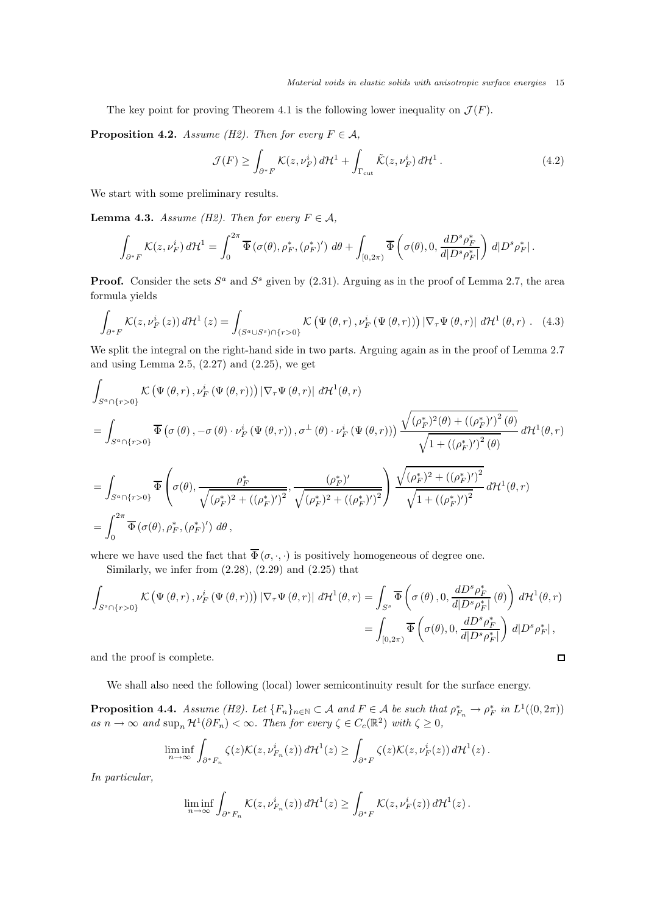The key point for proving Theorem 4.1 is the following lower inequality on  $\mathcal{J}(F)$ .

**Proposition 4.2.** *Assume (H2). Then for every*  $F \in \mathcal{A}$ ,

$$
\mathcal{J}(F) \ge \int_{\partial^* F} \mathcal{K}(z, \nu_F^i) d\mathcal{H}^1 + \int_{\Gamma_{\text{cut}}} \tilde{\mathcal{K}}(z, \nu_F^i) d\mathcal{H}^1. \tag{4.2}
$$

We start with some preliminary results.

**Lemma 4.3.** *Assume (H2). Then for every*  $F \in \mathcal{A}$ *,* 

$$
\int_{\partial^* F} \mathcal{K}(z, \nu_F^i) d\mathcal{H}^1 = \int_0^{2\pi} \overline{\Phi}(\sigma(\theta), \rho_F^*, (\rho_F^*)') d\theta + \int_{[0,2\pi)} \overline{\Phi}(\sigma(\theta), 0, \frac{dD^s \rho_F^*}{d|D^s \rho_F^*|}) d|D^s \rho_F^*|.
$$

**Proof.** Consider the sets  $S^a$  and  $S^s$  given by (2.31). Arguing as in the proof of Lemma 2.7, the area formula yields

$$
\int_{\partial^* F} \mathcal{K}(z, \nu_F^i(z)) d\mathcal{H}^1(z) = \int_{(S^a \cup S^s) \cap \{r > 0\}} \mathcal{K}\left(\Psi\left(\theta, r\right), \nu_F^i\left(\Psi\left(\theta, r\right)\right) \left|\nabla_\tau \Psi\left(\theta, r\right)\right| \, d\mathcal{H}^1\left(\theta, r\right). \tag{4.3}
$$

We split the integral on the right-hand side in two parts. Arguing again as in the proof of Lemma 2.7 and using Lemma 2.5,  $(2.27)$  and  $(2.25)$ , we get

$$
\int_{S^{a}\cap\{r>0\}} K(\Psi(\theta,r),\nu_{F}^{i}(\Psi(\theta,r))) |\nabla_{\tau}\Psi(\theta,r)| d\mathcal{H}^{1}(\theta,r)
$$
\n
$$
= \int_{S^{a}\cap\{r>0\}} \overline{\Phi}(\sigma(\theta),-\sigma(\theta)\cdot\nu_{F}^{i}(\Psi(\theta,r)),\sigma^{\perp}(\theta)\cdot\nu_{F}^{i}(\Psi(\theta,r))) \frac{\sqrt{(\rho_{F}^{*})^{2}(\theta)+((\rho_{F}^{*})')^{2}(\theta)}}{\sqrt{1+(\rho_{F}^{*})')^{2}(\theta)}} d\mathcal{H}^{1}(\theta,r)
$$
\n
$$
= \int_{S^{a}\cap\{r>0\}} \overline{\Phi}(\sigma(\theta),\frac{\rho_{F}^{*}}{\sqrt{(\rho_{F}^{*})^{2}+(\rho_{F}^{*})')^{2}}},\frac{(\rho_{F}^{*})'}{\sqrt{(\rho_{F}^{*})^{2}+(\rho_{F}^{*})')^{2}}} \frac{\sqrt{(\rho_{F}^{*})^{2}+(\rho_{F}^{*})')^{2}}}{\sqrt{1+(\rho_{F}^{*})')^{2}}} d\mathcal{H}^{1}(\theta,r)
$$
\n
$$
= \int_{0}^{2\pi} \overline{\Phi}(\sigma(\theta),\rho_{F}^{*},(\rho_{F}^{*})') d\theta,
$$

where we have used the fact that  $\overline{\Phi}(\sigma, \cdot, \cdot)$  is positively homogeneous of degree one.

Similarly, we infer from  $(2.28)$ ,  $(2.29)$  and  $(2.25)$  that

$$
\int_{S^s \cap \{r>0\}} K(\Psi(\theta, r), \nu_F^i(\Psi(\theta, r))) |\nabla_\tau \Psi(\theta, r)| d\mathcal{H}^1(\theta, r) = \int_{S^s} \overline{\Phi}\left(\sigma(\theta), 0, \frac{dD^s \rho_F^*}{d|D^s \rho_F^*|}(\theta)\right) d\mathcal{H}^1(\theta, r)
$$
\n
$$
= \int_{[0,2\pi)} \overline{\Phi}\left(\sigma(\theta), 0, \frac{dD^s \rho_F^*}{d|D^s \rho_F^*|}\right) d|D^s \rho_F^*|,
$$
\nand the proof is complete.

and the proof is complete.

We shall also need the following (local) lower semicontinuity result for the surface energy.

**Proposition 4.4.** *Assume (H2).* Let  ${F_n}_{n \in \mathbb{N}} \subset A$  and  $F \in A$  be such that  $\rho_{F_n}^* \to \rho_F^*$  in  $L^1((0, 2\pi))$  $as\ n \to \infty\ and\ \sup_n \mathcal{H}^1(\partial F_n) < \infty\$ . Then for every  $\zeta \in C_c(\mathbb{R}^2)\ with\ \zeta \geq 0$ ,

$$
\liminf_{n\to\infty}\int_{\partial^*F_n}\zeta(z)\mathcal{K}(z,\nu_{F_n}^i(z))\,d\mathcal{H}^1(z)\geq\int_{\partial^*F}\zeta(z)\mathcal{K}(z,\nu_{F}^i(z))\,d\mathcal{H}^1(z)\,.
$$

*In particular,*

$$
\liminf_{n\to\infty}\int_{\partial^*F_n}\mathcal{K}(z,\nu_{F_n}^i(z))\,d\mathcal{H}^1(z)\geq \int_{\partial^*F}\mathcal{K}(z,\nu_{F}^i(z))\,d\mathcal{H}^1(z)\,.
$$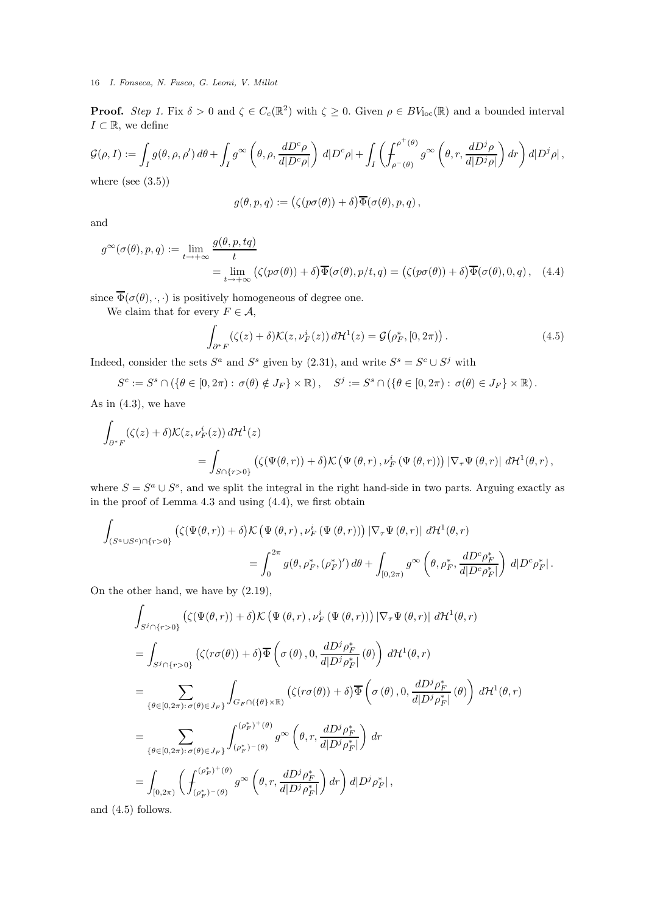**Proof.** Step 1. Fix  $\delta > 0$  and  $\zeta \in C_c(\mathbb{R}^2)$  with  $\zeta \geq 0$ . Given  $\rho \in BV_{loc}(\mathbb{R})$  and a bounded interval  $I \subset \mathbb{R}$ , we define

$$
\mathcal{G}(\rho, I) := \int_{I} g(\theta, \rho, \rho') d\theta + \int_{I} g^{\infty} \left(\theta, \rho, \frac{dD^{c}\rho}{d|D^{c}\rho|}\right) d|D^{c}\rho| + \int_{I} \left(\int_{\rho^{-}(\theta)}^{\rho^{+}(\theta)} g^{\infty} \left(\theta, r, \frac{dD^{j}\rho}{d|D^{j}\rho|}\right) dr\right) d|D^{j}\rho|,
$$
  
where (see (3.5))

$$
g(\theta,p,q):=\bigl(\zeta(p\sigma(\theta))+\delta\bigr)\overline{\Phi}(\sigma(\theta),p,q)\,,
$$

and

$$
g^{\infty}(\sigma(\theta), p, q) := \lim_{t \to +\infty} \frac{g(\theta, p, tq)}{t}
$$
  
= 
$$
\lim_{t \to +\infty} (\zeta(p\sigma(\theta)) + \delta) \overline{\Phi}(\sigma(\theta), p/t, q) = (\zeta(p\sigma(\theta)) + \delta) \overline{\Phi}(\sigma(\theta), 0, q),
$$
 (4.4)

since  $\overline{\Phi}(\sigma(\theta), \cdot, \cdot)$  is positively homogeneous of degree one.

We claim that for every  $F \in \mathcal{A}$ ,

$$
\int_{\partial^* F} (\zeta(z) + \delta) \mathcal{K}(z, \nu_F^i(z)) d\mathcal{H}^1(z) = \mathcal{G}(\rho_F^*, [0, 2\pi)). \tag{4.5}
$$

Indeed, consider the sets  $S^a$  and  $S^s$  given by (2.31), and write  $S^s = S^c \cup S^j$  with

$$
S^c := S^s \cap \left( \{ \theta \in [0, 2\pi) : \sigma(\theta) \notin J_F \} \times \mathbb{R} \right), \quad S^j := S^s \cap \left( \{ \theta \in [0, 2\pi) : \sigma(\theta) \in J_F \} \times \mathbb{R} \right).
$$

As in  $(4.3)$ , we have

$$
\int_{\partial^* F} (\zeta(z) + \delta) \mathcal{K}(z, \nu_F^i(z)) d\mathcal{H}^1(z)
$$
\n
$$
= \int_{S \cap \{r > 0\}} (\zeta(\Psi(\theta, r)) + \delta) \mathcal{K} (\Psi(\theta, r), \nu_F^i(\Psi(\theta, r))) |\nabla_\tau \Psi(\theta, r)| d\mathcal{H}^1(\theta, r),
$$

where  $S = S^a \cup S^s$ , and we split the integral in the right hand-side in two parts. Arguing exactly as in the proof of Lemma 4.3 and using (4.4), we first obtain

$$
\begin{split} \int_{(S^a \cup S^c) \cap \{r > 0\}} \left( \zeta(\Psi(\theta,r))+\delta \right) & \mathcal{K} \left( \Psi\left(\theta,r\right),\nu_F^i\left(\Psi\left(\theta,r\right)\right) \right) \left| \nabla_\tau \Psi\left(\theta,r\right) \right| \, d\mathcal{H}^1(\theta,r) \\ = & \int_0^{2\pi} g(\theta,\rho_F^*,(\rho_F^*)') \, d\theta + \int_{[0,2\pi)} g^\infty \left( \theta,\rho_F^*,\frac{dD^c\rho_F^*}{d|D^c\rho_F^*|} \right) \, d|D^c\rho_F^*| \, . \end{split}
$$

On the other hand, we have by (2.19),

$$
\int_{S^{j}\cap\{r>0\}} (\zeta(\Psi(\theta,r))+\delta) \mathcal{K} (\Psi(\theta,r),\nu_{F}^{i} (\Psi(\theta,r))) |\nabla_{\tau} \Psi(\theta,r)| d\mathcal{H}^{1}(\theta,r)
$$
\n
$$
= \int_{S^{j}\cap\{r>0\}} (\zeta(r\sigma(\theta))+\delta) \overline{\Phi} \left(\sigma(\theta),0,\frac{dD^{j}\rho_{F}^{*}}{d|D^{j}\rho_{F}^{*}|}(\theta)\right) d\mathcal{H}^{1}(\theta,r)
$$
\n
$$
= \sum_{\{\theta \in [0,2\pi): \sigma(\theta) \in J_{F}\}} \int_{G_{F}\cap(\{\theta\}\times\mathbb{R})} (\zeta(r\sigma(\theta))+\delta) \overline{\Phi} \left(\sigma(\theta),0,\frac{dD^{j}\rho_{F}^{*}}{d|D^{j}\rho_{F}^{*}|}(\theta)\right) d\mathcal{H}^{1}(\theta,r)
$$
\n
$$
= \sum_{\{\theta \in [0,2\pi): \sigma(\theta) \in J_{F}\}} \int_{(\rho_{F}^{*})^{-}(\theta)}^{\rho_{F}^{*}(\theta)} g^{\infty} \left(\theta,r,\frac{dD^{j}\rho_{F}^{*}}{d|D^{j}\rho_{F}^{*}|}\right) dr
$$
\n
$$
= \int_{[0,2\pi)} \left(\int_{(\rho_{F}^{*})^{-}(\theta)}^{\rho_{F}^{*}(\theta)} g^{\infty} \left(\theta,r,\frac{dD^{j}\rho_{F}^{*}}{d|D^{j}\rho_{F}^{*}|}\right) dr\right) d|D^{j}\rho_{F}^{*}|,
$$

and (4.5) follows.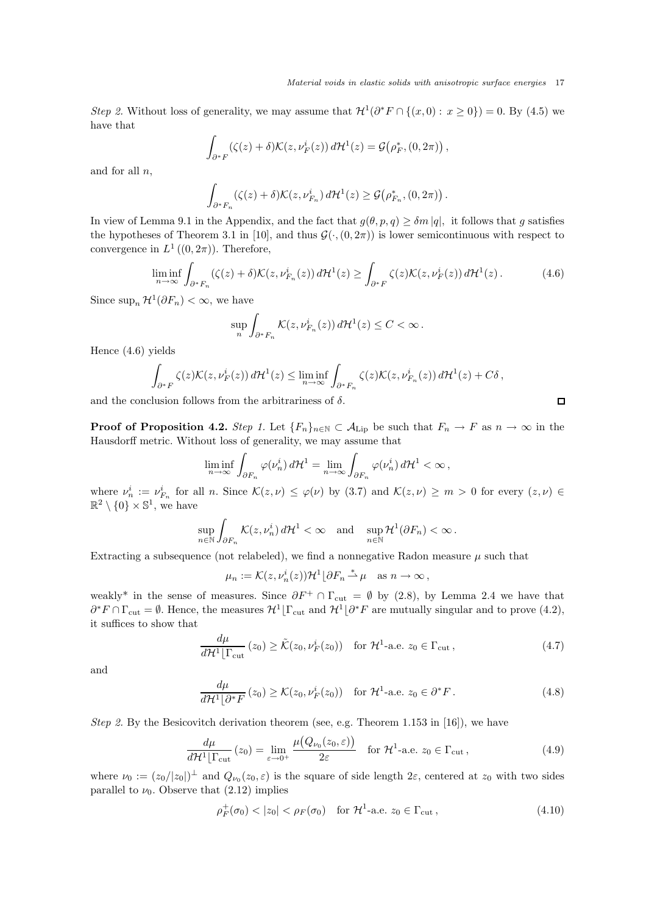*Step 2*. Without loss of generality, we may assume that  $\mathcal{H}^1(\partial^* F \cap \{(x,0): x \ge 0\}) = 0$ . By (4.5) we have that

$$
\int_{\partial^*F} (\zeta(z)+\delta) \mathcal{K}(z,\nu_F^i(z))\,d\mathcal{H}^1(z)=\mathcal{G}\big(\rho_F^*,(0,2\pi)\big)\,,
$$

and for all  $n$ ,

$$
\int_{\partial^* F_n} (\zeta(z)+\delta) \mathcal{K}(z,\nu^i_{F_n}) d\mathcal{H}^1(z) \geq \mathcal{G}\big(\rho^*_{F_n}, (0,2\pi)\big) \, .
$$

In view of Lemma 9.1 in the Appendix, and the fact that  $g(\theta, p, q) \geq \delta m |q|$ , it follows that g satisfies the hypotheses of Theorem 3.1 in [10], and thus  $\mathcal{G}(\cdot,(0,2\pi))$  is lower semicontinuous with respect to convergence in  $L^1((0, 2\pi))$ . Therefore,

$$
\liminf_{n \to \infty} \int_{\partial^* F_n} (\zeta(z) + \delta) \mathcal{K}(z, \nu_{F_n}^i(z)) d\mathcal{H}^1(z) \ge \int_{\partial^* F} \zeta(z) \mathcal{K}(z, \nu_F^i(z)) d\mathcal{H}^1(z).
$$
 (4.6)

Since  $\sup_n \mathcal{H}^1(\partial F_n) < \infty$ , we have

$$
\sup_n \int_{\partial^* F_n} \mathcal{K}(z, \nu_{F_n}^i(z)) d\mathcal{H}^1(z) \leq C < \infty.
$$

Hence (4.6) yields

$$
\int_{\partial^* F} \zeta(z) \mathcal{K}(z, \nu_F^i(z)) d\mathcal{H}^1(z) \le \liminf_{n \to \infty} \int_{\partial^* F_n} \zeta(z) \mathcal{K}(z, \nu_{F_n}^i(z)) d\mathcal{H}^1(z) + C\delta,
$$

and the conclusion follows from the arbitrariness of  $\delta$ .

**Proof of Proposition 4.2.** *Step 1.* Let  ${F_n}_{n \in \mathbb{N}} \subset A_{\text{Lip}}$  be such that  $F_n \to F$  as  $n \to \infty$  in the Hausdorff metric. Without loss of generality, we may assume that

$$
\liminf_{n \to \infty} \int_{\partial F_n} \varphi(\nu_n^i) d\mathcal{H}^1 = \lim_{n \to \infty} \int_{\partial F_n} \varphi(\nu_n^i) d\mathcal{H}^1 < \infty,
$$

where  $\nu_n^i := \nu_{F_n}^i$  for all n. Since  $\mathcal{K}(z,\nu) \leq \varphi(\nu)$  by (3.7) and  $\mathcal{K}(z,\nu) \geq m > 0$  for every  $(z,\nu) \in$  $\mathbb{R}^2 \setminus \{0\} \times \mathbb{S}^1$ , we have

$$
\sup_{n\in\mathbb{N}}\int_{\partial F_n}\mathcal{K}(z,\nu_n^i)\,d\mathcal{H}^1<\infty\quad\text{and}\quad\sup_{n\in\mathbb{N}}\mathcal{H}^1(\partial F_n)<\infty\,.
$$

Extracting a subsequence (not relabeled), we find a nonnegative Radon measure  $\mu$  such that

 $\mu_n := \mathcal{K}(z, \nu_n^i(z)) \mathcal{H}^1 \lfloor \partial F_n \stackrel{*}{\rightharpoonup} \mu \quad \text{as } n \to \infty,$ 

weakly<sup>\*</sup> in the sense of measures. Since  $\partial F^+ \cap \Gamma_{\text{cut}} = \emptyset$  by (2.8), by Lemma 2.4 we have that  $\partial^* F \cap \Gamma_{\text{cut}} = \emptyset$ . Hence, the measures  $\mathcal{H}^1[\Gamma_{\text{cut}}]$  and  $\mathcal{H}^1[\partial^* F]$  are mutually singular and to prove (4.2), it suffices to show that

$$
\frac{d\mu}{d\mathcal{H}^1[\Gamma_{\text{cut}}}(z_0) \ge \tilde{\mathcal{K}}(z_0, \nu_F^i(z_0)) \quad \text{for } \mathcal{H}^1\text{-a.e. } z_0 \in \Gamma_{\text{cut}},\tag{4.7}
$$

and

$$
\frac{d\mu}{d\mathcal{H}^1\lfloor \partial^* F}(z_0) \ge \mathcal{K}(z_0, \nu_F^i(z_0)) \quad \text{for } \mathcal{H}^1\text{-a.e. } z_0 \in \partial^* F. \tag{4.8}
$$

*Step 2.* By the Besicovitch derivation theorem (see, e.g. Theorem 1.153 in [16]), we have

$$
\frac{d\mu}{d\mathcal{H}^1|\Gamma_{\text{cut}}} (z_0) = \lim_{\varepsilon \to 0^+} \frac{\mu(Q_{\nu_0}(z_0, \varepsilon))}{2\varepsilon} \quad \text{for } \mathcal{H}^1\text{-a.e. } z_0 \in \Gamma_{\text{cut}},\tag{4.9}
$$

where  $\nu_0 := (z_0/|z_0|)^{\perp}$  and  $Q_{\nu_0}(z_0, \varepsilon)$  is the square of side length  $2\varepsilon$ , centered at  $z_0$  with two sides parallel to  $\nu_0$ . Observe that (2.12) implies

$$
\rho_F^+(\sigma_0) < |z_0| < \rho_F(\sigma_0) \quad \text{for } \mathcal{H}^1\text{-a.e. } z_0 \in \Gamma_{\text{cut}},\tag{4.10}
$$

 $\Box$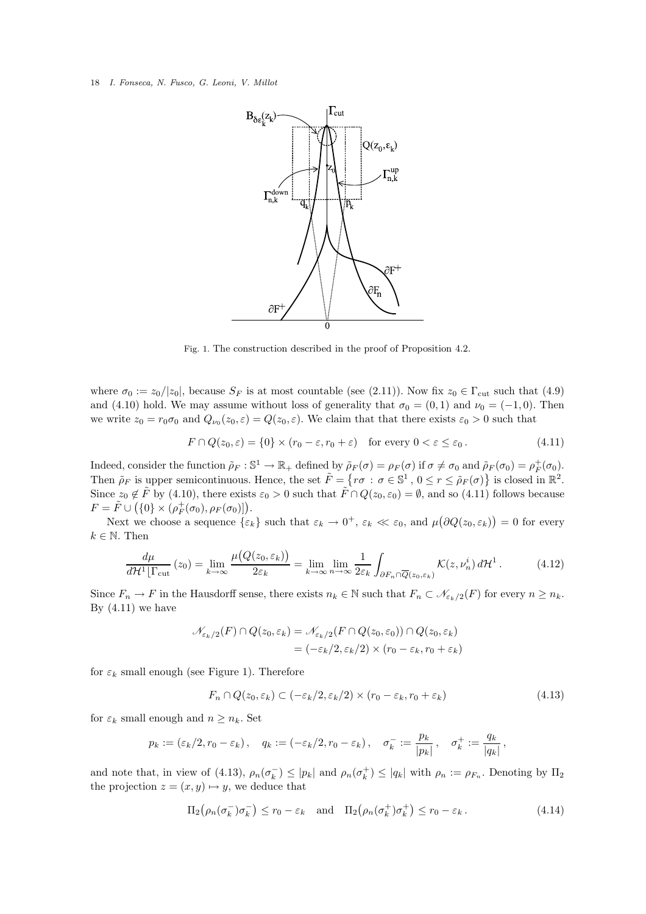

Fig. 1. The construction described in the proof of Proposition 4.2.

where  $\sigma_0 := z_0/|z_0|$ , because  $S_F$  is at most countable (see (2.11)). Now fix  $z_0 \in \Gamma_{\rm cut}$  such that (4.9) and (4.10) hold. We may assume without loss of generality that  $\sigma_0 = (0, 1)$  and  $\nu_0 = (-1, 0)$ . Then we write  $z_0 = r_0 \sigma_0$  and  $Q_{\nu_0}(z_0, \varepsilon) = Q(z_0, \varepsilon)$ . We claim that that there exists  $\varepsilon_0 > 0$  such that

$$
F \cap Q(z_0, \varepsilon) = \{0\} \times (r_0 - \varepsilon, r_0 + \varepsilon) \quad \text{for every } 0 < \varepsilon \leq \varepsilon_0. \tag{4.11}
$$

Indeed, consider the function  $\tilde{\rho}_F : \mathbb{S}^1 \to \mathbb{R}_+$  defined by  $\tilde{\rho}_F(\sigma) = \rho_F(\sigma)$  if  $\sigma \neq \sigma_0$  and  $\tilde{\rho}_F(\sigma_0) = \rho_F^+(\sigma_0)$ . Then  $\tilde{\rho}_F$  is upper semicontinuous. Hence, the set  $\tilde{F} = \{r\sigma : \sigma \in \mathbb{S}^1, 0 \le r \le \tilde{\rho}_F(\sigma)\}\$ is closed in  $\mathbb{R}^2$ . Since  $z_0 \notin \tilde{F}$  by (4.10), there exists  $\varepsilon_0 > 0$  such that  $\tilde{F} \cap Q(z_0, \varepsilon_0) = \emptyset$ , and so (4.11) follows because  $F = \tilde{F} \cup (\{0\} \times (\rho_F^+(\sigma_0), \rho_F(\sigma_0))).$ 

Next we choose a sequence  $\{\varepsilon_k\}$  such that  $\varepsilon_k \to 0^+, \, \varepsilon_k \ll \varepsilon_0$ , and  $\mu(\partial Q(z_0, \varepsilon_k)) = 0$  for every  $k \in \mathbb{N}$ . Then

$$
\frac{d\mu}{d\mathcal{H}^1[\Gamma_{\rm cut}}(z_0) = \lim_{k \to \infty} \frac{\mu(Q(z_0, \varepsilon_k))}{2\varepsilon_k} = \lim_{k \to \infty} \lim_{n \to \infty} \frac{1}{2\varepsilon_k} \int_{\partial F_n \cap \overline{Q}(z_0, \varepsilon_k)} \mathcal{K}(z, \nu_n^i) d\mathcal{H}^1. \tag{4.12}
$$

Since  $F_n \to F$  in the Hausdorff sense, there exists  $n_k \in \mathbb{N}$  such that  $F_n \subset \mathcal{N}_{\varepsilon_k/2}(F)$  for every  $n \geq n_k$ . By  $(4.11)$  we have

$$
\mathcal{N}_{\varepsilon_k/2}(F) \cap Q(z_0, \varepsilon_k) = \mathcal{N}_{\varepsilon_k/2}(F \cap Q(z_0, \varepsilon_0)) \cap Q(z_0, \varepsilon_k)
$$
  
= 
$$
(-\varepsilon_k/2, \varepsilon_k/2) \times (r_0 - \varepsilon_k, r_0 + \varepsilon_k)
$$

for  $\varepsilon_k$  small enough (see Figure 1). Therefore

$$
F_n \cap Q(z_0, \varepsilon_k) \subset (-\varepsilon_k/2, \varepsilon_k/2) \times (r_0 - \varepsilon_k, r_0 + \varepsilon_k)
$$
\n(4.13)

for  $\varepsilon_k$  small enough and  $n \geq n_k$ . Set

$$
p_k := (\varepsilon_k/2, r_0 - \varepsilon_k), \quad q_k := (-\varepsilon_k/2, r_0 - \varepsilon_k), \quad \sigma_k^- := \frac{p_k}{|p_k|}, \quad \sigma_k^+ := \frac{q_k}{|q_k|},
$$

and note that, in view of (4.13),  $\rho_n(\sigma_k^-) \leq |p_k|$  and  $\rho_n(\sigma_k^+) \leq |q_k|$  with  $\rho_n := \rho_{F_n}$ . Denoting by  $\Pi_2$ the projection  $z = (x, y) \mapsto y$ , we deduce that

$$
\Pi_2(\rho_n(\sigma_k^-)\sigma_k^-) \le r_0 - \varepsilon_k \quad \text{and} \quad \Pi_2(\rho_n(\sigma_k^+) \sigma_k^+) \le r_0 - \varepsilon_k. \tag{4.14}
$$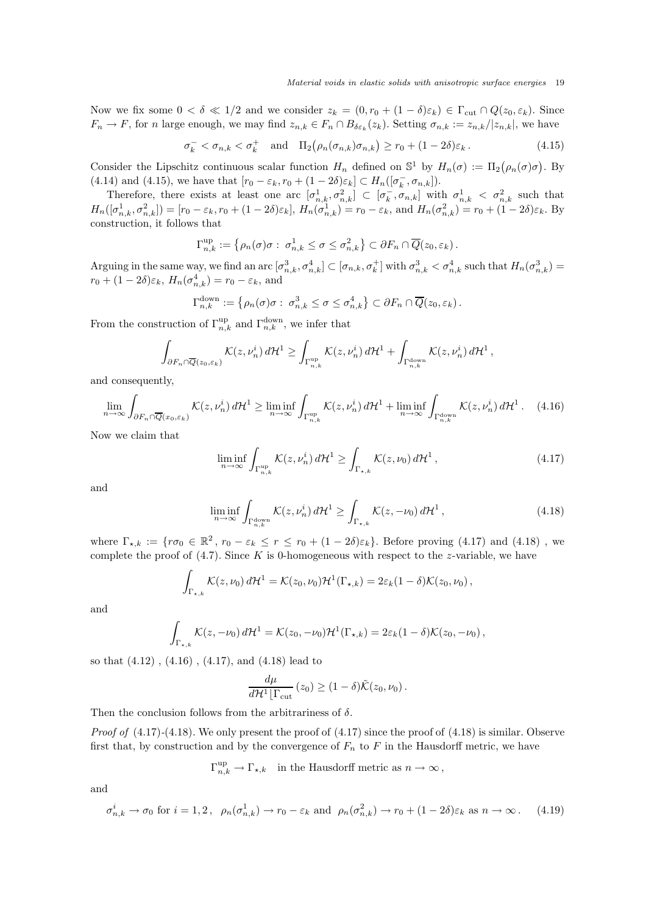Now we fix some  $0 < \delta \ll 1/2$  and we consider  $z_k = (0, r_0 + (1 - \delta)\varepsilon_k) \in \Gamma_{\text{cut}} \cap Q(z_0, \varepsilon_k)$ . Since  $F_n \to F$ , for *n* large enough, we may find  $z_{n,k} \in F_n \cap B_{\delta \varepsilon_k}(z_k)$ . Setting  $\sigma_{n,k} := z_{n,k}/|z_{n,k}|$ , we have

$$
\sigma_k^- < \sigma_{n,k} < \sigma_k^+ \quad \text{and} \quad \Pi_2(\rho_n(\sigma_{n,k})\sigma_{n,k}) \ge r_0 + (1 - 2\delta)\varepsilon_k. \tag{4.15}
$$

Consider the Lipschitz continuous scalar function  $H_n$  defined on  $\mathbb{S}^1$  by  $H_n(\sigma) := \Pi_2(\rho_n(\sigma)\sigma)$ . By (4.14) and (4.15), we have that  $[r_0 - \varepsilon_k, r_0 + (1 - 2\delta)\varepsilon_k] \subset H_n([\sigma_k^-, \sigma_{n,k}]).$ 

Therefore, there exists at least one arc  $[\sigma_{n,k}^1, \sigma_{n,k}^2] \subset [\sigma_k^-, \sigma_{n,k}]$  with  $\sigma_{n,k}^1 < \sigma_{n,k}^2$  such that  $H_n([\sigma_{n,k}^1, \sigma_{n,k}^2]) = [r_0 - \varepsilon_k, r_0 + (1 - 2\delta)\varepsilon_k], H_n(\sigma_{n,k}^1) = r_0 - \varepsilon_k$ , and  $H_n(\sigma_{n,k}^2) = r_0 + (1 - 2\delta)\varepsilon_k$ . By construction, it follows that

$$
\Gamma_{n,k}^{\text{up}} := \left\{ \rho_n(\sigma) \sigma : \ \sigma_{n,k}^1 \leq \sigma \leq \sigma_{n,k}^2 \right\} \subset \partial F_n \cap \overline{Q}(z_0, \varepsilon_k).
$$

Arguing in the same way, we find an arc  $[\sigma_{n,k}^3, \sigma_{n,k}^4] \subset [\sigma_{n,k}, \sigma_k^+]$  with  $\sigma_{n,k}^3 < \sigma_{n,k}^4$  such that  $H_n(\sigma_{n,k}^3)$  =  $r_0 + (1 - 2\delta)\varepsilon_k$ ,  $H_n(\sigma_{n,k}^4) = r_0 - \varepsilon_k$ , and

$$
\Gamma_{n,k}^{\text{down}} := \left\{ \rho_n(\sigma) \sigma : \sigma_{n,k}^3 \leq \sigma \leq \sigma_{n,k}^4 \right\} \subset \partial F_n \cap \overline{Q}(z_0, \varepsilon_k).
$$

From the construction of  $\Gamma_{n,k}^{\text{up}}$  and  $\Gamma_{n,k}^{\text{down}}$ , we infer that

$$
\int_{\partial F_n \cap \overline{Q}(z_0,\varepsilon_k)} \mathcal{K}(z,\nu_n^i) d\mathcal{H}^1 \geq \int_{\Gamma_{n,k}^{\text{up}}} \mathcal{K}(z,\nu_n^i) d\mathcal{H}^1 + \int_{\Gamma_{n,k}^{\text{down}}} \mathcal{K}(z,\nu_n^i) d\mathcal{H}^1,
$$

and consequently,

$$
\lim_{n \to \infty} \int_{\partial F_n \cap \overline{Q}(x_0, \varepsilon_k)} \mathcal{K}(z, \nu_n^i) d\mathcal{H}^1 \ge \liminf_{n \to \infty} \int_{\Gamma_{n,k}^{\text{up}}} \mathcal{K}(z, \nu_n^i) d\mathcal{H}^1 + \liminf_{n \to \infty} \int_{\Gamma_{n,k}^{\text{down}}} \mathcal{K}(z, \nu_n^i) d\mathcal{H}^1. \tag{4.16}
$$

Now we claim that

$$
\liminf_{n \to \infty} \int_{\Gamma_{n,k}^{\text{up}}} \mathcal{K}(z, \nu_n^i) d\mathcal{H}^1 \ge \int_{\Gamma_{\star,k}} \mathcal{K}(z, \nu_0) d\mathcal{H}^1,
$$
\n(4.17)

and

$$
\liminf_{n \to \infty} \int_{\Gamma_{n,k}^{\text{down}}} \mathcal{K}(z, \nu_n^i) d\mathcal{H}^1 \ge \int_{\Gamma_{\star,k}} \mathcal{K}(z, -\nu_0) d\mathcal{H}^1,
$$
\n(4.18)

where  $\Gamma_{\star,k} := \{r\sigma_0 \in \mathbb{R}^2, r_0 - \varepsilon_k \leq r \leq r_0 + (1 - 2\delta)\varepsilon_k\}$ . Before proving (4.17) and (4.18), we complete the proof of  $(4.7)$ . Since K is 0-homogeneous with respect to the z-variable, we have

$$
\int_{\Gamma_{\star,k}} \mathcal{K}(z,\nu_0) d\mathcal{H}^1 = \mathcal{K}(z_0,\nu_0) \mathcal{H}^1(\Gamma_{\star,k}) = 2\varepsilon_k (1-\delta) \mathcal{K}(z_0,\nu_0),
$$

and

$$
\int_{\Gamma_{\star,k}} \mathcal{K}(z,-\nu_0) d\mathcal{H}^1 = \mathcal{K}(z_0,-\nu_0) \mathcal{H}^1(\Gamma_{\star,k}) = 2\varepsilon_k (1-\delta) \mathcal{K}(z_0,-\nu_0),
$$

so that (4.12) , (4.16) , (4.17), and (4.18) lead to

$$
\frac{d\mu}{d\mathcal{H}^1\lfloor \Gamma_{\rm cut}}(z_0) \ge (1-\delta)\tilde{\mathcal{K}}(z_0,\nu_0).
$$

Then the conclusion follows from the arbitrariness of  $\delta$ .

*Proof of*  $(4.17)$ - $(4.18)$ *.* We only present the proof of  $(4.17)$  since the proof of  $(4.18)$  is similar. Observe first that, by construction and by the convergence of  $F_n$  to F in the Hausdorff metric, we have

$$
\Gamma_{n,k}^{\text{up}} \to \Gamma_{\star,k} \quad \text{in the Hausdorff metric as $n \to \infty$} \, ,
$$

and

$$
\sigma_{n,k}^i \to \sigma_0 \text{ for } i = 1,2 \,, \ \rho_n(\sigma_{n,k}^1) \to r_0 - \varepsilon_k \text{ and } \rho_n(\sigma_{n,k}^2) \to r_0 + (1 - 2\delta)\varepsilon_k \text{ as } n \to \infty \,.
$$
 (4.19)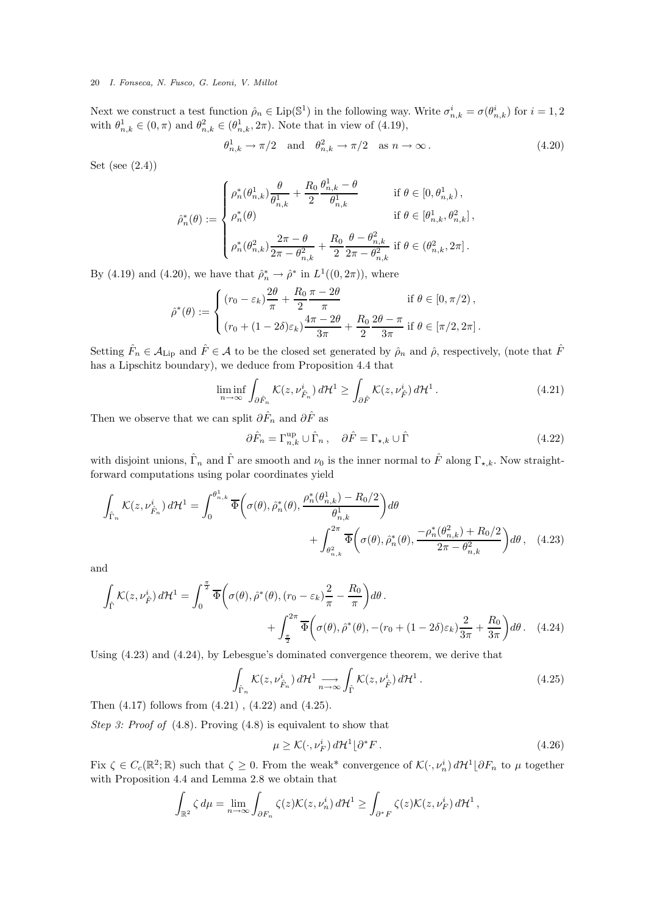Next we construct a test function  $\hat{\rho}_n \in \text{Lip}(\mathbb{S}^1)$  in the following way. Write  $\sigma_{n,k}^i = \sigma(\theta_{n,k}^i)$  for  $i = 1, 2$ with  $\theta_{n,k}^1 \in (0, \pi)$  and  $\theta_{n,k}^2 \in (\theta_{n,k}^1, 2\pi)$ . Note that in view of (4.19),

$$
\theta_{n,k}^1 \to \pi/2 \quad \text{and} \quad \theta_{n,k}^2 \to \pi/2 \quad \text{as } n \to \infty \,. \tag{4.20}
$$

Set (see (2.4))

$$
\hat{\rho}_n^*(\theta) := \begin{cases} \rho_n^*(\theta_{n,k}^1) \frac{\theta}{\theta_{n,k}^1} + \frac{R_0}{2} \frac{\theta_{n,k}^1 - \theta}{\theta_{n,k}^1} & \text{if } \theta \in [0, \theta_{n,k}^1), \\ \rho_n^*(\theta) & \text{if } \theta \in [\theta_{n,k}^1, \theta_{n,k}^2], \\ \rho_n^*(\theta_{n,k}^2) \frac{2\pi - \theta}{2\pi - \theta_{n,k}^2} + \frac{R_0}{2} \frac{\theta - \theta_{n,k}^2}{2\pi - \theta_{n,k}^2} & \text{if } \theta \in (\theta_{n,k}^2, 2\pi]. \end{cases}
$$

By (4.19) and (4.20), we have that  $\hat{\rho}_n^* \to \hat{\rho}^*$  in  $L^1((0, 2\pi))$ , where

$$
\hat{\rho}^*(\theta) := \begin{cases}\n(r_0 - \varepsilon_k) \frac{2\theta}{\pi} + \frac{R_0}{2} \frac{\pi - 2\theta}{\pi} & \text{if } \theta \in [0, \pi/2), \\
(r_0 + (1 - 2\delta)\varepsilon_k) \frac{4\pi - 2\theta}{3\pi} + \frac{R_0}{2} \frac{2\theta - \pi}{3\pi} & \text{if } \theta \in [\pi/2, 2\pi].\n\end{cases}
$$

Setting  $\hat{F}_n \in A_{\text{Lip}}$  and  $\hat{F} \in \mathcal{A}$  to be the closed set generated by  $\hat{\rho}_n$  and  $\hat{\rho}$ , respectively, (note that  $\hat{F}$ has a Lipschitz boundary), we deduce from Proposition 4.4 that

$$
\liminf_{n \to \infty} \int_{\partial \hat{F}_n} \mathcal{K}(z, \nu_{\hat{F}_n}^i) d\mathcal{H}^1 \ge \int_{\partial \hat{F}} \mathcal{K}(z, \nu_{\hat{F}}^i) d\mathcal{H}^1. \tag{4.21}
$$

Then we observe that we can split  $\partial \hat{F}_n$  and  $\partial \hat{F}$  as

$$
\partial \hat{F}_n = \Gamma_{n,k}^{\text{up}} \cup \hat{\Gamma}_n, \quad \partial \hat{F} = \Gamma_{\star,k} \cup \hat{\Gamma}
$$
\n(4.22)

with disjoint unions,  $\hat{\Gamma}_n$  and  $\hat{\Gamma}$  are smooth and  $\nu_0$  is the inner normal to  $\hat{F}$  along  $\Gamma_{\star,k}$ . Now straightforward computations using polar coordinates yield

$$
\int_{\hat{\Gamma}_n} \mathcal{K}(z, \nu_{\hat{F}_n}^i) d\mathcal{H}^1 = \int_0^{\theta_{n,k}^1} \overline{\Phi}\bigg(\sigma(\theta), \hat{\rho}_n^*(\theta), \frac{\rho_n^*(\theta_{n,k}^1) - R_0/2}{\theta_{n,k}^1}\bigg) d\theta + \int_{\theta_{n,k}^2}^{2\pi} \overline{\Phi}\bigg(\sigma(\theta), \hat{\rho}_n^*(\theta), \frac{-\rho_n^*(\theta_{n,k}^2) + R_0/2}{2\pi - \theta_{n,k}^2}\bigg) d\theta, \quad (4.23)
$$

and

$$
\int_{\hat{\Gamma}} \mathcal{K}(z, \nu_{\hat{F}}^{i}) d\mathcal{H}^{1} = \int_{0}^{\frac{\pi}{2}} \overline{\Phi}\left(\sigma(\theta), \hat{\rho}^{*}(\theta), (r_{0} - \varepsilon_{k}) \frac{2}{\pi} - \frac{R_{0}}{\pi}\right) d\theta
$$
\n
$$
+ \int_{\frac{\pi}{2}}^{2\pi} \overline{\Phi}\left(\sigma(\theta), \hat{\rho}^{*}(\theta), -(r_{0} + (1 - 2\delta)\varepsilon_{k}) \frac{2}{3\pi} + \frac{R_{0}}{3\pi}\right) d\theta. \quad (4.24)
$$

Using (4.23) and (4.24), by Lebesgue's dominated convergence theorem, we derive that

$$
\int_{\hat{\Gamma}_n} \mathcal{K}(z, \nu_{\hat{F}_n}^i) d\mathcal{H}^1 \underset{n \to \infty}{\longrightarrow} \int_{\hat{\Gamma}} \mathcal{K}(z, \nu_{\hat{F}}^i) d\mathcal{H}^1.
$$
\n(4.25)

Then (4.17) follows from (4.21) , (4.22) and (4.25).

*Step 3: Proof of* (4.8)*.* Proving (4.8) is equivalent to show that

$$
\mu \ge \mathcal{K}(\cdot, \nu_F^i) d\mathcal{H}^1 \lfloor \partial^* F \,. \tag{4.26}
$$

Fix  $\zeta \in C_c(\mathbb{R}^2;\mathbb{R})$  such that  $\zeta \geq 0$ . From the weak\* convergence of  $\mathcal{K}(\cdot,\nu_n^i) d\mathcal{H}^1[\partial F_n$  to  $\mu$  together with Proposition 4.4 and Lemma 2.8 we obtain that

$$
\int_{\mathbb{R}^2} \zeta \, d\mu = \lim_{n \to \infty} \int_{\partial F_n} \zeta(z) \mathcal{K}(z, \nu_n^i) \, d\mathcal{H}^1 \ge \int_{\partial^* F} \zeta(z) \mathcal{K}(z, \nu_F^i) \, d\mathcal{H}^1,
$$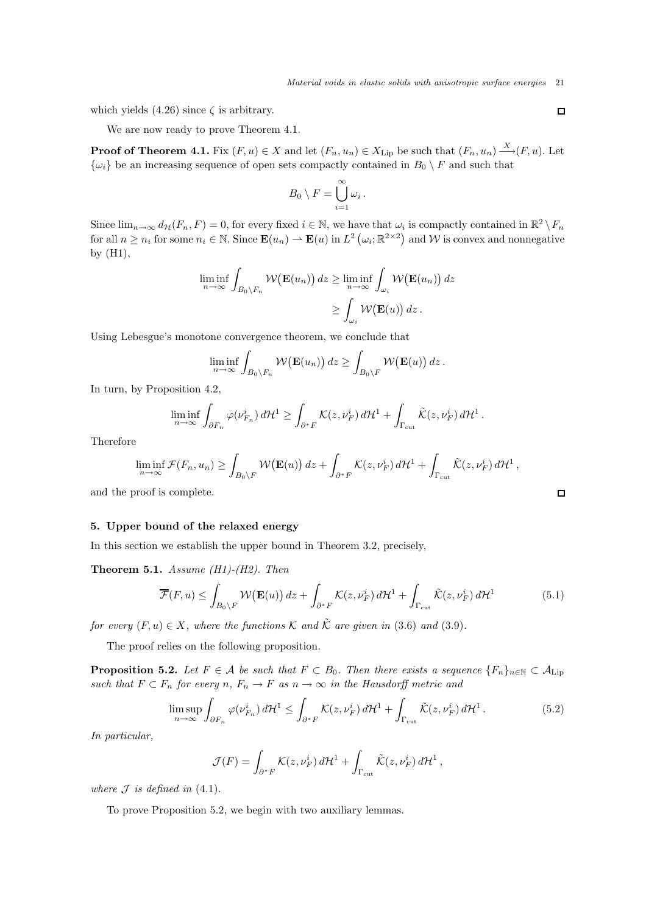which yields (4.26) since  $\zeta$  is arbitrary.

We are now ready to prove Theorem 4.1.

**Proof of Theorem 4.1.** Fix  $(F, u) \in X$  and let  $(F_n, u_n) \in X$ <sub>Lip</sub> be such that  $(F_n, u_n) \xrightarrow{X} (F, u)$ . Let  $\{\omega_i\}$  be an increasing sequence of open sets compactly contained in  $B_0 \setminus F$  and such that

$$
B_0 \setminus F = \bigcup_{i=1}^{\infty} \omega_i.
$$

Since  $\lim_{n\to\infty} d_{\mathcal{H}}(F_n, F) = 0$ , for every fixed  $i \in \mathbb{N}$ , we have that  $\omega_i$  is compactly contained in  $\mathbb{R}^2 \setminus F_n$ for all  $n \geq n_i$  for some  $n_i \in \mathbb{N}$ . Since  $\mathbf{E}(u_n) \to \mathbf{E}(u)$  in  $L^2(\omega_i; \mathbb{R}^{2 \times 2})$  and W is convex and nonnegative by (H1),

$$
\liminf_{n \to \infty} \int_{B_0 \setminus F_n} \mathcal{W}(\mathbf{E}(u_n)) dz \ge \liminf_{n \to \infty} \int_{\omega_i} \mathcal{W}(\mathbf{E}(u_n)) dz
$$
  

$$
\ge \int_{\omega_i} \mathcal{W}(\mathbf{E}(u)) dz.
$$

Using Lebesgue's monotone convergence theorem, we conclude that

$$
\liminf_{n\to\infty}\int_{B_0\setminus F_n} \mathcal{W}(\mathbf{E}(u_n))\,dz \geq \int_{B_0\setminus F} \mathcal{W}(\mathbf{E}(u))\,dz\,.
$$

In turn, by Proposition 4.2,

$$
\liminf_{n\to\infty}\int_{\partial F_n}\varphi(\nu_{F_n}^i)\,d\mathcal{H}^1\geq \int_{\partial^* F}\mathcal{K}(z,\nu_F^i)\,d\mathcal{H}^1+\int_{\Gamma_{\rm cut}}\tilde{\mathcal{K}}(z,\nu_F^i)\,d\mathcal{H}^1.
$$

Therefore

$$
\liminf_{n\to\infty} \mathcal{F}(F_n, u_n) \geq \int_{B_0\setminus F} \mathcal{W}(\mathbf{E}(u)) dz + \int_{\partial^* F} \mathcal{K}(z, \nu_F^i) d\mathcal{H}^1 + \int_{\Gamma_{\rm cut}} \tilde{\mathcal{K}}(z, \nu_F^i) d\mathcal{H}^1,
$$

and the proof is complete.

### 5. Upper bound of the relaxed energy

In this section we establish the upper bound in Theorem 3.2, precisely,

Theorem 5.1. *Assume (H1)-(H2). Then*

$$
\overline{\mathcal{F}}(F, u) \le \int_{B_0 \setminus F} \mathcal{W}(\mathbf{E}(u)) dz + \int_{\partial^* F} \mathcal{K}(z, \nu_F^i) d\mathcal{H}^1 + \int_{\Gamma_{\rm cut}} \tilde{\mathcal{K}}(z, \nu_F^i) d\mathcal{H}^1 \tag{5.1}
$$

*for every*  $(F, u) \in X$ *, where the functions*  $K$  *and*  $\tilde{K}$  *are given in* (3.6) *and* (3.9)*.* 

The proof relies on the following proposition.

**Proposition 5.2.** Let  $F \in \mathcal{A}$  be such that  $F \subset B_0$ . Then there exists a sequence  $\{F_n\}_{n \in \mathbb{N}} \subset A_{\text{Lip}}$ *such that*  $F \subset F_n$  *for every*  $n, F_n \to F$  *as*  $n \to \infty$  *in the Hausdorff metric and* 

$$
\limsup_{n \to \infty} \int_{\partial F_n} \varphi(\nu_{F_n}^i) d\mathcal{H}^1 \le \int_{\partial^* F} \mathcal{K}(z, \nu_F^i) d\mathcal{H}^1 + \int_{\Gamma_{\text{cut}}} \tilde{\mathcal{K}}(z, \nu_F^i) d\mathcal{H}^1. \tag{5.2}
$$

*In particular,*

$$
\mathcal{J}(F) = \int_{\partial^* F} \mathcal{K}(z, \nu_F^i) d\mathcal{H}^1 + \int_{\Gamma_{\rm cut}} \tilde{\mathcal{K}}(z, \nu_F^i) d\mathcal{H}^1,
$$

*where*  $J$  *is defined in* (4.1).

To prove Proposition 5.2, we begin with two auxiliary lemmas.

 $\Box$ 

 $\Box$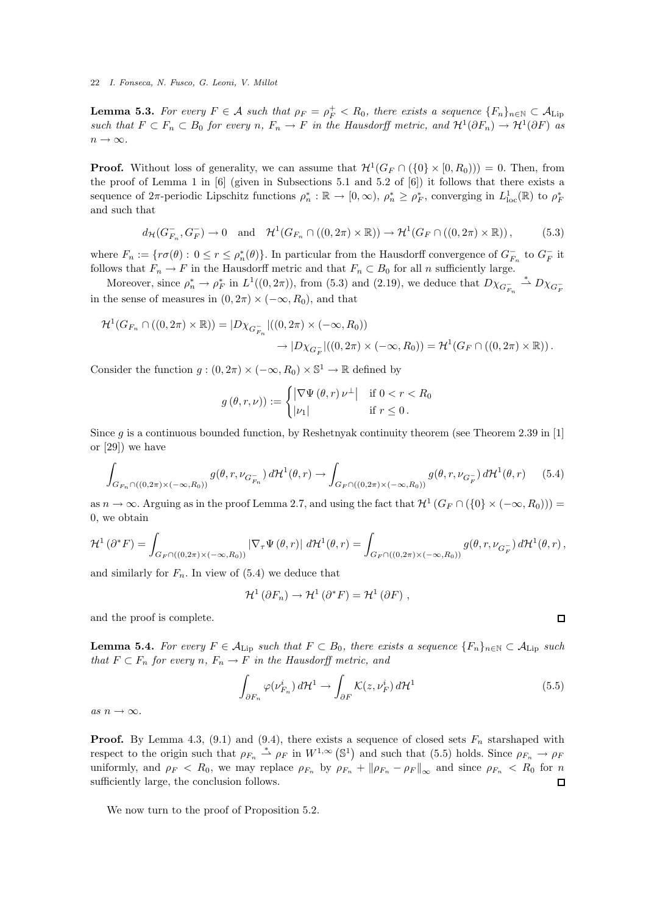**Lemma 5.3.** For every  $F \in \mathcal{A}$  such that  $\rho_F = \rho_F^+ < R_0$ , there exists a sequence  $\{F_n\}_{n \in \mathbb{N}} \subset \mathcal{A}_{\text{Lip}}$ *such that*  $F \subset F_n \subset B_0$  *for every*  $n, F_n \to F$  *in the Hausdorff metric, and*  $\mathcal{H}^1(\partial F_n) \to \mathcal{H}^1(\partial F)$  *as*  $n \to \infty$ .

**Proof.** Without loss of generality, we can assume that  $\mathcal{H}^1(G_F \cap (\{0\} \times [0, R_0))) = 0$ . Then, from the proof of Lemma 1 in  $[6]$  (given in Subsections 5.1 and 5.2 of  $[6]$ ) it follows that there exists a sequence of  $2\pi$ -periodic Lipschitz functions  $\rho_n^* : \mathbb{R} \to [0, \infty)$ ,  $\rho_n^* \geq \rho_F^*$ , converging in  $L^1_{loc}(\mathbb{R})$  to  $\rho_F^*$ and such that

$$
d_{\mathcal{H}}(G_{F_n}^-, G_F^-) \to 0 \quad \text{and} \quad \mathcal{H}^1(G_{F_n} \cap ((0, 2\pi) \times \mathbb{R})) \to \mathcal{H}^1(G_F \cap ((0, 2\pi) \times \mathbb{R})), \tag{5.3}
$$

where  $F_n := \{ r \sigma(\theta) : 0 \le r \le \rho_n^*(\theta) \}.$  In particular from the Hausdorff convergence of  $G_{F_n}^-$  to  $G_F^-$  it follows that  $F_n \to F$  in the Hausdorff metric and that  $F_n \subset B_0$  for all n sufficiently large.

Moreover, since  $\rho_n^* \to \rho_F^*$  in  $L^1((0, 2\pi))$ , from (5.3) and (2.19), we deduce that  $D\chi_{G_{F_n}^-} \stackrel{*}{\to} D\chi_{G_F^-}$ in the sense of measures in  $(0, 2\pi) \times (-\infty, R_0)$ , and that

$$
\mathcal{H}^1(G_{F_n} \cap ((0,2\pi) \times \mathbb{R})) = |D\chi_{G_{F_n}^-}|((0,2\pi) \times (-\infty,R_0))
$$
  

$$
\rightarrow |D\chi_{G_F^-}|((0,2\pi) \times (-\infty,R_0)) = \mathcal{H}^1(G_F \cap ((0,2\pi) \times \mathbb{R})).
$$

Consider the function  $g : (0, 2\pi) \times (-\infty, R_0) \times \mathbb{S}^1 \to \mathbb{R}$  defined by

$$
g(\theta, r, \nu)) := \begin{cases} |\nabla \Psi(\theta, r) \nu^{\perp}| & \text{if } 0 < r < R_0 \\ |\nu_1| & \text{if } r \le 0. \end{cases}
$$

Since  $q$  is a continuous bounded function, by Reshetnyak continuity theorem (see Theorem 2.39 in [1] or [29]) we have

$$
\int_{G_{F_n} \cap ((0,2\pi) \times (-\infty,R_0))} g(\theta,r,\nu_{G_{F_n}^-}) d\mathcal{H}^1(\theta,r) \to \int_{G_F \cap ((0,2\pi) \times (-\infty,R_0))} g(\theta,r,\nu_{G_F^-}) d\mathcal{H}^1(\theta,r) \tag{5.4}
$$

as  $n \to \infty$ . Arguing as in the proof Lemma 2.7, and using the fact that  $\mathcal{H}^1(G_F \cap (\{0\} \times (-\infty, R_0)))$  = 0, we obtain

$$
\mathcal{H}^{1}(\partial^{*} F) = \int_{G_{F} \cap ((0,2\pi) \times (-\infty,R_{0}))} |\nabla_{\tau} \Psi(\theta,r)| d\mathcal{H}^{1}(\theta,r) = \int_{G_{F} \cap ((0,2\pi) \times (-\infty,R_{0}))} g(\theta,r,\nu_{G_{F}^{-}}) d\mathcal{H}^{1}(\theta,r),
$$

and similarly for  $F_n$ . In view of  $(5.4)$  we deduce that

$$
\mathcal{H}^1(\partial F_n) \to \mathcal{H}^1(\partial^* F) = \mathcal{H}^1(\partial F) ,
$$

and the proof is complete.

**Lemma 5.4.** *For every*  $F \in A$ <sub>Lip</sub> *such that*  $F \subset B_0$ *, there exists a sequence*  ${F_n}_{n \in \mathbb{N}} \subset A$ <sub>Lip</sub> *such that*  $F \subset F_n$  *for every n,*  $F_n \to F$  *in the Hausdorff metric, and* 

$$
\int_{\partial F_n} \varphi(\nu_{F_n}^i) d\mathcal{H}^1 \to \int_{\partial F} \mathcal{K}(z, \nu_F^i) d\mathcal{H}^1 \tag{5.5}
$$

 $\Box$ 

 $as\ n \to \infty$ .

**Proof.** By Lemma 4.3, (9.1) and (9.4), there exists a sequence of closed sets  $F_n$  starshaped with respect to the origin such that  $\rho_{F_n} \stackrel{*}{\rightharpoonup} \rho_F$  in  $W^{1,\infty}(\mathbb{S}^1)$  and such that (5.5) holds. Since  $\rho_{F_n} \to \rho_F$ uniformly, and  $\rho_F < R_0$ , we may replace  $\rho_{F_n}$  by  $\rho_{F_n} + ||\rho_{F_n} - \rho_F||_{\infty}$  and since  $\rho_{F_n} < R_0$  for n sufficiently large, the conclusion follows.

We now turn to the proof of Proposition 5.2.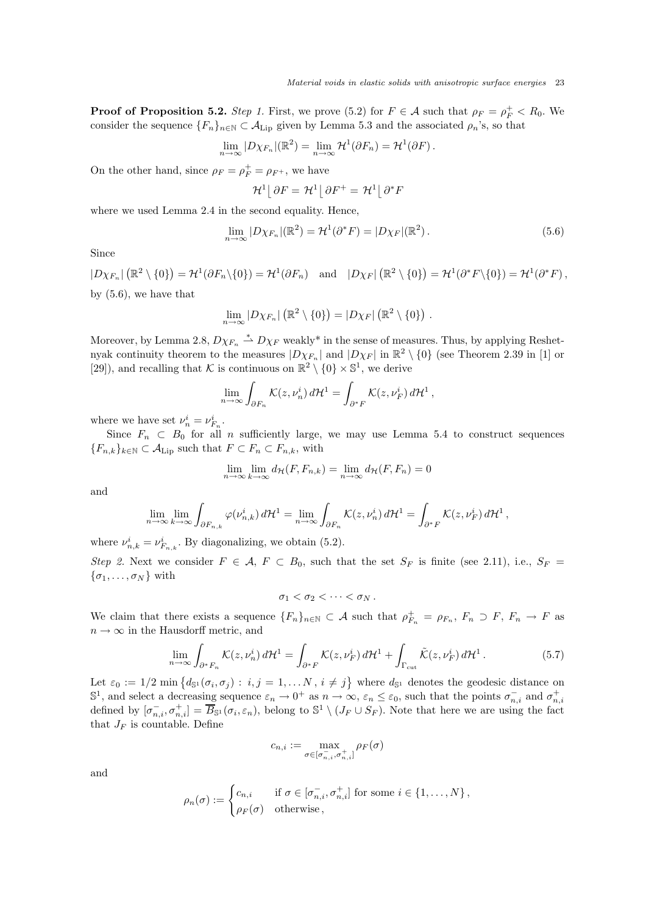**Proof of Proposition 5.2.** *Step 1*. First, we prove (5.2) for  $F \in \mathcal{A}$  such that  $\rho_F = \rho_F^+ < R_0$ . We consider the sequence  $\{F_n\}_{n\in\mathbb{N}}\subset\mathcal{A}_{\mathrm{Lip}}$  given by Lemma 5.3 and the associated  $\rho_n$ 's, so that

$$
\lim_{n\to\infty}|D\chi_{F_n}|(\mathbb{R}^2)=\lim_{n\to\infty}\mathcal{H}^1(\partial F_n)=\mathcal{H}^1(\partial F).
$$

On the other hand, since  $\rho_F = \rho_F^+ = \rho_{F^+}$ , we have

$$
\mathcal{H}^1\big[\,\partial F = \mathcal{H}^1\big[\,\partial F^+ = \mathcal{H}^1\big[\,\partial^*F\big]
$$

where we used Lemma 2.4 in the second equality. Hence,

$$
\lim_{n \to \infty} |D\chi_{F_n}|(\mathbb{R}^2) = \mathcal{H}^1(\partial^* F) = |D\chi_F|(\mathbb{R}^2).
$$
\n(5.6)

Since

 $|D\chi_{F_n}|\left(\mathbb{R}^2 \setminus \{0\}\right) = \mathcal{H}^1(\partial F_n \setminus \{0\}) = \mathcal{H}^1(\partial F_n)$  and  $|D\chi_F|\left(\mathbb{R}^2 \setminus \{0\}\right) = \mathcal{H}^1(\partial^* F \setminus \{0\}) = \mathcal{H}^1(\partial^* F)$ , by (5.6), we have that

$$
\lim_{n\to\infty} |D\chi_{F_n}|(\mathbb{R}^2 \setminus \{0\}) = |D\chi_F|(\mathbb{R}^2 \setminus \{0\}) .
$$

Moreover, by Lemma 2.8,  $D\chi_{F_n} \stackrel{*}{\rightharpoonup} D\chi_F$  weakly\* in the sense of measures. Thus, by applying Reshetnyak continuity theorem to the measures  $|D\chi_{F_n}|$  and  $|D\chi_F|$  in  $\mathbb{R}^2 \setminus \{0\}$  (see Theorem 2.39 in [1] or [29]), and recalling that K is continuous on  $\mathbb{R}^2 \setminus \{0\} \times \mathbb{S}^1$ , we derive

$$
\lim_{n \to \infty} \int_{\partial F_n} \mathcal{K}(z, \nu_n^i) d\mathcal{H}^1 = \int_{\partial^* F} \mathcal{K}(z, \nu_F^i) d\mathcal{H}^1,
$$

where we have set  $\nu_n^i = \nu_{F_n}^i$ .

Since  $F_n \subset B_0$  for all n sufficiently large, we may use Lemma 5.4 to construct sequences  ${F_{n,k}}_{k\in\mathbb{N}}\subset\mathcal{A}_{\text{Lip}}$  such that  $F\subset F_n\subset F_{n,k}$ , with

$$
\lim_{n \to \infty} \lim_{k \to \infty} d_{\mathcal{H}}(F, F_{n,k}) = \lim_{n \to \infty} d_{\mathcal{H}}(F, F_n) = 0
$$

and

$$
\lim_{n \to \infty} \lim_{k \to \infty} \int_{\partial F_{n,k}} \varphi(\nu_{n,k}^i) d\mathcal{H}^1 = \lim_{n \to \infty} \int_{\partial F_n} \mathcal{K}(z, \nu_n^i) d\mathcal{H}^1 = \int_{\partial^* F} \mathcal{K}(z, \nu_F^i) d\mathcal{H}^1,
$$

where  $\nu_{n,k}^i = \nu_{F_{n,k}}^i$ . By diagonalizing, we obtain (5.2).

*Step 2.* Next we consider  $F \in \mathcal{A}$ ,  $F \subset B_0$ , such that the set  $S_F$  is finite (see 2.11), i.e.,  $S_F =$  $\{\sigma_1,\ldots,\sigma_N\}$  with

 $\sigma_1 < \sigma_2 < \cdots < \sigma_N$ .

We claim that there exists a sequence  $\{F_n\}_{n\in\mathbb{N}}\subset\mathcal{A}$  such that  $\rho_{F_n}^+=\rho_{F_n}, F_n\supset F, F_n\to F$  as  $n \to \infty$  in the Hausdorff metric, and

$$
\lim_{n \to \infty} \int_{\partial^* F_n} \mathcal{K}(z, \nu_n^i) d\mathcal{H}^1 = \int_{\partial^* F} \mathcal{K}(z, \nu_F^i) d\mathcal{H}^1 + \int_{\Gamma_{\text{cut}}} \tilde{\mathcal{K}}(z, \nu_F^i) d\mathcal{H}^1. \tag{5.7}
$$

Let  $\varepsilon_0 := 1/2 \min \big\{ d_{\mathbb{S}^1}(\sigma_i, \sigma_j) : i, j = 1, \ldots N, i \neq j \big\}$  where  $d_{\mathbb{S}^1}$  denotes the geodesic distance on  $\mathbb{S}^1$ , and select a decreasing sequence  $\varepsilon_n \to 0^+$  as  $n \to \infty$ ,  $\varepsilon_n \leq \varepsilon_0$ , such that the points  $\sigma_{n,i}^-$  and  $\sigma_{n,i}^+$ defined by  $[\sigma_{n,i}^-, \sigma_{n,i}^+] = \overline{B}_{\mathbb{S}^1}(\sigma_i, \varepsilon_n)$ , belong to  $\mathbb{S}^1 \setminus (J_F \cup S_F)$ . Note that here we are using the fact that  $J_F$  is countable. Define

$$
c_{n,i} := \max_{\sigma \in [\sigma_{n,i}^-, \sigma_{n,i}^+]}\rho_F(\sigma)
$$

and

$$
\rho_n(\sigma) := \begin{cases} c_{n,i} & \text{if } \sigma \in [\sigma_{n,i}^-, \sigma_{n,i}^+] \text{ for some } i \in \{1, \ldots, N\}, \\ \rho_F(\sigma) & \text{otherwise}, \end{cases}
$$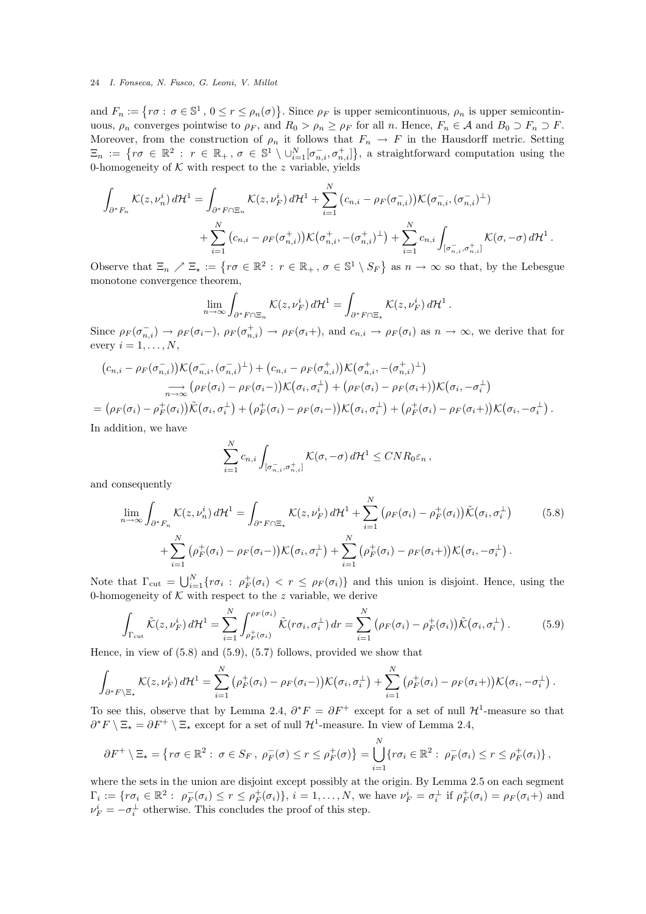and  $F_n := \{ r \sigma : \sigma \in \mathbb{S}^1, 0 \le r \le \rho_n(\sigma) \}.$  Since  $\rho_F$  is upper semicontinuous,  $\rho_n$  is upper semicontinuous,  $\rho_n$  converges pointwise to  $\rho_F$ , and  $R_0 > \rho_n \geq \rho_F$  for all n. Hence,  $F_n \in \mathcal{A}$  and  $B_0 \supset F_n \supset F$ . Moreover, from the construction of  $\rho_n$  it follows that  $F_n \to F$  in the Hausdorff metric. Setting  $\Xi_n := \{ r \sigma \in \mathbb{R}^2 : r \in \mathbb{R}_+ , \sigma \in \mathbb{S}^1 \setminus \cup_{i=1}^N [\sigma_{n,i}^-, \sigma_{n,i}^+] \},$  a straightforward computation using the 0-homogeneity of  $K$  with respect to the z variable, yields

$$
\int_{\partial^* F_n} \mathcal{K}(z, \nu_n^i) d\mathcal{H}^1 = \int_{\partial^* F \cap \Xi_n} \mathcal{K}(z, \nu_F^i) d\mathcal{H}^1 + \sum_{i=1}^N (c_{n,i} - \rho_F(\sigma_{n,i}^-)) \mathcal{K}(\sigma_{n,i}^-, (\sigma_{n,i}^-)^\perp) \n+ \sum_{i=1}^N (c_{n,i} - \rho_F(\sigma_{n,i}^+)) \mathcal{K}(\sigma_{n,i}^+, -(\sigma_{n,i}^+)^\perp) + \sum_{i=1}^N c_{n,i} \int_{[\sigma_{n,i}^-, \sigma_{n,i}^+]} \mathcal{K}(\sigma, -\sigma) d\mathcal{H}^1.
$$

Observe that  $\Xi_n \nearrow \Xi_\star := \{ r\sigma \in \mathbb{R}^2 : r \in \mathbb{R}_+ , \sigma \in \mathbb{S}^1 \setminus S_F \}$  as  $n \to \infty$  so that, by the Lebesgue monotone convergence theorem,

$$
\lim_{n \to \infty} \int_{\partial^* F \cap \Xi_n} \mathcal{K}(z, \nu_F^i) d\mathcal{H}^1 = \int_{\partial^* F \cap \Xi_\star} \mathcal{K}(z, \nu_F^i) d\mathcal{H}^1
$$

.

Since  $\rho_F(\sigma_{n,i}^-) \to \rho_F(\sigma_i^-)$ ,  $\rho_F(\sigma_{n,i}^+) \to \rho_F(\sigma_i^+)$ , and  $c_{n,i} \to \rho_F(\sigma_i)$  as  $n \to \infty$ , we derive that for every  $i = 1, \ldots, N$ ,

$$
(c_{n,i} - \rho_F(\sigma_{n,i}^-))\mathcal{K}(\sigma_{n,i}^-, (\sigma_{n,i}^-)^{\perp}) + (c_{n,i} - \rho_F(\sigma_{n,i}^+))\mathcal{K}(\sigma_{n,i}^+, -(\sigma_{n,i}^+)^{\perp})
$$
  
\n
$$
\longrightarrow (\rho_F(\sigma_i) - \rho_F(\sigma_i^-))\mathcal{K}(\sigma_i, \sigma_i^{\perp}) + (\rho_F(\sigma_i) - \rho_F(\sigma_i+))\mathcal{K}(\sigma_i, -\sigma_i^{\perp})
$$
  
\n
$$
= (\rho_F(\sigma_i) - \rho_F^+(\sigma_i))\tilde{\mathcal{K}}(\sigma_i, \sigma_i^{\perp}) + (\rho_F^+(\sigma_i) - \rho_F(\sigma_i-))\mathcal{K}(\sigma_i, \sigma_i^{\perp}) + (\rho_F^+(\sigma_i) - \rho_F(\sigma_i+))\mathcal{K}(\sigma_i, -\sigma_i^{\perp}).
$$

In addition, we have

$$
\sum_{i=1}^N c_{n,i} \int_{[\sigma_{n,i}^-, \sigma_{n,i}^+]} \mathcal{K}(\sigma, -\sigma) d\mathcal{H}^1 \leq CNR_0 \varepsilon_n,
$$

and consequently

$$
\lim_{n \to \infty} \int_{\partial^* F_n} \mathcal{K}(z, \nu_n^i) d\mathcal{H}^1 = \int_{\partial^* F \cap \Xi_\star} \mathcal{K}(z, \nu_F^i) d\mathcal{H}^1 + \sum_{i=1}^N \left( \rho_F(\sigma_i) - \rho_F^+(\sigma_i) \right) \tilde{\mathcal{K}}(\sigma_i, \sigma_i^\perp) + \sum_{i=1}^N \left( \rho_F^+(\sigma_i) - \rho_F(\sigma_i -) \right) \mathcal{K}(\sigma_i, \sigma_i^\perp) + \sum_{i=1}^N \left( \rho_F^+(\sigma_i) - \rho_F(\sigma_i -) \right) \mathcal{K}(\sigma_i, \sigma_i^\perp) + \sum_{i=1}^N \left( \rho_F^+(\sigma_i) - \rho_F(\sigma_i -) \right) \mathcal{K}(\sigma_i, \sigma_i^\perp).
$$
\n(5.8)

Note that  $\Gamma_{\text{cut}} = \bigcup_{i=1}^{N} \{ r \sigma_i : \rho_F^+(\sigma_i) < r \leq \rho_F(\sigma_i) \}$  and this union is disjoint. Hence, using the 0-homogeneity of  $K$  with respect to the z variable, we derive

$$
\int_{\Gamma_{\rm cut}} \tilde{\mathcal{K}}(z, \nu_F^i) d\mathcal{H}^1 = \sum_{i=1}^N \int_{\rho_F^+(\sigma_i)}^{\rho_F(\sigma_i)} \tilde{\mathcal{K}}(r\sigma_i, \sigma_i^\perp) dr = \sum_{i=1}^N \left(\rho_F(\sigma_i) - \rho_F^+(\sigma_i)\right) \tilde{\mathcal{K}}(\sigma_i, \sigma_i^\perp).
$$
(5.9)

Hence, in view of (5.8) and (5.9), (5.7) follows, provided we show that

$$
\int_{\partial^* F \backslash \Xi_*} \mathcal{K}(z, \nu_F^i) d\mathcal{H}^1 = \sum_{i=1}^N (\rho_F^+(\sigma_i) - \rho_F(\sigma_i-)) \mathcal{K}(\sigma_i, \sigma_i^{\perp}) + \sum_{i=1}^N (\rho_F^+(\sigma_i) - \rho_F(\sigma_i+)) \mathcal{K}(\sigma_i, -\sigma_i^{\perp}).
$$

To see this, observe that by Lemma 2.4,  $\partial^* F = \partial F^+$  except for a set of null  $\mathcal{H}^1$ -measure so that  $\partial^* F \setminus \Xi_{\star} = \partial F^+ \setminus \Xi_{\star}$  except for a set of null  $\mathcal{H}^1$ -measure. In view of Lemma 2.4,

$$
\partial F^+ \setminus \Xi_{\star} = \left\{ r\sigma \in \mathbb{R}^2 : \ \sigma \in S_F, \ \rho_F^-(\sigma) \le r \le \rho_F^+(\sigma) \right\} = \bigcup_{i=1}^N \left\{ r\sigma_i \in \mathbb{R}^2 : \ \rho_F^-(\sigma_i) \le r \le \rho_F^+(\sigma_i) \right\},
$$

where the sets in the union are disjoint except possibly at the origin. By Lemma 2.5 on each segment  $\Gamma_i := \{ r \sigma_i \in \mathbb{R}^2 : \ \rho_F^-(\sigma_i) \le r \le \rho_F^+(\sigma_i) \}, i = 1, \dots, N$ , we have  $\nu_F^i = \sigma_i^{\perp}$  if  $\rho_F^+(\sigma_i) = \rho_F(\sigma_i)$  and  $\nu_F^i = -\sigma_i^{\perp}$  otherwise. This concludes the proof of this step.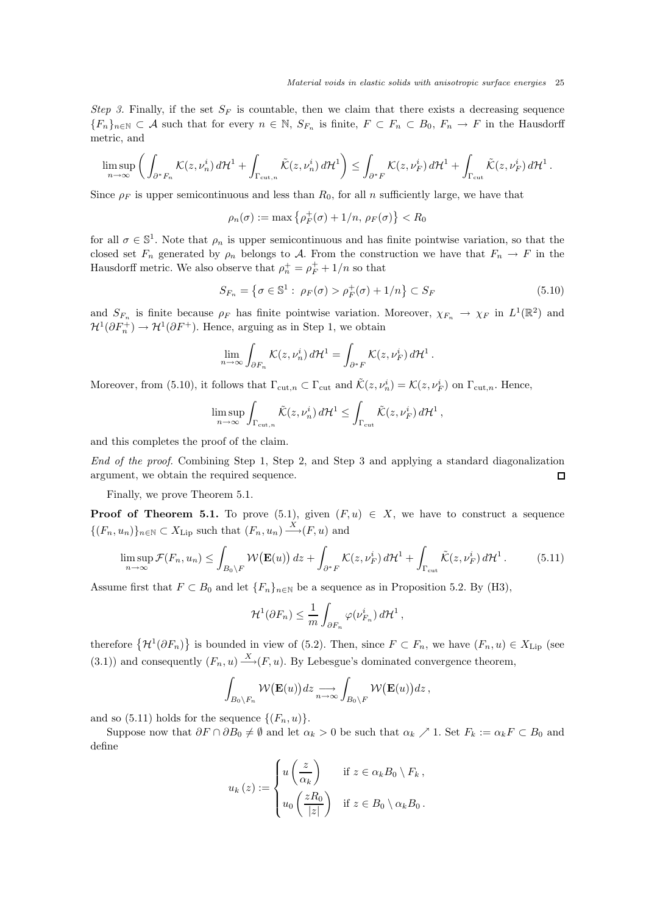*Step 3.* Finally, if the set  $S_F$  is countable, then we claim that there exists a decreasing sequence  ${F_n}_{n \in \mathbb{N}} \subset \mathcal{A}$  such that for every  $n \in \mathbb{N}$ ,  $S_{F_n}$  is finite,  $F \subset F_n \subset B_0$ ,  $F_n \to F$  in the Hausdorff metric, and

$$
\limsup_{n\to\infty}\left(\int_{\partial^*F_n}\mathcal{K}(z,\nu_n^i)\,d\mathcal{H}^1+\int_{\Gamma_{\rm cut,n}}\tilde{\mathcal{K}}(z,\nu_n^i)\,d\mathcal{H}^1\right)\leq\int_{\partial^*F}\mathcal{K}(z,\nu_F^i)\,d\mathcal{H}^1+\int_{\Gamma_{\rm cut}}\tilde{\mathcal{K}}(z,\nu_F^i)\,d\mathcal{H}^1\,.
$$

Since  $\rho_F$  is upper semicontinuous and less than  $R_0$ , for all n sufficiently large, we have that

$$
\rho_n(\sigma) := \max \left\{ \rho_F^+(\sigma) + 1/n, \, \rho_F(\sigma) \right\} < R_0
$$

for all  $\sigma \in \mathbb{S}^1$ . Note that  $\rho_n$  is upper semicontinuous and has finite pointwise variation, so that the closed set  $F_n$  generated by  $\rho_n$  belongs to A. From the construction we have that  $F_n \to F$  in the Hausdorff metric. We also observe that  $\rho_n^+ = \rho_F^+ + 1/n$  so that

$$
S_{F_n} = \left\{ \sigma \in \mathbb{S}^1 : \ \rho_F(\sigma) > \rho_F^+(\sigma) + 1/n \right\} \subset S_F \tag{5.10}
$$

,

and  $S_{F_n}$  is finite because  $\rho_F$  has finite pointwise variation. Moreover,  $\chi_{F_n} \to \chi_F$  in  $L^1(\mathbb{R}^2)$  and  $\mathcal{H}^1(\partial F_n^+) \to \mathcal{H}^1(\partial F^+)$ . Hence, arguing as in Step 1, we obtain

$$
\lim_{n \to \infty} \int_{\partial F_n} \mathcal{K}(z, \nu_n^i) d\mathcal{H}^1 = \int_{\partial^* F} \mathcal{K}(z, \nu_F^i) d\mathcal{H}^1.
$$

Moreover, from (5.10), it follows that  $\Gamma_{\text{cut},n} \subset \Gamma_{\text{cut}}$  and  $\tilde{\mathcal{K}}(z,\nu_n^i) = \mathcal{K}(z,\nu_F^i)$  on  $\Gamma_{\text{cut},n}$ . Hence,

$$
\limsup_{n\to\infty}\int_{\Gamma_{\rm cut,}n}\tilde{\mathcal K}(z,\nu_n^i)\,d{\mathcal H}^1\leq\int_{\Gamma_{\rm cut}}\tilde{\mathcal K}(z,\nu_F^i)\,d{\mathcal H}^1
$$

and this completes the proof of the claim.

*End of the proof.* Combining Step 1, Step 2, and Step 3 and applying a standard diagonalization argument, we obtain the required sequence.  $\Box$ 

Finally, we prove Theorem 5.1.

**Proof of Theorem 5.1.** To prove (5.1), given  $(F, u) \in X$ , we have to construct a sequence  $\{(F_n, u_n)\}_{n \in \mathbb{N}} \subset X_{\text{Lip}}$  such that  $(F_n, u_n) \xrightarrow{X} (F, u)$  and

$$
\limsup_{n \to \infty} \mathcal{F}(F_n, u_n) \le \int_{B_0 \setminus F} \mathcal{W}(\mathbf{E}(u)) dz + \int_{\partial^* F} \mathcal{K}(z, \nu_F^i) d\mathcal{H}^1 + \int_{\Gamma_{\text{cut}}} \tilde{\mathcal{K}}(z, \nu_F^i) d\mathcal{H}^1. \tag{5.11}
$$

Assume first that  $F \subset B_0$  and let  $\{F_n\}_{n\in\mathbb{N}}$  be a sequence as in Proposition 5.2. By (H3),

$$
\mathcal{H}^1(\partial F_n) \leq \frac{1}{m} \int_{\partial F_n} \varphi(\nu_{F_n}^i) d\mathcal{H}^1,
$$

therefore  $\{\mathcal{H}^1(\partial F_n)\}\$  is bounded in view of (5.2). Then, since  $F \subset F_n$ , we have  $(F_n, u) \in X_{\text{Lip}}$  (see (3.1)) and consequently  $(F_n, u) \xrightarrow{X} (F, u)$ . By Lebesgue's dominated convergence theorem,

$$
\int_{B_0\setminus F_n} \mathcal{W}(\mathbf{E}(u))dz \longrightarrow_{n\to\infty} \int_{B_0\setminus F} \mathcal{W}(\mathbf{E}(u))dz,
$$

and so (5.11) holds for the sequence  $\{(F_n, u)\}.$ 

Suppose now that  $\partial F \cap \partial B_0 \neq \emptyset$  and let  $\alpha_k > 0$  be such that  $\alpha_k \nearrow 1$ . Set  $F_k := \alpha_k F \subset B_0$  and define

$$
u_k(z) := \begin{cases} u\left(\frac{z}{\alpha_k}\right) & \text{if } z \in \alpha_k B_0 \setminus F_k, \\ u_0\left(\frac{zR_0}{|z|}\right) & \text{if } z \in B_0 \setminus \alpha_k B_0. \end{cases}
$$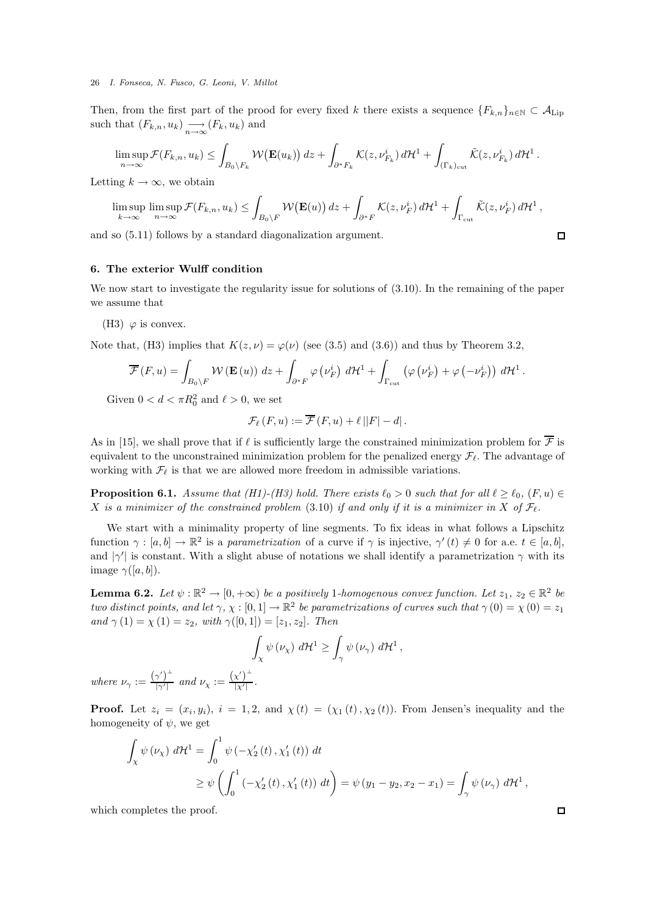Then, from the first part of the prood for every fixed k there exists a sequence  ${F_{k,n}}_{n\in\mathbb{N}}\subset\mathcal{A}_{\mathrm{Lip}}$ such that  $(F_{k,n}, u_k) \longrightarrow (F_k, u_k)$  and

$$
\limsup_{n\to\infty}\mathcal{F}(F_{k,n},u_k)\leq \int_{B_0\setminus F_k}\mathcal{W}\big(\mathbf{E}(u_k)\big)\,dz+\int_{\partial^* F_k}\mathcal{K}(z,\nu_{F_k}^i)\,d\mathcal{H}^1+\int_{(\Gamma_k)_{\rm cut}}\tilde{\mathcal{K}}(z,\nu_{F_k}^i)\,d\mathcal{H}^1\,.
$$

Letting  $k \to \infty$ , we obtain

$$
\limsup_{k \to \infty} \limsup_{n \to \infty} \mathcal{F}(F_{k,n}, u_k) \leq \int_{B_0 \setminus F} \mathcal{W}(\mathbf{E}(u)) dz + \int_{\partial^* F} \mathcal{K}(z, \nu_F^i) d\mathcal{H}^1 + \int_{\Gamma_{\rm cut}} \tilde{\mathcal{K}}(z, \nu_F^i) d\mathcal{H}^1,
$$

and so (5.11) follows by a standard diagonalization argument.

# 6. The exterior Wulff condition

We now start to investigate the regularity issue for solutions of (3.10). In the remaining of the paper we assume that

(H3)  $\varphi$  is convex.

Note that, (H3) implies that  $K(z, \nu) = \varphi(\nu)$  (see (3.5) and (3.6)) and thus by Theorem 3.2,

$$
\overline{\mathcal{F}}(F, u) = \int_{B_0 \setminus F} \mathcal{W}(\mathbf{E}(u)) dz + \int_{\partial^* F} \varphi(\nu_F^i) d\mathcal{H}^1 + \int_{\Gamma_{\text{cut}}} \left( \varphi(\nu_F^i) + \varphi(-\nu_F^i) \right) d\mathcal{H}^1.
$$

Given  $0 < d < \pi R_0^2$  and  $\ell > 0$ , we set

$$
\mathcal{F}_{\ell}(F, u) := \overline{\mathcal{F}}(F, u) + \ell ||F| - d|.
$$

As in [15], we shall prove that if  $\ell$  is sufficiently large the constrained minimization problem for  $\overline{\mathcal{F}}$  is equivalent to the unconstrained minimization problem for the penalized energy  $\mathcal{F}_{\ell}$ . The advantage of working with  $\mathcal{F}_{\ell}$  is that we are allowed more freedom in admissible variations.

**Proposition 6.1.** *Assume that* (*H1*)-(*H3*) *hold. There exists*  $\ell_0 > 0$  *such that for all*  $\ell \geq \ell_0$ , (*F, u*)  $\in$ X is a minimizer of the constrained problem (3.10) if and only if it is a minimizer in X of  $\mathcal{F}_{\ell}$ .

We start with a minimality property of line segments. To fix ideas in what follows a Lipschitz function  $\gamma : [a, b] \to \mathbb{R}^2$  is a *parametrization* of a curve if  $\gamma$  is injective,  $\gamma'(t) \neq 0$  for a.e.  $t \in [a, b]$ , and  $|\gamma'|$  is constant. With a slight abuse of notations we shall identify a parametrization  $\gamma$  with its image  $\gamma([a, b]).$ 

**Lemma 6.2.** Let  $\psi : \mathbb{R}^2 \to [0, +\infty)$  be a positively 1-homogenous convex function. Let  $z_1, z_2 \in \mathbb{R}^2$  be *two distinct points, and let*  $\gamma$ ,  $\chi : [0,1] \to \mathbb{R}^2$  *be parametrizations of curves such that*  $\gamma(0) = \chi(0) = z_1$ *and*  $\gamma(1) = \chi(1) = z_2$ *, with*  $\gamma([0, 1]) = [z_1, z_2]$ *. Then* 

$$
\int_{X} \psi(\nu_{\chi}) d\mathcal{H}^{1} \geq \int_{\gamma} \psi(\nu_{\gamma}) d\mathcal{H}^{1},
$$

*where*  $\nu_{\gamma} := \frac{(\gamma')^{\perp}}{|\gamma'|}$  $\frac{\gamma')^{\perp}}{|\gamma'|}$  and  $\nu_{\chi} := \frac{(\chi')^{\perp}}{|\chi'|}$  $\frac{\lambda}{|\chi'|}$ .

**Proof.** Let  $z_i = (x_i, y_i), i = 1, 2, \text{ and } \chi(t) = (\chi_1(t), \chi_2(t))$ . From Jensen's inequality and the homogeneity of  $\psi$ , we get

$$
\int_{\chi} \psi(\nu_{\chi}) d\mathcal{H}^{1} = \int_{0}^{1} \psi(-\chi_{2}'(t), \chi_{1}'(t)) dt
$$
\n
$$
\geq \psi \left( \int_{0}^{1} (-\chi_{2}'(t), \chi_{1}'(t)) dt \right) = \psi (y_{1} - y_{2}, x_{2} - x_{1}) = \int_{\gamma} \psi(\nu_{\gamma}) d\mathcal{H}^{1},
$$

which completes the proof.

 $\Box$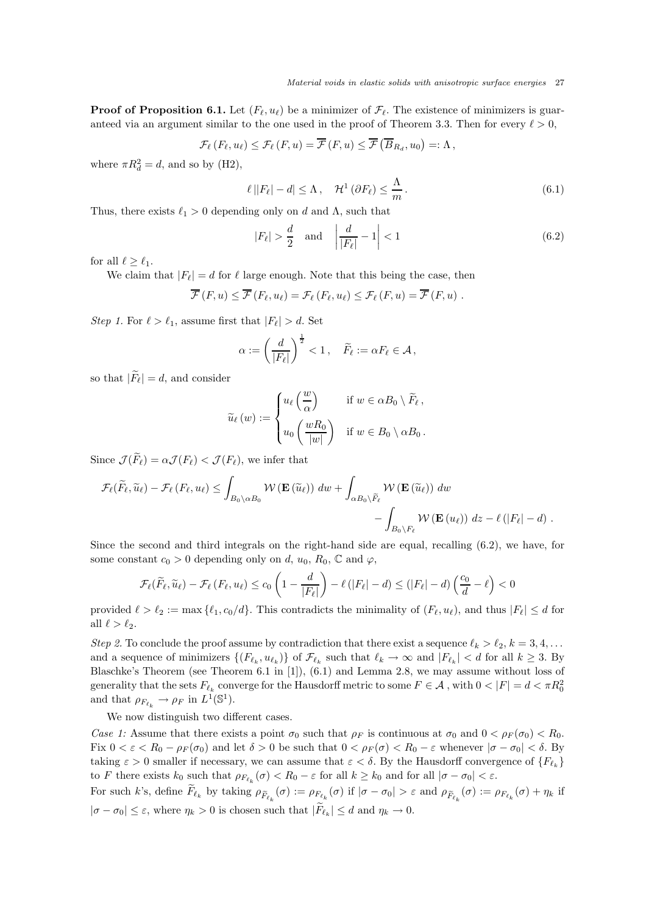**Proof of Proposition 6.1.** Let  $(F_{\ell}, u_{\ell})$  be a minimizer of  $\mathcal{F}_{\ell}$ . The existence of minimizers is guaranteed via an argument similar to the one used in the proof of Theorem 3.3. Then for every  $\ell > 0$ ,

$$
\mathcal{F}_{\ell}(F_{\ell}, u_{\ell}) \leq \mathcal{F}_{\ell}(F, u) = \overline{\mathcal{F}}(F, u) \leq \overline{\mathcal{F}}(\overline{B}_{R_d}, u_0) =: \Lambda,
$$

where  $\pi R_d^2 = d$ , and so by (H2),

$$
\ell||F_{\ell}| - d| \leq \Lambda, \quad \mathcal{H}^{1}(\partial F_{\ell}) \leq \frac{\Lambda}{m}.
$$
\n(6.1)

Thus, there exists  $\ell_1 > 0$  depending only on d and  $\Lambda$ , such that

$$
|F_{\ell}| > \frac{d}{2} \quad \text{and} \quad \left| \frac{d}{|F_{\ell}|} - 1 \right| < 1 \tag{6.2}
$$

for all  $\ell > \ell_1$ .

We claim that  $|F_{\ell}| = d$  for  $\ell$  large enough. Note that this being the case, then

$$
\overline{\mathcal{F}}(F, u) \leq \overline{\mathcal{F}}(F_{\ell}, u_{\ell}) = \mathcal{F}_{\ell}(F_{\ell}, u_{\ell}) \leq \mathcal{F}_{\ell}(F, u) = \overline{\mathcal{F}}(F, u) .
$$

*Step 1.* For  $\ell > \ell_1$ , assume first that  $|F_{\ell}| > d$ . Set

$$
\alpha := \left(\frac{d}{|F_{\ell}|}\right)^{\frac{1}{2}} < 1, \quad \widetilde{F}_{\ell} := \alpha F_{\ell} \in \mathcal{A},
$$

so that  $|\widetilde{F}_{\ell}| = d$ , and consider

$$
\widetilde{u}_{\ell}(w) := \begin{cases} u_{\ell}\left(\frac{w}{\alpha}\right) & \text{if } w \in \alpha B_0 \setminus \widetilde{F}_{\ell}, \\ u_0\left(\frac{wR_0}{|w|}\right) & \text{if } w \in B_0 \setminus \alpha B_0. \end{cases}
$$

Since  $\mathcal{J}(\widetilde{F}_{\ell}) = \alpha \mathcal{J}(F_{\ell}) < \mathcal{J}(F_{\ell})$ , we infer that

$$
\mathcal{F}_{\ell}(\widetilde{F}_{\ell},\widetilde{u}_{\ell}) - \mathcal{F}_{\ell}(F_{\ell},u_{\ell}) \leq \int_{B_{0} \setminus \alpha B_{0}} \mathcal{W}(\mathbf{E}(\widetilde{u}_{\ell})) \, dw + \int_{\alpha B_{0} \setminus \widetilde{F}_{\ell}} \mathcal{W}(\mathbf{E}(\widetilde{u}_{\ell})) \, dw - \int_{B_{0} \setminus F_{\ell}} \mathcal{W}(\mathbf{E}(u_{\ell})) \, dz - \ell(|F_{\ell}| - d) .
$$

Since the second and third integrals on the right-hand side are equal, recalling (6.2), we have, for some constant  $c_0 > 0$  depending only on d,  $u_0$ ,  $R_0$ ,  $\mathbb C$  and  $\varphi$ ,

$$
\mathcal{F}_{\ell}(\widetilde{F}_{\ell},\widetilde{u}_{\ell}) - \mathcal{F}_{\ell}(F_{\ell},u_{\ell}) \leq c_0 \left(1 - \frac{d}{|F_{\ell}|}\right) - \ell(|F_{\ell}| - d) \leq (|F_{\ell}| - d) \left(\frac{c_0}{d} - \ell\right) < 0
$$

provided  $\ell > \ell_2 := \max{\ell_1, c_0/d}$ . This contradicts the minimality of  $(F_\ell, u_\ell)$ , and thus  $|F_\ell| \leq d$  for all  $\ell > \ell_2$ .

*Step 2.* To conclude the proof assume by contradiction that there exist a sequence  $\ell_k > \ell_2, k = 3, 4, \ldots$ and a sequence of minimizers  $\{(F_{\ell_k}, u_{\ell_k})\}$  of  $\mathcal{F}_{\ell_k}$  such that  $\ell_k \to \infty$  and  $|F_{\ell_k}| < d$  for all  $k \geq 3$ . By Blaschke's Theorem (see Theorem 6.1 in [1]), (6.1) and Lemma 2.8, we may assume without loss of generality that the sets  $F_{\ell_k}$  converge for the Hausdorff metric to some  $F\in\mathcal{A}$  , with  $0<|F|=d<\pi R_0^2$ and that  $\rho_{F_{\ell_k}} \to \rho_F$  in  $L^1(\mathbb{S}^1)$ .

We now distinguish two different cases.

*Case 1:* Assume that there exists a point  $\sigma_0$  such that  $\rho_F$  is continuous at  $\sigma_0$  and  $0 < \rho_F(\sigma_0) < R_0$ . Fix  $0 < \varepsilon < R_0 - \rho_F(\sigma_0)$  and let  $\delta > 0$  be such that  $0 < \rho_F(\sigma) < R_0 - \varepsilon$  whenever  $|\sigma - \sigma_0| < \delta$ . By taking  $\varepsilon > 0$  smaller if necessary, we can assume that  $\varepsilon < \delta$ . By the Hausdorff convergence of  $\{F_{\ell_k}\}\$ to F there exists  $k_0$  such that  $\rho_{F_{\ell_k}}(\sigma) < R_0 - \varepsilon$  for all  $k \geq k_0$  and for all  $|\sigma - \sigma_0| < \varepsilon$ .

For such k's, define  $F_{\ell_k}$  by taking  $\rho_{\widetilde{F}_{\ell_k}}(\sigma) := \rho_{F_{\ell_k}}(\sigma)$  if  $|\sigma - \sigma_0| > \varepsilon$  and  $\rho_{\widetilde{F}_{\ell_k}}(\sigma) := \rho_{F_{\ell_k}}(\sigma) + \eta_k$  if  $|\sigma - \sigma_0| \leq \varepsilon$ , where  $\eta_k > 0$  is chosen such that  $|F_{\ell_k}| \leq d$  and  $\eta_k \to 0$ .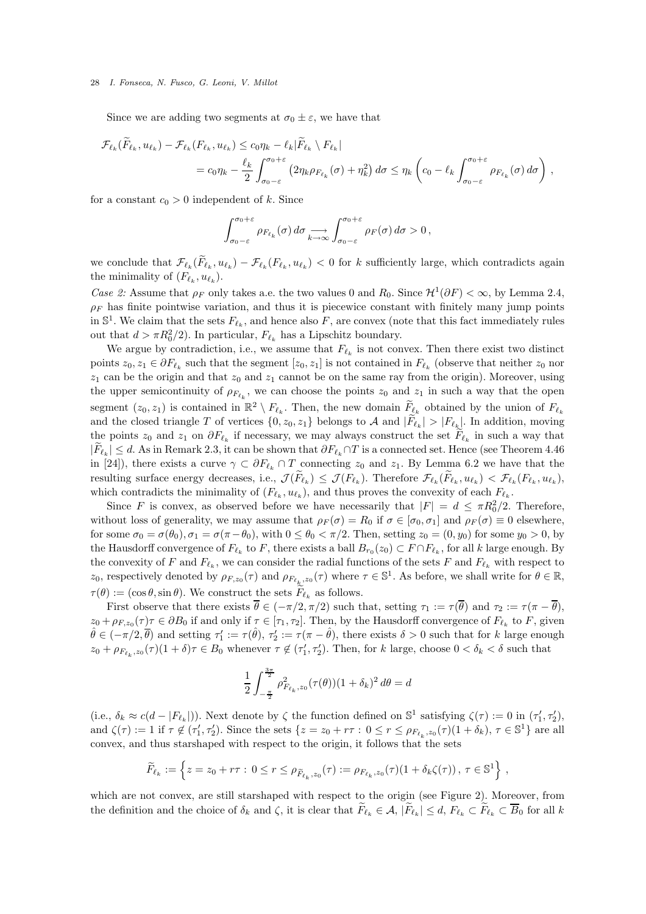Since we are adding two segments at  $\sigma_0 \pm \varepsilon$ , we have that

$$
\mathcal{F}_{\ell_k}(\widetilde{F}_{\ell_k}, u_{\ell_k}) - \mathcal{F}_{\ell_k}(F_{\ell_k}, u_{\ell_k}) \le c_0 \eta_k - \ell_k |\widetilde{F}_{\ell_k} \setminus F_{\ell_k}|
$$
  
=  $c_0 \eta_k - \frac{\ell_k}{2} \int_{\sigma_0 - \varepsilon}^{\sigma_0 + \varepsilon} (2\eta_k \rho_{F_{\ell_k}}(\sigma) + \eta_k^2) d\sigma \le \eta_k \left(c_0 - \ell_k \int_{\sigma_0 - \varepsilon}^{\sigma_0 + \varepsilon} \rho_{F_{\ell_k}}(\sigma) d\sigma\right),$ 

for a constant  $c_0 > 0$  independent of k. Since

$$
\int_{\sigma_0-\varepsilon}^{\sigma_0+\varepsilon} \rho_{F_{\ell_k}}(\sigma) d\sigma \underset{k\to\infty}{\longrightarrow} \int_{\sigma_0-\varepsilon}^{\sigma_0+\varepsilon} \rho_F(\sigma) d\sigma > 0,
$$

we conclude that  $\mathcal{F}_{\ell_k}(F_{\ell_k}, u_{\ell_k}) - \mathcal{F}_{\ell_k}(F_{\ell_k}, u_{\ell_k}) < 0$  for k sufficiently large, which contradicts again the minimality of  $(F_{\ell_k}, u_{\ell_k})$ .

*Case 2:* Assume that  $\rho_F$  only takes a.e. the two values 0 and  $R_0$ . Since  $\mathcal{H}^1(\partial F) < \infty$ , by Lemma 2.4,  $\rho_F$  has finite pointwise variation, and thus it is piecewice constant with finitely many jump points in  $\mathbb{S}^1$ . We claim that the sets  $F_{\ell_k}$ , and hence also F, are convex (note that this fact immediately rules out that  $d > \pi R_0^2/2$ ). In particular,  $F_{\ell_k}$  has a Lipschitz boundary.

We argue by contradiction, i.e., we assume that  $F_{\ell_k}$  is not convex. Then there exist two distinct points  $z_0, z_1 \in \partial F_{\ell_k}$  such that the segment  $[z_0, z_1]$  is not contained in  $F_{\ell_k}$  (observe that neither  $z_0$  nor  $z_1$  can be the origin and that  $z_0$  and  $z_1$  cannot be on the same ray from the origin). Moreover, using the upper semicontinuity of  $\rho_{F_{\ell_k}}$ , we can choose the points  $z_0$  and  $z_1$  in such a way that the open segment  $(z_0, z_1)$  is contained in  $\mathbb{R}^2 \setminus F_{\ell_k}$ . Then, the new domain  $\widetilde{F}_{\ell_k}$  obtained by the union of  $F_{\ell_k}$ and the closed triangle T of vertices  $\{0, z_0, z_1\}$  belongs to A and  $|F_{\ell_k}| > |F_{\ell_k}|$ . In addition, moving the points  $z_0$  and  $z_1$  on  $\partial F_{\ell_k}$  if necessary, we may always construct the set  $F_{\ell_k}$  in such a way that  $|F_{\ell_k}| \leq d$ . As in Remark 2.3, it can be shown that  $\partial F_{\ell_k} \cap T$  is a connected set. Hence (see Theorem 4.46 in [24]), there exists a curve  $\gamma \subset \partial F_{\ell_k} \cap T$  connecting  $z_0$  and  $z_1$ . By Lemma 6.2 we have that the resulting surface energy decreases, i.e.,  $\mathcal{J}(F_{\ell_k}) \leq \mathcal{J}(F_{\ell_k})$ . Therefore  $\mathcal{F}_{\ell_k}(F_{\ell_k}, u_{\ell_k}) < \mathcal{F}_{\ell_k}(F_{\ell_k}, u_{\ell_k})$ , which contradicts the minimality of  $(F_{\ell_k}, u_{\ell_k})$ , and thus proves the convexity of each  $F_{\ell_k}$ .

Since F is convex, as observed before we have necessarily that  $|F| = d \leq \pi R_0^2/2$ . Therefore, without loss of generality, we may assume that  $\rho_F(\sigma) = R_0$  if  $\sigma \in [\sigma_0, \sigma_1]$  and  $\rho_F(\sigma) \equiv 0$  elsewhere, for some  $\sigma_0 = \sigma(\theta_0)$ ,  $\sigma_1 = \sigma(\pi - \theta_0)$ , with  $0 \le \theta_0 < \pi/2$ . Then, setting  $z_0 = (0, y_0)$  for some  $y_0 > 0$ , by the Hausdorff convergence of  $F_{\ell_k}$  to F, there exists a ball  $B_{r_0}(z_0) \subset F \cap F_{\ell_k}$ , for all k large enough. By the convexity of F and  $F_{\ell_k}$ , we can consider the radial functions of the sets F and  $F_{\ell_k}$  with respect to z<sub>0</sub>, respectively denoted by  $\rho_{F,z_0}(\tau)$  and  $\rho_{F_{\ell_k},z_0}(\tau)$  where  $\tau \in \mathbb{S}^1$ . As before, we shall write for  $\theta \in \mathbb{R}$ ,  $\tau(\theta) := (\cos \theta, \sin \theta)$ . We construct the sets  $F_{\ell_k}$  as follows.

First observe that there exists  $\overline{\theta} \in (-\pi/2, \pi/2)$  such that, setting  $\tau_1 := \tau(\overline{\theta})$  and  $\tau_2 := \tau(\pi - \overline{\theta})$ ,  $z_0 + \rho_{F,z_0}(\tau)$   $\tau \in \partial B_0$  if and only if  $\tau \in [\tau_1, \tau_2]$ . Then, by the Hausdorff convergence of  $F_{\ell_k}$  to F, given  $\hat{\theta} \in (-\pi/2, \overline{\theta})$  and setting  $\tau_1' := \tau(\hat{\theta}), \tau_2' := \tau(\pi - \hat{\theta}),$  there exists  $\delta > 0$  such that for k large enough  $z_0 + \rho_{F_{\ell_k},z_0}(\tau)(1+\delta)\tau \in B_0$  whenever  $\tau \notin (\tau'_1,\tau'_2)$ . Then, for k large, choose  $0 < \delta_k < \delta$  such that

$$
\frac{1}{2} \int_{-\frac{\pi}{2}}^{\frac{3\pi}{2}} \rho_{F_{\ell_k},z_0}^2(\tau(\theta)) (1+\delta_k)^2 d\theta = d
$$

(i.e.,  $\delta_k \approx c(d - |F_{\ell_k}|)$ ). Next denote by  $\zeta$  the function defined on  $\mathbb{S}^1$  satisfying  $\zeta(\tau) := 0$  in  $(\tau'_1, \tau'_2)$ , and  $\zeta(\tau) := 1$  if  $\tau \notin (\tau'_1, \tau'_2)$ . Since the sets  $\{z = z_0 + r\tau : 0 \le r \le \rho_{F_{\ell_k}, z_0}(\tau)(1 + \delta_k), \tau \in \mathbb{S}^1\}$  are all convex, and thus starshaped with respect to the origin, it follows that the sets

$$
\widetilde{F}_{\ell_k} := \left\{ z = z_0 + r\tau : \ 0 \le r \le \rho_{\widetilde{F}_{\ell_k}, z_0}(\tau) := \rho_{F_{\ell_k}, z_0}(\tau) (1 + \delta_k \zeta(\tau)), \ \tau \in \mathbb{S}^1 \right\} \ ,
$$

which are not convex, are still starshaped with respect to the origin (see Figure 2). Moreover, from the definition and the choice of  $\delta_k$  and  $\zeta$ , it is clear that  $F_{\ell_k} \in \mathcal{A}, |F_{\ell_k}| \leq d, F_{\ell_k} \subset F_{\ell_k} \subset B_0$  for all k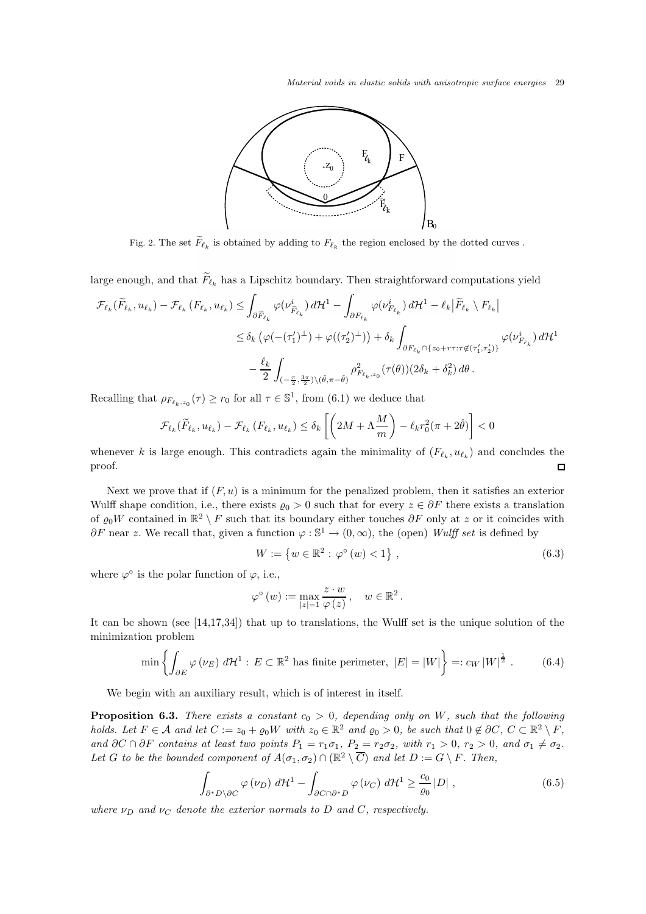Material voids in elastic solids with anisotropic surface energies 29



Fig. 2. The set  $\widetilde{F}_{\ell_k}$  is obtained by adding to  $F_{\ell_k}$  the region enclosed by the dotted curves .

large enough, and that  $\widetilde{F}_{\ell_k}$  has a Lipschitz boundary. Then straightforward computations yield

$$
\mathcal{F}_{\ell_k}(\widetilde{F}_{\ell_k}, u_{\ell_k}) - \mathcal{F}_{\ell_k}(F_{\ell_k}, u_{\ell_k}) \leq \int_{\partial \widetilde{F}_{\ell_k}} \varphi(\nu_{\widetilde{F}_{\ell_k}}^i) d\mathcal{H}^1 - \int_{\partial F_{\ell_k}} \varphi(\nu_{F_{\ell_k}}^i) d\mathcal{H}^1 - \ell_k |\widetilde{F}_{\ell_k} \setminus F_{\ell_k}|
$$
  

$$
\leq \delta_k \left( \varphi(-(\tau_1')^\perp) + \varphi((\tau_2')^\perp) \right) + \delta_k \int_{\partial F_{\ell_k} \cap \{z_0 + r\tau : \tau \notin (\tau_1', \tau_2')\}} \varphi(\nu_{F_{\ell_k}}^i) d\mathcal{H}^1
$$
  

$$
- \frac{\ell_k}{2} \int_{(-\frac{\pi}{2}, \frac{3\pi}{2}) \setminus (\hat{\theta}, \pi - \hat{\theta})} \rho_{F_{\ell_k}, z_0}^2(\tau(\theta)) (2\delta_k + \delta_k^2) d\theta.
$$

Recalling that  $\rho_{F_{\ell_k,z_0}}(\tau) \ge r_0$  for all  $\tau \in \mathbb{S}^1$ , from (6.1) we deduce that

$$
\mathcal{F}_{\ell_k}(\widetilde{F}_{\ell_k}, u_{\ell_k}) - \mathcal{F}_{\ell_k}(F_{\ell_k}, u_{\ell_k}) \le \delta_k \left[ \left( 2M + \Lambda \frac{M}{m} \right) - \ell_k r_0^2 (\pi + 2\hat{\theta}) \right] < 0
$$

whenever k is large enough. This contradicts again the minimality of  $(F_{\ell_k}, u_{\ell_k})$  and concludes the proof.  $\Box$ 

Next we prove that if  $(F, u)$  is a minimum for the penalized problem, then it satisfies an exterior Wulff shape condition, i.e., there exists  $\varrho_0 > 0$  such that for every  $z \in \partial F$  there exists a translation of  $\varrho_0 W$  contained in  $\mathbb{R}^2 \setminus F$  such that its boundary either touches  $\partial F$  only at z or it coincides with  $\partial F$  near z. We recall that, given a function  $\varphi : \mathbb{S}^1 \to (0, \infty)$ , the (open) *Wulff set* is defined by

$$
W := \{ w \in \mathbb{R}^2 : \varphi^{\circ}(w) < 1 \},\tag{6.3}
$$

.

where  $\varphi^{\circ}$  is the polar function of  $\varphi$ , i.e.,

$$
\varphi^{\circ}\left(w\right):=\max_{|z|=1}\frac{z\cdot w}{\varphi\left(z\right)}\,,\quad w\in\mathbb{R}^{2}
$$

It can be shown (see [14,17,34]) that up to translations, the Wulff set is the unique solution of the minimization problem

$$
\min\left\{\int_{\partial E} \varphi(\nu_E) \, d\mathcal{H}^1 : E \subset \mathbb{R}^2 \text{ has finite perimeter, } |E| = |W|\right\} =: c_W |W|^{\frac{1}{2}}.
$$
 (6.4)

We begin with an auxiliary result, which is of interest in itself.

**Proposition 6.3.** *There exists a constant*  $c_0 > 0$ , depending only on W, such that the following *holds.* Let  $F \in \mathcal{A}$  and let  $C := z_0 + \varrho_0 W$  with  $z_0 \in \mathbb{R}^2$  and  $\varrho_0 > 0$ , be such that  $0 \notin \partial C$ ,  $C \subset \mathbb{R}^2 \setminus F$ , *and*  $\partial C \cap \partial F$  *contains at least two points*  $P_1 = r_1 \sigma_1$ ,  $P_2 = r_2 \sigma_2$ , with  $r_1 > 0$ ,  $r_2 > 0$ , and  $\sigma_1 \neq \sigma_2$ . Let G to be the bounded component of  $A(\sigma_1, \sigma_2) \cap (\mathbb{R}^2 \setminus \overline{C})$  and let  $D := G \setminus F$ . Then,

$$
\int_{\partial^* D \setminus \partial C} \varphi(\nu_D) \, d\mathcal{H}^1 - \int_{\partial C \cap \partial^* D} \varphi(\nu_C) \, d\mathcal{H}^1 \ge \frac{c_0}{\varrho_0} |D| \;, \tag{6.5}
$$

*where*  $\nu_D$  *and*  $\nu_C$  *denote the exterior normals to* D *and* C, *respectively.*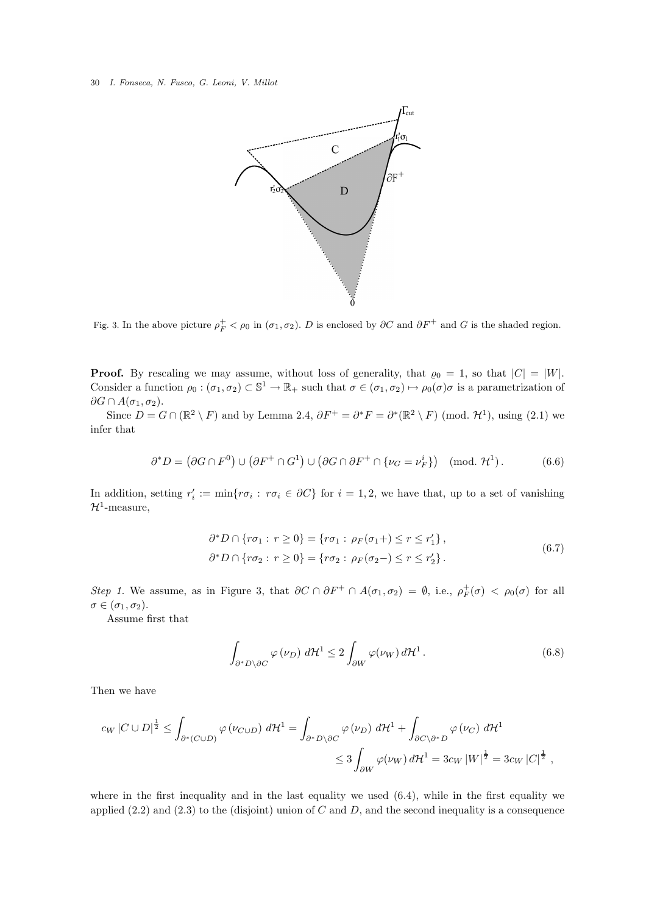

Fig. 3. In the above picture  $\rho_F^+ < \rho_0$  in  $(\sigma_1, \sigma_2)$ . D is enclosed by  $\partial C$  and  $\partial F^+$  and G is the shaded region.

**Proof.** By rescaling we may assume, without loss of generality, that  $\varrho_0 = 1$ , so that  $|C| = |W|$ . Consider a function  $\rho_0 : (\sigma_1, \sigma_2) \subset \mathbb{S}^1 \to \mathbb{R}_+$  such that  $\sigma \in (\sigma_1, \sigma_2) \mapsto \rho_0(\sigma)\sigma$  is a parametrization of  $\partial G \cap A(\sigma_1, \sigma_2)$ .

Since  $D = G \cap (\mathbb{R}^2 \setminus F)$  and by Lemma 2.4,  $\partial F^+ = \partial^* F = \partial^* (\mathbb{R}^2 \setminus F)$  (mod.  $\mathcal{H}^1$ ), using (2.1) we infer that

$$
\partial^* D = (\partial G \cap F^0) \cup (\partial F^+ \cap G^1) \cup (\partial G \cap \partial F^+ \cap \{\nu_G = \nu_F^i\}) \pmod{\mathcal{H}^1}.
$$
 (6.6)

In addition, setting  $r'_i := \min\{r\sigma_i : r\sigma_i \in \partial C\}$  for  $i = 1, 2$ , we have that, up to a set of vanishing  $\mathcal{H}^1$ -measure,

$$
\partial^* D \cap \{ r \sigma_1 : r \ge 0 \} = \{ r \sigma_1 : \rho_F(\sigma_1) \le r \le r'_1 \},
$$
  

$$
\partial^* D \cap \{ r \sigma_2 : r \ge 0 \} = \{ r \sigma_2 : \rho_F(\sigma_2) \le r \le r'_2 \}.
$$
  
(6.7)

*Step 1.* We assume, as in Figure 3, that  $\partial C \cap \partial F^+ \cap A(\sigma_1, \sigma_2) = \emptyset$ , i.e.,  $\rho_F^+(\sigma) < \rho_0(\sigma)$  for all  $\sigma \in (\sigma_1, \sigma_2).$ 

Assume first that

$$
\int_{\partial^* D \setminus \partial C} \varphi(\nu_D) \, d\mathcal{H}^1 \le 2 \int_{\partial W} \varphi(\nu_W) \, d\mathcal{H}^1. \tag{6.8}
$$

Then we have

$$
cw |C \cup D|^{\frac{1}{2}} \leq \int_{\partial^*(C \cup D)} \varphi(\nu_{C \cup D}) d\mathcal{H}^1 = \int_{\partial^* D \setminus \partial C} \varphi(\nu_D) d\mathcal{H}^1 + \int_{\partial C \setminus \partial^* D} \varphi(\nu_C) d\mathcal{H}^1
$$
  

$$
\leq 3 \int_{\partial W} \varphi(\nu_W) d\mathcal{H}^1 = 3c_W |W|^{\frac{1}{2}} = 3c_W |C|^{\frac{1}{2}},
$$

where in the first inequality and in the last equality we used (6.4), while in the first equality we applied  $(2.2)$  and  $(2.3)$  to the (disjoint) union of C and D, and the second inequality is a consequence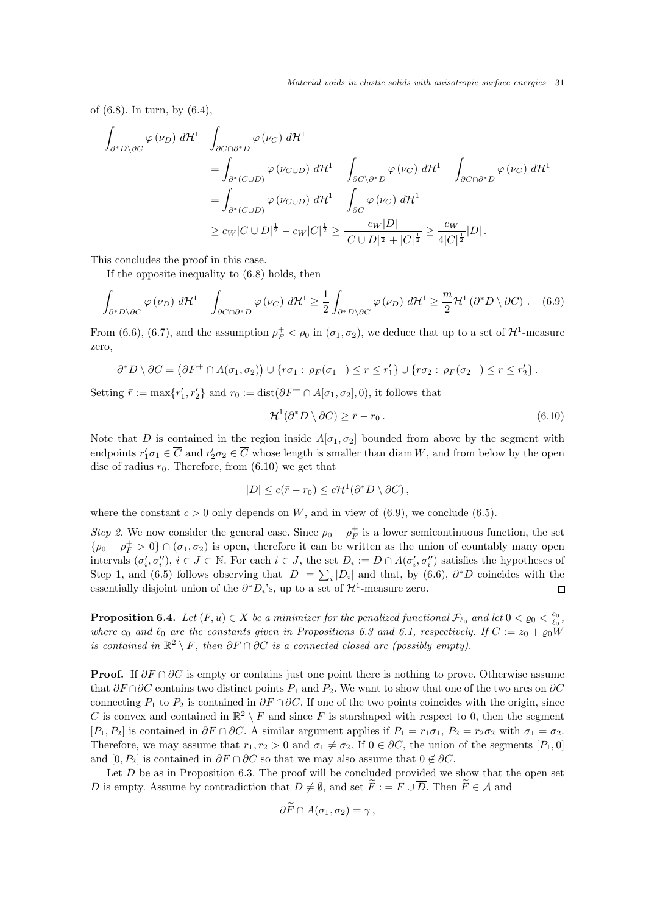Material voids in elastic solids with anisotropic surface energies 31

of (6.8). In turn, by (6.4),

$$
\int_{\partial^* D \setminus \partial C} \varphi(\nu_D) d\mathcal{H}^1 - \int_{\partial C \cap \partial^* D} \varphi(\nu_C) d\mathcal{H}^1
$$
\n
$$
= \int_{\partial^*(C \cup D)} \varphi(\nu_{C \cup D}) d\mathcal{H}^1 - \int_{\partial C \setminus \partial^* D} \varphi(\nu_C) d\mathcal{H}^1 - \int_{\partial C \cap \partial^* D} \varphi(\nu_C) d\mathcal{H}^1
$$
\n
$$
= \int_{\partial^*(C \cup D)} \varphi(\nu_{C \cup D}) d\mathcal{H}^1 - \int_{\partial C} \varphi(\nu_C) d\mathcal{H}^1
$$
\n
$$
\geq c_W |C \cup D|^{\frac{1}{2}} - c_W |C|^{\frac{1}{2}} \geq \frac{c_W |D|}{|C \cup D|^{\frac{1}{2}} + |C|^{\frac{1}{2}}} \geq \frac{c_W}{4|C|^{\frac{1}{2}}}|D|.
$$

This concludes the proof in this case.

If the opposite inequality to (6.8) holds, then

$$
\int_{\partial^* D \setminus \partial C} \varphi(\nu_D) \, d\mathcal{H}^1 - \int_{\partial C \cap \partial^* D} \varphi(\nu_C) \, d\mathcal{H}^1 \ge \frac{1}{2} \int_{\partial^* D \setminus \partial C} \varphi(\nu_D) \, d\mathcal{H}^1 \ge \frac{m}{2} \mathcal{H}^1 \left(\partial^* D \setminus \partial C\right). \tag{6.9}
$$

From (6.6), (6.7), and the assumption  $\rho_F^+ < \rho_0$  in  $(\sigma_1, \sigma_2)$ , we deduce that up to a set of  $\mathcal{H}^1$ -measure zero,

$$
\partial^* D \setminus \partial C = (\partial F^+ \cap A(\sigma_1, \sigma_2)) \cup \{r\sigma_1 : \rho_F(\sigma_1 +) \leq r \leq r_1'\} \cup \{r\sigma_2 : \rho_F(\sigma_2 -) \leq r \leq r_2'\}.
$$

Setting  $\bar{r} := \max\{r'_1, r'_2\}$  and  $r_0 := \text{dist}(\partial F^+ \cap A[\sigma_1, \sigma_2], 0)$ , it follows that

$$
\mathcal{H}^1(\partial^* D \setminus \partial C) \ge \bar{r} - r_0. \tag{6.10}
$$

Note that D is contained in the region inside  $A[\sigma_1, \sigma_2]$  bounded from above by the segment with endpoints  $r'_1 \sigma_1 \in \overline{C}$  and  $r'_2 \sigma_2 \in \overline{C}$  whose length is smaller than diam W, and from below by the open disc of radius  $r_0$ . Therefore, from  $(6.10)$  we get that

$$
|D| \le c(\bar{r} - r_0) \le c\mathcal{H}^1(\partial^* D \setminus \partial C),
$$

where the constant  $c > 0$  only depends on W, and in view of (6.9), we conclude (6.5).

*Step 2.* We now consider the general case. Since  $\rho_0 - \rho_F^+$  is a lower semicontinuous function, the set  $\{\rho_0 - \rho_F^+ > 0\} \cap (\sigma_1, \sigma_2)$  is open, therefore it can be written as the union of countably many open intervals  $(\sigma'_i, \sigma''_i)$ ,  $i \in J \subset \mathbb{N}$ . For each  $i \in J$ , the set  $D_i := D \cap A(\sigma'_i, \sigma''_i)$  satisfies the hypotheses of Step 1, and (6.5) follows observing that  $|D| = \sum_i |D_i|$  and that, by (6.6),  $\partial^* D$  coincides with the essentially disjoint union of the  $\partial^* D_i$ 's, up to a set of  $\mathcal{H}^1$ -measure zero.  $\Box$ 

**Proposition 6.4.** *Let*  $(F, u) \in X$  *be a minimizer for the penalized functional*  $\mathcal{F}_{\ell_0}$  *and let*  $0 < \varrho_0 < \frac{c_0}{\ell_0}$ *,* where  $c_0$  and  $\ell_0$  are the constants given in Propositions 6.3 and 6.1, respectively. If  $C := z_0 + \varrho_0 \tilde{W}$ *is contained in*  $\mathbb{R}^2 \setminus F$ , then  $\partial F \cap \partial C$  *is a connected closed arc (possibly empty).* 

**Proof.** If  $\partial F \cap \partial C$  is empty or contains just one point there is nothing to prove. Otherwise assume that  $\partial F \cap \partial C$  contains two distinct points  $P_1$  and  $P_2$ . We want to show that one of the two arcs on  $\partial C$ connecting  $P_1$  to  $P_2$  is contained in  $\partial F \cap \partial C$ . If one of the two points coincides with the origin, since C is convex and contained in  $\mathbb{R}^2 \setminus F$  and since F is starshaped with respect to 0, then the segment  $[P_1, P_2]$  is contained in  $\partial F \cap \partial C$ . A similar argument applies if  $P_1 = r_1 \sigma_1$ ,  $P_2 = r_2 \sigma_2$  with  $\sigma_1 = \sigma_2$ . Therefore, we may assume that  $r_1, r_2 > 0$  and  $\sigma_1 \neq \sigma_2$ . If  $0 \in \partial C$ , the union of the segments  $[P_1, 0]$ and [0, P<sub>2</sub>] is contained in  $\partial F \cap \partial C$  so that we may also assume that  $0 \notin \partial C$ .

Let  $D$  be as in Proposition 6.3. The proof will be concluded provided we show that the open set D is empty. Assume by contradiction that  $D \neq \emptyset$ , and set  $\widetilde{F} := F \cup \overline{D}$ . Then  $\widetilde{F} \in \mathcal{A}$  and

$$
\partial F \cap A(\sigma_1, \sigma_2) = \gamma \,,
$$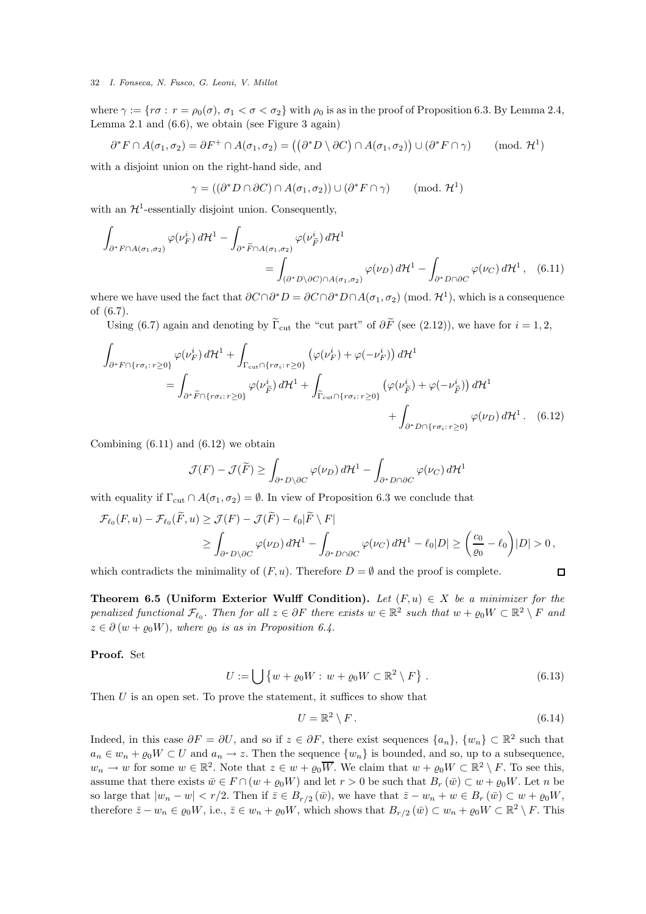where  $\gamma := \{r\sigma : r = \rho_0(\sigma), \sigma_1 < \sigma < \sigma_2\}$  with  $\rho_0$  is as in the proof of Proposition 6.3. By Lemma 2.4, Lemma 2.1 and (6.6), we obtain (see Figure 3 again)

$$
\partial^* F \cap A(\sigma_1, \sigma_2) = \partial F^+ \cap A(\sigma_1, \sigma_2) = ((\partial^* D \setminus \partial C) \cap A(\sigma_1, \sigma_2)) \cup (\partial^* F \cap \gamma) \quad (\text{mod. } \mathcal{H}^1)
$$

with a disjoint union on the right-hand side, and

$$
\gamma = ((\partial^* D \cap \partial C) \cap A(\sigma_1, \sigma_2)) \cup (\partial^* F \cap \gamma) \quad (\text{mod. } \mathcal{H}^1)
$$

with an  $\mathcal{H}^1$ -essentially disjoint union. Consequently,

$$
\int_{\partial^* F \cap A(\sigma_1, \sigma_2)} \varphi(\nu_F^i) d\mathcal{H}^1 - \int_{\partial^* \widetilde{F} \cap A(\sigma_1, \sigma_2)} \varphi(\nu_{\widetilde{F}}^i) d\mathcal{H}^1
$$
\n
$$
= \int_{(\partial^* D \setminus \partial C) \cap A(\sigma_1, \sigma_2)} \varphi(\nu_D) d\mathcal{H}^1 - \int_{\partial^* D \cap \partial C} \varphi(\nu_C) d\mathcal{H}^1, \quad (6.11)
$$

where we have used the fact that  $\partial C \cap \partial^* D = \partial C \cap \partial^* D \cap A(\sigma_1, \sigma_2)$  (mod.  $\mathcal{H}^1$ ), which is a consequence of (6.7).

Using (6.7) again and denoting by  $\widetilde{\Gamma}_{\text{cut}}$  the "cut part" of  $\partial \widetilde{F}$  (see (2.12)), we have for  $i = 1, 2$ ,

$$
\int_{\partial^* F \cap \{r\sigma_i : r \ge 0\}} \varphi(\nu_F^i) d\mathcal{H}^1 + \int_{\Gamma_{\text{cut}} \cap \{r\sigma_i : r \ge 0\}} \left( \varphi(\nu_F^i) + \varphi(-\nu_F^i) \right) d\mathcal{H}^1
$$
\n
$$
= \int_{\partial^* \widetilde{F} \cap \{r\sigma_i : r \ge 0\}} \varphi(\nu_F^i) d\mathcal{H}^1 + \int_{\widetilde{\Gamma}_{\text{cut}} \cap \{r\sigma_i : r \ge 0\}} \left( \varphi(\nu_F^i) + \varphi(-\nu_F^i) \right) d\mathcal{H}^1
$$
\n
$$
+ \int_{\partial^* D \cap \{r\sigma_i : r \ge 0\}} \varphi(\nu_D) d\mathcal{H}^1. \quad (6.12)
$$

Combining  $(6.11)$  and  $(6.12)$  we obtain

$$
\mathcal{J}(F) - \mathcal{J}(\widetilde{F}) \ge \int_{\partial^* D \setminus \partial C} \varphi(\nu_D) d\mathcal{H}^1 - \int_{\partial^* D \cap \partial C} \varphi(\nu_C) d\mathcal{H}^1
$$

with equality if  $\Gamma_{\text{cut}} \cap A(\sigma_1, \sigma_2) = \emptyset$ . In view of Proposition 6.3 we conclude that

$$
\mathcal{F}_{\ell_0}(F, u) - \mathcal{F}_{\ell_0}(\widetilde{F}, u) \ge \mathcal{J}(F) - \mathcal{J}(\widetilde{F}) - \ell_0 |\widetilde{F} \setminus F|
$$
  
\n
$$
\ge \int_{\partial^* D \setminus \partial C} \varphi(\nu_D) d\mathcal{H}^1 - \int_{\partial^* D \cap \partial C} \varphi(\nu_C) d\mathcal{H}^1 - \ell_0 |D| \ge \left(\frac{c_0}{\varrho_0} - \ell_0\right) |D| > 0,
$$

which contradicts the minimality of  $(F, u)$ . Therefore  $D = \emptyset$  and the proof is complete.

Theorem 6.5 (Uniform Exterior Wulff Condition). Let  $(F, u) \in X$  be a minimizer for the *penalized functional*  $\mathcal{F}_{\ell_0}$ . Then for all  $z \in \partial F$  there exists  $w \in \mathbb{R}^2$  such that  $w + \varrho_0 W \subset \mathbb{R}^2 \setminus F$  and  $z \in \partial (w + \rho_0 W)$ , where  $\rho_0$  is as in Proposition 6.4.

Proof. Set

$$
U := \bigcup \{ w + \varrho_0 W : w + \varrho_0 W \subset \mathbb{R}^2 \setminus F \} . \tag{6.13}
$$

Then  $U$  is an open set. To prove the statement, it suffices to show that

$$
U = \mathbb{R}^2 \setminus F. \tag{6.14}
$$

 $\Box$ 

Indeed, in this case  $\partial F = \partial U$ , and so if  $z \in \partial F$ , there exist sequences  $\{a_n\}$ ,  $\{w_n\} \subset \mathbb{R}^2$  such that  $a_n \in w_n + \varrho_0 W \subset U$  and  $a_n \to z$ . Then the sequence  $\{w_n\}$  is bounded, and so, up to a subsequence,  $w_n \to w$  for some  $w \in \mathbb{R}^2$ . Note that  $z \in w + \varrho_0 \overline{W}$ . We claim that  $w + \varrho_0 W \subset \mathbb{R}^2 \setminus F$ . To see this, assume that there exists  $\bar{w} \in F \cap (w + \rho_0 W)$  and let  $r > 0$  be such that  $B_r(\bar{w}) \subset w + \rho_0 W$ . Let n be so large that  $|w_n - w| < r/2$ . Then if  $\overline{z} \in B_{r/2}(\overline{w})$ , we have that  $\overline{z} - w_n + w \in B_r(\overline{w}) \subset w + \varrho_0 W$ , therefore  $\bar{z} - w_n \in \varrho_0 W$ , i.e.,  $\bar{z} \in w_n + \varrho_0 W$ , which shows that  $B_{r/2}(\bar{w}) \subset w_n + \varrho_0 W \subset \mathbb{R}^2 \setminus F$ . This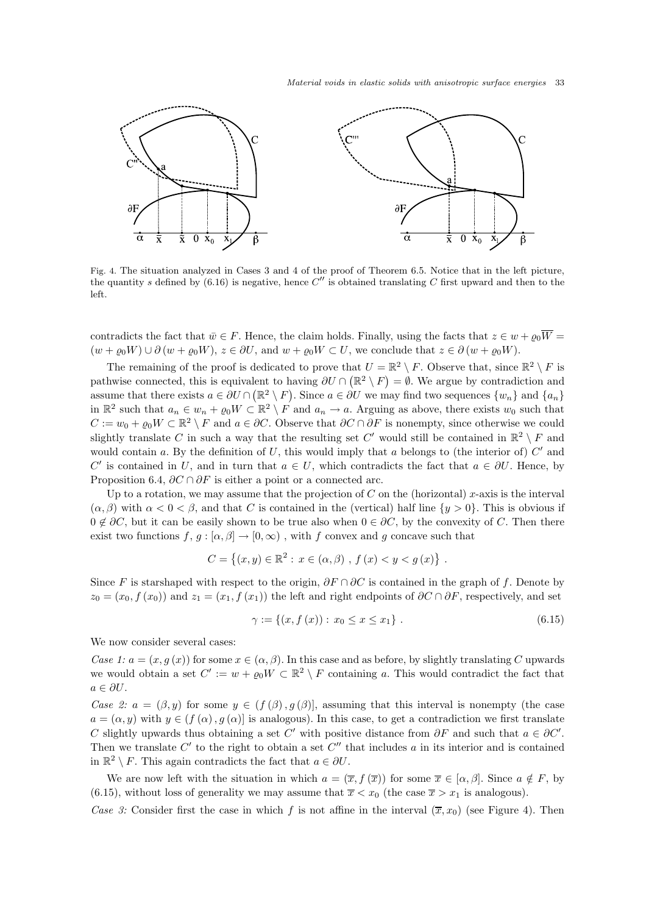

Fig. 4. The situation analyzed in Cases 3 and 4 of the proof of Theorem 6.5. Notice that in the left picture, the quantity s defined by (6.16) is negative, hence  $C''$  is obtained translating C first upward and then to the left.

contradicts the fact that  $\bar{w} \in F$ . Hence, the claim holds. Finally, using the facts that  $z \in w + \varrho_0 \overline{W} =$  $(w + \varrho_0 W) \cup \partial (w + \varrho_0 W), z \in \partial U$ , and  $w + \varrho_0 W \subset U$ , we conclude that  $z \in \partial (w + \varrho_0 W)$ .

The remaining of the proof is dedicated to prove that  $U = \mathbb{R}^2 \setminus F$ . Observe that, since  $\mathbb{R}^2 \setminus F$  is pathwise connected, this is equivalent to having  $\partial U \cap (\mathbb{R}^2 \setminus F) = \emptyset$ . We argue by contradiction and assume that there exists  $a \in \partial U \cap (\mathbb{R}^2 \setminus F)$ . Since  $a \in \partial U$  we may find two sequences  $\{w_n\}$  and  $\{a_n\}$ in  $\mathbb{R}^2$  such that  $a_n \in w_n + \varrho_0 W \subset \mathbb{R}^2 \setminus F$  and  $a_n \to a$ . Arguing as above, there exists  $w_0$  such that  $C := w_0 + \varrho_0 W \subset \mathbb{R}^2 \setminus F$  and  $a \in \partial C$ . Observe that  $\partial C \cap \partial F$  is nonempty, since otherwise we could slightly translate C in such a way that the resulting set C' would still be contained in  $\mathbb{R}^2 \setminus F$  and would contain a. By the definition of  $U$ , this would imply that a belongs to (the interior of)  $C'$  and C' is contained in U, and in turn that  $a \in U$ , which contradicts the fact that  $a \in \partial U$ . Hence, by Proposition 6.4,  $\partial C \cap \partial F$  is either a point or a connected arc.

Up to a rotation, we may assume that the projection of C on the (horizontal) x-axis is the interval  $(\alpha, \beta)$  with  $\alpha < 0 < \beta$ , and that C is contained in the (vertical) half line  $\{y > 0\}$ . This is obvious if  $0 \notin \partial C$ , but it can be easily shown to be true also when  $0 \in \partial C$ , by the convexity of C. Then there exist two functions  $f, g : [\alpha, \beta] \to [0, \infty)$ , with f convex and g concave such that

$$
C = \{(x, y) \in \mathbb{R}^2 : x \in (\alpha, \beta) , f(x) < y < g(x) \} .
$$

Since F is starshaped with respect to the origin,  $\partial F \cap \partial C$  is contained in the graph of f. Denote by  $z_0 = (x_0, f(x_0))$  and  $z_1 = (x_1, f(x_1))$  the left and right endpoints of  $\partial C \cap \partial F$ , respectively, and set

$$
\gamma := \{(x, f(x)) : x_0 \le x \le x_1\} . \tag{6.15}
$$

We now consider several cases:

*Case 1:*  $a = (x, g(x))$  for some  $x \in (\alpha, \beta)$ . In this case and as before, by slightly translating C upwards we would obtain a set  $C' := w + \varrho_0 W \subset \mathbb{R}^2 \setminus F$  containing a. This would contradict the fact that  $a \in \partial U$ .

*Case 2:*  $a = (\beta, y)$  for some  $y \in (f(\beta), g(\beta))$ , assuming that this interval is nonempty (the case  $a = (\alpha, y)$  with  $y \in (f(\alpha), g(\alpha))$  is analogous). In this case, to get a contradiction we first translate C slightly upwards thus obtaining a set C' with positive distance from  $\partial F$  and such that  $a \in \partial C'$ . Then we translate  $C'$  to the right to obtain a set  $C''$  that includes a in its interior and is contained in  $\mathbb{R}^2 \setminus F$ . This again contradicts the fact that  $a \in \partial U$ .

We are now left with the situation in which  $a = (\overline{x}, f(\overline{x}))$  for some  $\overline{x} \in [\alpha, \beta]$ . Since  $a \notin F$ , by (6.15), without loss of generality we may assume that  $\overline{x} < x_0$  (the case  $\overline{x} > x_1$  is analogous).

*Case 3:* Consider first the case in which f is not affine in the interval  $(\bar{x}, x_0)$  (see Figure 4). Then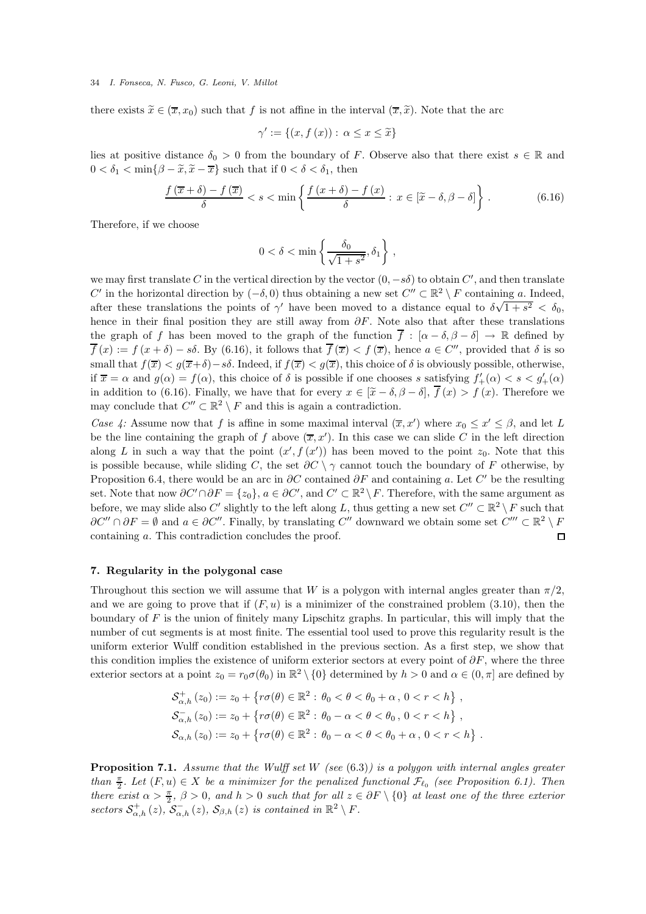there exists  $\widetilde{x} \in (\overline{x}, x_0)$  such that f is not affine in the interval  $(\overline{x}, \widetilde{x})$ . Note that the arc

$$
\gamma' := \{(x, f(x)) : \alpha \le x \le \tilde{x}\}
$$

lies at positive distance  $\delta_0 > 0$  from the boundary of F. Observe also that there exist  $s \in \mathbb{R}$  and  $0 < \delta_1 < \min\{\beta - \tilde{x}, \tilde{x} - \overline{x}\}\$  such that if  $0 < \delta < \delta_1$ , then

$$
\frac{f(\overline{x} + \delta) - f(\overline{x})}{\delta} < s < \min\left\{\frac{f(x + \delta) - f(x)}{\delta} : x \in [\widetilde{x} - \delta, \beta - \delta]\right\}.
$$
\n(6.16)

Therefore, if we choose

$$
0<\delta<\min\left\{\frac{\delta_0}{\sqrt{1+s^2}},\delta_1\right\}\,,
$$

we may first translate C in the vertical direction by the vector  $(0, -s\delta)$  to obtain  $C'$ , and then translate C' in the horizontal direction by  $(-\delta, 0)$  thus obtaining a new set  $C'' \subset \mathbb{R}^2 \setminus F$  containing a. Indeed, after these translations the points of  $\gamma'$  have been moved to a distance equal to  $\delta\sqrt{1+s^2} < \delta_0$ , hence in their final position they are still away from  $\partial F$ . Note also that after these translations the graph of f has been moved to the graph of the function  $\overline{f}$  :  $[\alpha - \delta, \beta - \delta] \rightarrow \mathbb{R}$  defined by  $\overline{f}(x) := f(x + \delta) - s\delta$ . By (6.16), it follows that  $\overline{f}(\overline{x}) < f(\overline{x})$ , hence  $a \in C''$ , provided that  $\delta$  is so small that  $f(\overline{x}) < q(\overline{x}+\delta) - s\delta$ . Indeed, if  $f(\overline{x}) < q(\overline{x})$ , this choice of  $\delta$  is obviously possible, otherwise, if  $\overline{x} = \alpha$  and  $g(\alpha) = f(\alpha)$ , this choice of  $\delta$  is possible if one chooses s satisfying  $f'_{+}(\alpha) < s < g'_{+}(\alpha)$ in addition to (6.16). Finally, we have that for every  $x \in [\tilde{x} - \delta, \beta - \delta], \overline{f}(x) > f(x)$ . Therefore we may conclude that  $C'' \subset \mathbb{R}^2 \setminus F$  and this is again a contradiction.

*Case 4:* Assume now that f is affine in some maximal interval  $(\overline{x}, x')$  where  $x_0 \le x' \le \beta$ , and let L be the line containing the graph of f above  $(\overline{x}, x')$ . In this case we can slide C in the left direction along L in such a way that the point  $(x', f(x'))$  has been moved to the point  $z_0$ . Note that this is possible because, while sliding C, the set  $\partial C \setminus \gamma$  cannot touch the boundary of F otherwise, by Proposition 6.4, there would be an arc in  $\partial C$  contained  $\partial F$  and containing a. Let C' be the resulting set. Note that now  $\partial C' \cap \partial F = \{z_0\}$ ,  $a \in \partial C'$ , and  $C' \subset \mathbb{R}^2 \setminus F$ . Therefore, with the same argument as before, we may slide also C' slightly to the left along L, thus getting a new set  $C'' \subset \mathbb{R}^2 \setminus F$  such that  $\partial C'' \cap \partial F = \emptyset$  and  $a \in \partial C''$ . Finally, by translating  $C''$  downward we obtain some set  $C''' \subset \mathbb{R}^2 \setminus F$ containing a. This contradiction concludes the proof.  $\Box$ 

### 7. Regularity in the polygonal case

Throughout this section we will assume that W is a polygon with internal angles greater than  $\pi/2$ , and we are going to prove that if  $(F, u)$  is a minimizer of the constrained problem  $(3.10)$ , then the boundary of F is the union of finitely many Lipschitz graphs. In particular, this will imply that the number of cut segments is at most finite. The essential tool used to prove this regularity result is the uniform exterior Wulff condition established in the previous section. As a first step, we show that this condition implies the existence of uniform exterior sectors at every point of  $\partial F$ , where the three exterior sectors at a point  $z_0 = r_0 \sigma(\theta_0)$  in  $\mathbb{R}^2 \setminus \{0\}$  determined by  $h > 0$  and  $\alpha \in (0, \pi]$  are defined by

$$
\mathcal{S}_{\alpha,h}^{+}(z_{0}) := z_{0} + \{ r\sigma(\theta) \in \mathbb{R}^{2} : \theta_{0} < \theta < \theta_{0} + \alpha, 0 < r < h \},\
$$
  

$$
\mathcal{S}_{\alpha,h}^{-}(z_{0}) := z_{0} + \{ r\sigma(\theta) \in \mathbb{R}^{2} : \theta_{0} - \alpha < \theta < \theta_{0}, 0 < r < h \},\
$$
  

$$
\mathcal{S}_{\alpha,h}(z_{0}) := z_{0} + \{ r\sigma(\theta) \in \mathbb{R}^{2} : \theta_{0} - \alpha < \theta < \theta_{0} + \alpha, 0 < r < h \}.
$$

Proposition 7.1. *Assume that the Wulff set* W *(see* (6.3)*) is a polygon with internal angles greater than*  $\frac{\pi}{2}$ *. Let*  $(F, u) \in X$  *be a minimizer for the penalized functional*  $\mathcal{F}_{\ell_0}$  (see Proposition 6.1). Then *there exist*  $\alpha > \frac{\pi}{2}$ ,  $\beta > 0$ , and  $h > 0$  *such that for all*  $z \in \partial F \setminus \{0\}$  *at least one of the three exterior* sectors  $S^+_{\alpha,h}(z)$ ,  $S^-_{\alpha,h}(z)$ ,  $S_{\beta,h}(z)$  *is contained in*  $\mathbb{R}^2 \setminus F$ *.*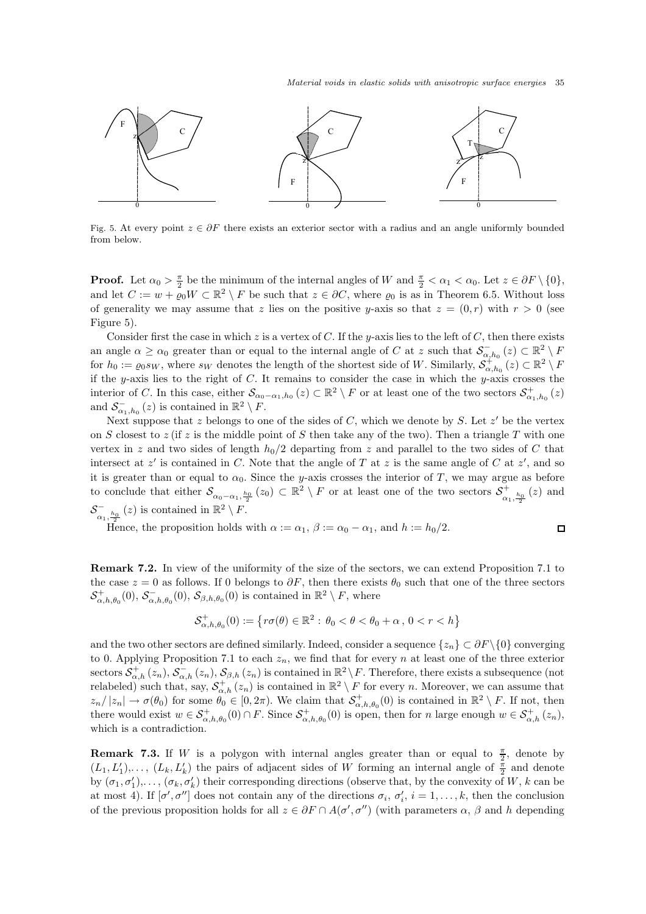$\Box$ 



Fig. 5. At every point  $z \in \partial F$  there exists an exterior sector with a radius and an angle uniformly bounded from below.

**Proof.** Let  $\alpha_0 > \frac{\pi}{2}$  be the minimum of the internal angles of W and  $\frac{\pi}{2} < \alpha_1 < \alpha_0$ . Let  $z \in \partial F \setminus \{0\}$ , and let  $C := w + \overline{\varrho}_0 W \subset \mathbb{R}^2 \setminus F$  be such that  $z \in \partial C$ , where  $\overline{\varrho}_0$  is as in Theorem 6.5. Without loss of generality we may assume that z lies on the positive y-axis so that  $z = (0, r)$  with  $r > 0$  (see Figure 5).

Consider first the case in which z is a vertex of C. If the y-axis lies to the left of C, then there exists an angle  $\alpha \geq \alpha_0$  greater than or equal to the internal angle of C at z such that  $\mathcal{S}_{\alpha,h_0}^-(z) \subset \mathbb{R}^2 \setminus F$ for  $h_0 := \varrho_0 s_W$ , where  $s_W$  denotes the length of the shortest side of W. Similarly,  $\mathcal{S}^{\pm}_{\alpha,h_0}(z) \subset \mathbb{R}^2 \setminus F$ if the y-axis lies to the right of  $C$ . It remains to consider the case in which the y-axis crosses the interior of C. In this case, either  $\mathcal{S}_{\alpha_0-\alpha_1,h_0}(z) \subset \mathbb{R}^2 \setminus F$  or at least one of the two sectors  $\mathcal{S}^+_{\alpha_1,h_0}(z)$ and  $S_{\alpha_1,h_0}^-(z)$  is contained in  $\mathbb{R}^2 \setminus F$ .

Next suppose that z belongs to one of the sides of  $C$ , which we denote by  $S$ . Let  $z'$  be the vertex on S closest to z (if z is the middle point of S then take any of the two). Then a triangle T with one vertex in z and two sides of length  $h_0/2$  departing from z and parallel to the two sides of C that intersect at  $z'$  is contained in C. Note that the angle of T at z is the same angle of C at  $z'$ , and so it is greater than or equal to  $\alpha_0$ . Since the y-axis crosses the interior of T, we may argue as before to conclude that either  $\mathcal{S}_{\alpha_0-\alpha_1,\frac{h_0}{2}}(z_0) \subset \mathbb{R}^2 \setminus F$  or at least one of the two sectors  $\mathcal{S}^+_{\alpha_1}$  $\frac{1}{\alpha_1, \frac{h_0}{2}}(z)$  and  $\mathcal{S}_\alpha^ \sum_{\alpha_1,\frac{h_0}{2}}^{\infty} (z)$  is contained in  $\mathbb{R}^2 \setminus F$ .

Hence, the proposition holds with  $\alpha := \alpha_1$ ,  $\beta := \alpha_0 - \alpha_1$ , and  $h := h_0/2$ .

Remark 7.2. In view of the uniformity of the size of the sectors, we can extend Proposition 7.1 to the case  $z = 0$  as follows. If 0 belongs to  $\partial F$ , then there exists  $\theta_0$  such that one of the three sectors  $\mathcal{S}^+_{\alpha,h,\theta_0}(0), \mathcal{S}^-_{\alpha,h,\theta_0}(0), \mathcal{S}_{\beta,h,\theta_0}(0)$  is contained in  $\mathbb{R}^2 \setminus F$ , where

$$
\mathcal{S}_{\alpha,h,\theta_0}^+(0):=\left\{r\sigma(\theta)\in\mathbb{R}^2:\,\theta_0<\theta<\theta_0+\alpha\,,\,0
$$

and the two other sectors are defined similarly. Indeed, consider a sequence  $\{z_n\} \subset \partial F \setminus \{0\}$  converging to 0. Applying Proposition 7.1 to each  $z_n$ , we find that for every n at least one of the three exterior sectors  $S_{\alpha,h}^+(z_n)$ ,  $S_{\alpha,h}^-(z_n)$ ,  $S_{\beta,h}(z_n)$  is contained in  $\mathbb{R}^2 \setminus F$ . Therefore, there exists a subsequence (not relabeled) such that, say,  $S_{\alpha,h}^+(z_n)$  is contained in  $\mathbb{R}^2 \setminus F$  for every n. Moreover, we can assume that  $z_n/|z_n| \to \sigma(\theta_0)$  for some  $\theta_0 \in [0, 2\pi)$ . We claim that  $\mathcal{S}_{\alpha, h, \theta_0}^+(0)$  is contained in  $\mathbb{R}^2 \setminus F$ . If not, then there would exist  $w \in \mathcal{S}^+_{\alpha,h,\theta_0}(0) \cap F$ . Since  $\mathcal{S}^+_{\alpha,h,\theta_0}(0)$  is open, then for n large enough  $w \in \mathcal{S}^+_{\alpha,h}(z_n)$ , which is a contradiction.

**Remark 7.3.** If W is a polygon with internal angles greater than or equal to  $\frac{\pi}{2}$ , denote by  $(L_1, L'_1), \ldots, (L_k, L'_k)$  the pairs of adjacent sides of W forming an internal angle of  $\frac{\pi}{2}$  and denote by  $(\sigma_1, \sigma'_1), \ldots, (\sigma_k, \sigma'_k)$  their corresponding directions (observe that, by the convexity of W, k can be at most 4). If  $[\sigma', \sigma'']$  does not contain any of the directions  $\sigma_i$ ,  $\sigma'_i$ ,  $i = 1, \ldots, k$ , then the conclusion of the previous proposition holds for all  $z \in \partial F \cap A(\sigma', \sigma'')$  (with parameters  $\alpha$ ,  $\beta$  and h depending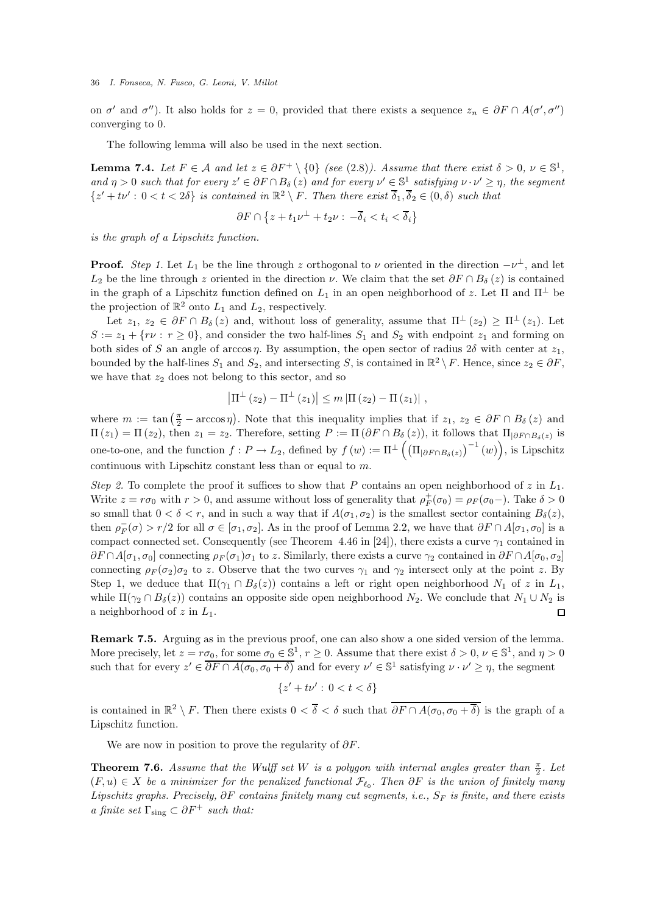on  $\sigma'$  and  $\sigma''$ ). It also holds for  $z = 0$ , provided that there exists a sequence  $z_n \in \partial F \cap A(\sigma', \sigma'')$ converging to 0.

The following lemma will also be used in the next section.

**Lemma 7.4.** Let  $F \in \mathcal{A}$  and let  $z \in \partial F^+ \setminus \{0\}$  (see (2.8)). Assume that there exist  $\delta > 0$ ,  $\nu \in \mathbb{S}^1$ ,  $\text{and } \eta > 0 \text{ such that for every } z' \in \partial F \cap B_{\delta}(z) \text{ and for every } v' \in \mathbb{S}^1_-\text{ satisfying } v \cdot v' \geq \eta, \text{ the segment } v' \in \mathbb{S}^1_-\text{ satisfying } v \cdot v' \geq \eta.$  $\{z'+t\nu': 0 < t < 2\delta\}$  *is contained in*  $\mathbb{R}^2 \setminus F$ *. Then there exist*  $\overline{\delta}_1, \overline{\delta}_2 \in (0, \delta)$  *such that* 

$$
\partial F \cap \left\{z + t_1\nu^\perp + t_2\nu : \, -\overline{\delta}_i < t_i < \overline{\delta}_i\right\}
$$

*is the graph of a Lipschitz function.*

**Proof.** *Step 1*. Let  $L_1$  be the line through z orthogonal to  $\nu$  oriented in the direction  $-\nu^{\perp}$ , and let  $L_2$  be the line through z oriented in the direction  $\nu$ . We claim that the set  $\partial F \cap B_\delta(z)$  is contained in the graph of a Lipschitz function defined on  $L_1$  in an open neighborhood of z. Let  $\Pi$  and  $\Pi^{\perp}$  be the projection of  $\mathbb{R}^2$  onto  $L_1$  and  $L_2$ , respectively.

Let  $z_1, z_2 \in \partial F \cap B_\delta(z)$  and, without loss of generality, assume that  $\Pi^{\perp}(z_2) \ge \Pi^{\perp}(z_1)$ . Let  $S := z_1 + \{rv : r \ge 0\}$ , and consider the two half-lines  $S_1$  and  $S_2$  with endpoint  $z_1$  and forming on both sides of S an angle of arccos  $\eta$ . By assumption, the open sector of radius 2 $\delta$  with center at  $z_1$ , bounded by the half-lines  $S_1$  and  $S_2$ , and intersecting S, is contained in  $\mathbb{R}^2 \setminus F$ . Hence, since  $z_2 \in \partial F$ , we have that  $z_2$  does not belong to this sector, and so

$$
\left|\Pi^{\perp}\left(z_{2}\right)-\Pi^{\perp}\left(z_{1}\right)\right| \leq m\left|\Pi\left(z_{2}\right)-\Pi\left(z_{1}\right)\right|,
$$

where  $m := \tan(\frac{\pi}{2} - \arccos\eta)$ . Note that this inequality implies that if  $z_1, z_2 \in \partial F \cap B_\delta(z)$  and  $\Pi(z_1) = \Pi(z_2)$ , then  $z_1 = z_2$ . Therefore, setting  $P := \Pi(\partial F \cap B_{\delta}(z))$ , it follows that  $\Pi_{|\partial F \cap B_{\delta}(z)}$  is one-to-one, and the function  $f: P \to L_2$ , defined by  $f(w) := \Pi^{\perp} \left( \left( \Pi_{\partial F \cap B_{\delta}(z)} \right)^{-1}(w) \right)$ , is Lipschitz continuous with Lipschitz constant less than or equal to m.

*Step 2.* To complete the proof it suffices to show that P contains an open neighborhood of z in  $L_1$ . Write  $z = r\sigma_0$  with  $r > 0$ , and assume without loss of generality that  $\rho_F^+(\sigma_0) = \rho_F(\sigma_0)$ . Take  $\delta > 0$ so small that  $0 < \delta < r$ , and in such a way that if  $A(\sigma_1, \sigma_2)$  is the smallest sector containing  $B_{\delta}(z)$ , then  $\rho_F^-(\sigma) > r/2$  for all  $\sigma \in [\sigma_1, \sigma_2]$ . As in the proof of Lemma 2.2, we have that  $\partial F \cap A[\sigma_1, \sigma_0]$  is a compact connected set. Consequently (see Theorem 4.46 in [24]), there exists a curve  $\gamma_1$  contained in  $\partial F \cap A[\sigma_1, \sigma_0]$  connecting  $\rho_F(\sigma_1)\sigma_1$  to z. Similarly, there exists a curve  $\gamma_2$  contained in  $\partial F \cap A[\sigma_0, \sigma_2]$ connecting  $\rho_F(\sigma_2)\sigma_2$  to z. Observe that the two curves  $\gamma_1$  and  $\gamma_2$  intersect only at the point z. By Step 1, we deduce that  $\Pi(\gamma_1 \cap B_\delta(z))$  contains a left or right open neighborhood  $N_1$  of z in  $L_1$ , while  $\Pi(\gamma_2 \cap B_\delta(z))$  contains an opposite side open neighborhood  $N_2$ . We conclude that  $N_1 \cup N_2$  is a neighborhood of z in  $L_1$ . a neighborhood of  $z$  in  $L_1$ .

Remark 7.5. Arguing as in the previous proof, one can also show a one sided version of the lemma. More precisely, let  $z = r\sigma_0$ , for some  $\sigma_0 \in \mathbb{S}^1$ ,  $r \ge 0$ . Assume that there exist  $\delta > 0$ ,  $\nu \in \mathbb{S}^1$ , and  $\eta > 0$ such that for every  $z' \in \overline{\partial F \cap A(\sigma_0, \sigma_0 + \delta)}$  and for every  $\nu' \in \mathbb{S}^1$  satisfying  $\nu \cdot \nu' \geq \eta$ , the segment

$$
\{z' + t\nu' : 0 < t < \delta\}
$$

is contained in  $\mathbb{R}^2 \setminus F$ . Then there exists  $0 < \overline{\delta} < \delta$  such that  $\partial F \cap A(\sigma_0, \sigma_0 + \overline{\delta})$  is the graph of a Lipschitz function.

We are now in position to prove the regularity of  $\partial F$ .

**Theorem 7.6.** Assume that the Wulff set W is a polygon with internal angles greater than  $\frac{\pi}{2}$ . Let  $(F, u) \in X$  *be a minimizer for the penalized functional*  $\mathcal{F}_{\ell_0}$ . Then  $\partial F$  *is the union of finitely many Lipschitz graphs. Precisely, ∂F contains finitely many cut segments, i.e.,* S<sub>F</sub> *is finite, and there exists a finite set*  $\Gamma_{\text{sing}} \subset \partial F^+$  *such that:*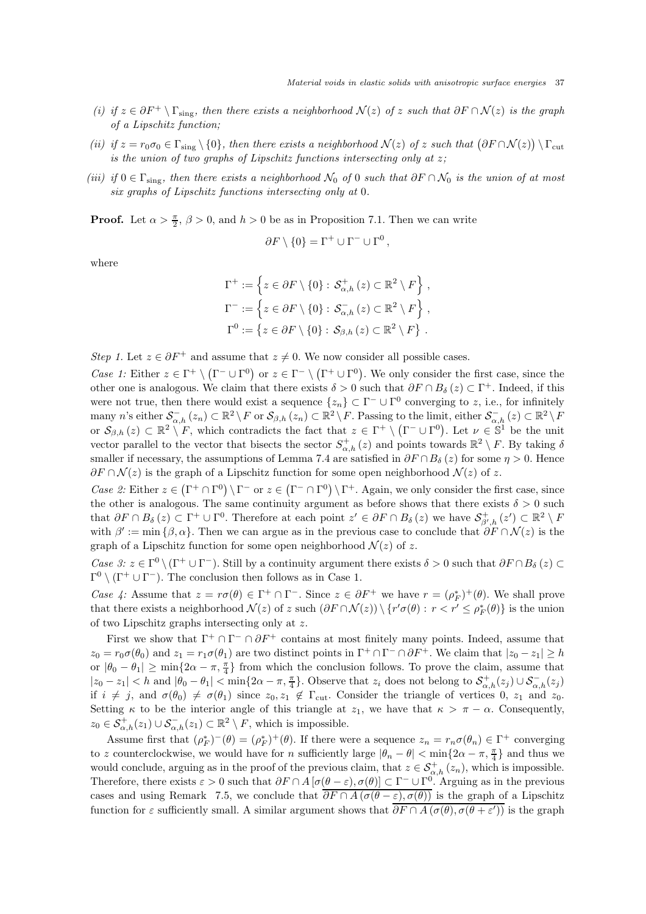- *(i)* if  $z \in \partial F^+ \setminus \Gamma_{sing}$ , then there exists a neighborhood  $\mathcal{N}(z)$  of z such that  $\partial F \cap \mathcal{N}(z)$  is the graph *of a Lipschitz function;*
- $(iii)$  if  $z = r_0 \sigma_0 \in \Gamma_{sing} \setminus \{0\}$ , then there exists a neighborhood  $\mathcal{N}(z)$  of z such that  $(\partial F \cap \mathcal{N}(z)) \setminus \Gamma_{\text{cut}}$ *is the union of two graphs of Lipschitz functions intersecting only at* z*;*
- *(iii)* if  $0 \in \Gamma_{sing}$ , then there exists a neighborhood  $\mathcal{N}_0$  of 0 *such that*  $\partial F \cap \mathcal{N}_0$  *is the union of at most six graphs of Lipschitz functions intersecting only at* 0*.*

**Proof.** Let  $\alpha > \frac{\pi}{2}$ ,  $\beta > 0$ , and  $h > 0$  be as in Proposition 7.1. Then we can write

$$
\partial F \setminus \{0\} = \Gamma^+ \cup \Gamma^- \cup \Gamma^0 \,,
$$

where

$$
\Gamma^+ := \left\{ z \in \partial F \setminus \{0\} : \mathcal{S}_{\alpha,h}^+ (z) \subset \mathbb{R}^2 \setminus F \right\},\
$$
  

$$
\Gamma^- := \left\{ z \in \partial F \setminus \{0\} : \mathcal{S}_{\alpha,h}^- (z) \subset \mathbb{R}^2 \setminus F \right\},\
$$
  

$$
\Gamma^0 := \left\{ z \in \partial F \setminus \{0\} : \mathcal{S}_{\beta,h} (z) \subset \mathbb{R}^2 \setminus F \right\}.
$$

*Step 1.* Let  $z \in \partial F^+$  and assume that  $z \neq 0$ . We now consider all possible cases.

*Case 1:* Either  $z \in \Gamma^+ \setminus (\Gamma^- \cup \Gamma^0)$  or  $z \in \Gamma^- \setminus (\Gamma^+ \cup \Gamma^0)$ . We only consider the first case, since the other one is analogous. We claim that there exists  $\delta > 0$  such that  $\partial F \cap B_{\delta}(z) \subset \Gamma^{+}$ . Indeed, if this were not true, then there would exist a sequence  $\{z_n\} \subset \Gamma^- \cup \Gamma^0$  converging to z, i.e., for infinitely many n's either  $\mathcal{S}_{\alpha,h}^{-}(z_n) \subset \mathbb{R}^2 \setminus F$  or  $\mathcal{S}_{\beta,h}(z_n) \subset \mathbb{R}^2 \setminus F$ . Passing to the limit, either  $\mathcal{S}_{\alpha,h}^{-}(z) \subset \mathbb{R}^2 \setminus F$ or  $S_{\beta,h}(z) \subset \mathbb{R}^2 \setminus F$ , which contradicts the fact that  $z \in \Gamma^+ \setminus (\Gamma^- \cup \Gamma^0)$ . Let  $\nu \in \mathbb{S}^1$  be the unit vector parallel to the vector that bisects the sector  $S^+_{\alpha,h}(z)$  and points towards  $\mathbb{R}^2 \setminus F$ . By taking  $\delta$ smaller if necessary, the assumptions of Lemma 7.4 are satisfied in  $\partial F \cap B_\delta(z)$  for some  $\eta > 0$ . Hence  $\partial F \cap \mathcal{N}(z)$  is the graph of a Lipschitz function for some open neighborhood  $\mathcal{N}(z)$  of z.

*Case 2:* Either  $z \in (\Gamma^+ \cap \Gamma^0) \setminus \Gamma^-$  or  $z \in (\Gamma^- \cap \Gamma^0) \setminus \Gamma^+$ . Again, we only consider the first case, since the other is analogous. The same continuity argument as before shows that there exists  $\delta > 0$  such that  $\partial F \cap B_{\delta}(z) \subset \Gamma^+ \cup \Gamma^0$ . Therefore at each point  $z' \in \partial F \cap B_{\delta}(z)$  we have  $\mathcal{S}_{\beta',h}^+(z') \subset \mathbb{R}^2 \setminus F$ with  $\beta' := \min \{\beta, \alpha\}$ . Then we can argue as in the previous case to conclude that  $\partial F \cap \mathcal{N}(z)$  is the graph of a Lipschitz function for some open neighborhood  $\mathcal{N}(z)$  of z.

*Case 3:*  $z \in \Gamma^0 \setminus (\Gamma^+ \cup \Gamma^-)$ . Still by a continuity argument there exists  $\delta > 0$  such that  $\partial F \cap B_\delta (z) \subset$  $\Gamma^0 \setminus (\Gamma^+ \cup \Gamma^-)$ . The conclusion then follows as in Case 1.

*Case 4:* Assume that  $z = r\sigma(\theta) \in \Gamma^+ \cap \Gamma^-$ . Since  $z \in \partial F^+$  we have  $r = (\rho_F^*)^+(\theta)$ . We shall prove that there exists a neighborhood  $\mathcal{N}(z)$  of z such  $(\partial F \cap \mathcal{N}(z)) \setminus \{r' \sigma(\theta) : r < r' \le \rho_F^*(\theta) \}$  is the union of two Lipschitz graphs intersecting only at z.

First we show that  $\Gamma^+ \cap \Gamma^- \cap \partial F^+$  contains at most finitely many points. Indeed, assume that  $z_0 = r_0 \sigma(\theta_0)$  and  $z_1 = r_1 \sigma(\theta_1)$  are two distinct points in  $\Gamma^+ \cap \Gamma^- \cap \partial F^+$ . We claim that  $|z_0 - z_1| \geq h$ or  $|\theta_0 - \theta_1| \ge \min\{2\alpha - \pi, \frac{\pi}{4}\}\$  from which the conclusion follows. To prove the claim, assume that  $|z_0 - z_1| < h$  and  $|\theta_0 - \theta_1| < \min\{2\alpha - \pi, \frac{\pi}{4}\}\$ . Observe that  $z_i$  does not belong to  $\mathcal{S}^+_{\alpha,h}(z_j) \cup \mathcal{S}^-_{\alpha,h}(z_j)$ if  $i \neq j$ , and  $\sigma(\theta_0) \neq \sigma(\theta_1)$  since  $z_0, z_1 \notin \Gamma_{\text{cut}}$ . Consider the triangle of vertices 0,  $z_1$  and  $z_0$ . Setting  $\kappa$  to be the interior angle of this triangle at  $z_1$ , we have that  $\kappa > \pi - \alpha$ . Consequently,  $z_0 \in \mathcal{S}_{\alpha,h}^+(z_1) \cup \mathcal{S}_{\alpha,h}^-(z_1) \subset \mathbb{R}^2 \setminus F$ , which is impossible.

Assume first that  $(\rho_F^*)^-(\theta) = (\rho_F^*)^+(\theta)$ . If there were a sequence  $z_n = r_n \sigma(\theta_n) \in \Gamma^+$  converging to z counterclockwise, we would have for n sufficiently large  $|\theta_n - \theta| < \min\{2\alpha - \pi, \frac{\pi}{4}\}\$ and thus we would conclude, arguing as in the proof of the previous claim, that  $z \in S^+_{\alpha,h}(z_n)$ , which is impossible. Therefore, there exists  $\varepsilon > 0$  such that  $\partial F \cap A \left[ \sigma(\theta - \varepsilon), \sigma(\theta) \right] \subset \Gamma^{-} \cup \Gamma^{0}$ . Arguing as in the previous cases and using Remark 7.5, we conclude that  $\overline{\partial F \cap A(\sigma(\theta - \varepsilon), \sigma(\theta))}$  is the graph of a Lipschitz function for  $\varepsilon$  sufficiently small. A similar argument shows that  $\partial F \cap A(\sigma(\theta), \sigma(\theta + \varepsilon'))$  is the graph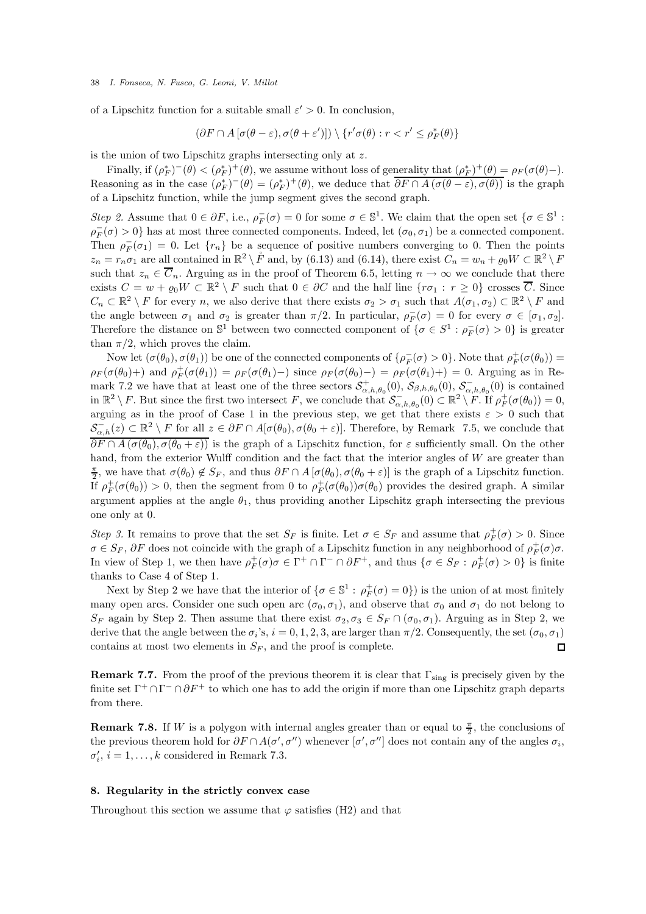of a Lipschitz function for a suitable small  $\varepsilon' > 0$ . In conclusion,

$$
(\partial F \cap A [\sigma(\theta - \varepsilon), \sigma(\theta + \varepsilon')]) \setminus \{r' \sigma(\theta) : r < r' \le \rho_F^*(\theta)\}\
$$

is the union of two Lipschitz graphs intersecting only at z.

Finally, if  $(\rho_F^*)^-(\theta) < (\rho_F^*)^+(\theta)$ , we assume without loss of generality that  $(\rho_F^*)^+(\theta) = \rho_F(\sigma(\theta) -)$ . Reasoning as in the case  $(\rho_F^*)^-(\theta) = (\rho_F^*)^+(\theta)$ , we deduce that  $\overline{\partial F} \cap A(\sigma(\theta - \varepsilon), \sigma(\theta))$  is the graph of a Lipschitz function, while the jump segment gives the second graph.

*Step 2.* Assume that  $0 \in \partial F$ , i.e.,  $\rho_F^-(\sigma) = 0$  for some  $\sigma \in \mathbb{S}^1$ . We claim that the open set  $\{\sigma \in \mathbb{S}^1 :$  $\rho_F^-(\sigma) > 0$ } has at most three connected components. Indeed, let  $(\sigma_0, \sigma_1)$  be a connected component. Then  $\rho_F^-(\sigma_1) = 0$ . Let  $\{r_n\}$  be a sequence of positive numbers converging to 0. Then the points  $z_n = r_n \sigma_1$  are all contained in  $\mathbb{R}^2 \setminus F$  and, by (6.13) and (6.14), there exist  $C_n = w_n + \varrho_0 W \subset \mathbb{R}^2 \setminus F$ such that  $z_n \in \overline{C}_n$ . Arguing as in the proof of Theorem 6.5, letting  $n \to \infty$  we conclude that there exists  $C = w + \varrho_0 W \subset \mathbb{R}^2 \setminus F$  such that  $0 \in \partial C$  and the half line  $\{r\sigma_1 : r \geq 0\}$  crosses  $\overline{C}$ . Since  $C_n \subset \mathbb{R}^2 \setminus F$  for every n, we also derive that there exists  $\sigma_2 > \sigma_1$  such that  $A(\sigma_1, \sigma_2) \subset \mathbb{R}^2 \setminus F$  and the angle between  $\sigma_1$  and  $\sigma_2$  is greater than  $\pi/2$ . In particular,  $\rho_F^-(\sigma) = 0$  for every  $\sigma \in [\sigma_1, \sigma_2]$ . Therefore the distance on  $\mathbb{S}^1$  between two connected component of  $\{\sigma \in S^1 : \rho_F^-(\sigma) > 0\}$  is greater than  $\pi/2$ , which proves the claim.

Now let  $(\sigma(\theta_0), \sigma(\theta_1))$  be one of the connected components of  $\{\rho^-_F(\sigma) > 0\}$ . Note that  $\rho^+_F(\sigma(\theta_0)) =$  $\rho_F(\sigma(\theta_0)+\rho)$  and  $\rho_F^+(\sigma(\theta_1)) = \rho_F(\sigma(\theta_1)-\rho)$  since  $\rho_F(\sigma(\theta_0)-\rho) = \rho_F(\sigma(\theta_1)+\rho) = 0$ . Arguing as in Remark 7.2 we have that at least one of the three sectors  $S^+_{\alpha,h,\theta_0}(0)$ ,  $S_{\beta,h,\theta_0}(0)$ ,  $S^-_{\alpha,h,\theta_0}(0)$  is contained in  $\mathbb{R}^2 \setminus F$ . But since the first two intersect F, we conclude that  $\mathcal{S}_{\alpha,h,\theta_0}^-(0) \subset \mathbb{R}^2 \setminus F$ . If  $\rho_F^+(\sigma(\theta_0)) = 0$ , arguing as in the proof of Case 1 in the previous step, we get that there exists  $\varepsilon > 0$  such that  $S_{\alpha,h}^{-}(z) \subset \mathbb{R}^2 \setminus F$  for all  $z \in \partial F \cap A[\sigma(\theta_0), \sigma(\theta_0 + \varepsilon)]$ . Therefore, by Remark 7.5, we conclude that  $\overline{\partial F \cap A(\sigma(\theta_0), \sigma(\theta_0 + \varepsilon))}$  is the graph of a Lipschitz function, for  $\varepsilon$  sufficiently small. On the other hand, from the exterior Wulff condition and the fact that the interior angles of  $W$  are greater than  $\frac{\pi}{2}$ , we have that  $\sigma(\theta_0) \notin S_F$ , and thus  $\partial F \cap A [\sigma(\theta_0), \sigma(\theta_0 + \varepsilon)]$  is the graph of a Lipschitz function. If  $\rho_F^+(\sigma(\theta_0)) > 0$ , then the segment from 0 to  $\rho_F^+(\sigma(\theta_0))\sigma(\theta_0)$  provides the desired graph. A similar argument applies at the angle  $\theta_1$ , thus providing another Lipschitz graph intersecting the previous one only at 0.

*Step 3.* It remains to prove that the set  $S_F$  is finite. Let  $\sigma \in S_F$  and assume that  $\rho_F^+(\sigma) > 0$ . Since  $\sigma \in S_F$ ,  $\partial F$  does not coincide with the graph of a Lipschitz function in any neighborhood of  $\rho_F^+(\sigma)\sigma$ . In view of Step 1, we then have  $\rho_F^+(\sigma)\sigma \in \Gamma^+ \cap \Gamma^- \cap \partial F^+$ , and thus  $\{\sigma \in S_F : \rho_F^+(\sigma) > 0\}$  is finite thanks to Case 4 of Step 1.

Next by Step 2 we have that the interior of  $\{\sigma \in \mathbb{S}^1 : \rho_F^+(\sigma) = 0\}$  is the union of at most finitely many open arcs. Consider one such open arc  $(\sigma_0, \sigma_1)$ , and observe that  $\sigma_0$  and  $\sigma_1$  do not belong to  $S_F$  again by Step 2. Then assume that there exist  $\sigma_2, \sigma_3 \in S_F \cap (\sigma_0, \sigma_1)$ . Arguing as in Step 2, we derive that the angle between the  $\sigma_i$ 's,  $i = 0, 1, 2, 3$ , are larger than  $\pi/2$ . Consequently, the set  $(\sigma_0, \sigma_1)$ contains at most two elements in  $S_F$ , and the proof is complete.  $\Box$ 

**Remark 7.7.** From the proof of the previous theorem it is clear that  $\Gamma_{sing}$  is precisely given by the finite set  $\Gamma^+ \cap \Gamma^- \cap \partial F^+$  to which one has to add the origin if more than one Lipschitz graph departs from there.

**Remark 7.8.** If W is a polygon with internal angles greater than or equal to  $\frac{\pi}{2}$ , the conclusions of the previous theorem hold for  $\partial F \cap A(\sigma', \sigma'')$  whenever  $[\sigma', \sigma'']$  does not contain any of the angles  $\sigma_i$ ,  $\sigma'_i$ ,  $i = 1, \ldots, k$  considered in Remark 7.3.

### 8. Regularity in the strictly convex case

Throughout this section we assume that  $\varphi$  satisfies (H2) and that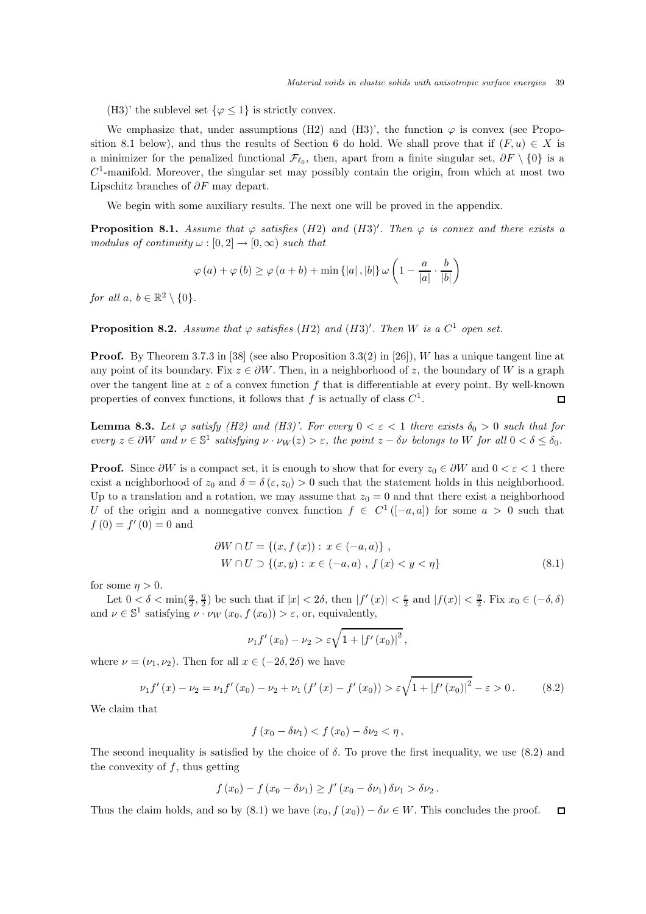(H3)' the sublevel set  $\{\varphi \leq 1\}$  is strictly convex.

We emphasize that, under assumptions (H2) and (H3)', the function  $\varphi$  is convex (see Proposition 8.1 below), and thus the results of Section 6 do hold. We shall prove that if  $(F, u) \in X$  is a minimizer for the penalized functional  $\mathcal{F}_{\ell_0}$ , then, apart from a finite singular set,  $\partial F \setminus \{0\}$  is a  $C<sup>1</sup>$ -manifold. Moreover, the singular set may possibly contain the origin, from which at most two Lipschitz branches of  $\partial F$  may depart.

We begin with some auxiliary results. The next one will be proved in the appendix.

**Proposition 8.1.** Assume that  $\varphi$  satisfies (H2) and (H3)'. Then  $\varphi$  is convex and there exists a *modulus of continuity*  $\omega : [0, 2] \rightarrow [0, \infty)$  *such that* 

$$
\varphi(a) + \varphi(b) \ge \varphi(a+b) + \min\{|a|, |b|\} \omega\left(1 - \frac{a}{|a|} \cdot \frac{b}{|b|}\right)
$$

*for all*  $a, b \in \mathbb{R}^2 \setminus \{0\}.$ 

**Proposition 8.2.** Assume that  $\varphi$  satisfies (H2) and (H3)'. Then W is a  $C^1$  open set.

**Proof.** By Theorem 3.7.3 in [38] (see also Proposition 3.3(2) in [26]), W has a unique tangent line at any point of its boundary. Fix  $z \in \partial W$ . Then, in a neighborhood of z, the boundary of W is a graph over the tangent line at  $z$  of a convex function  $f$  that is differentiable at every point. By well-known properties of convex functions, it follows that  $f$  is actually of class  $C^1$ .  $\Box$ 

**Lemma 8.3.** Let  $\varphi$  satisfy (H2) and (H3)'. For every  $0 < \varepsilon < 1$  there exists  $\delta_0 > 0$  such that for  $every \ z \in \partial W \ and \ \nu \in \mathbb{S}^1 \ satisfying \ \nu \cdot \nu_W(z) > \varepsilon, \ the \ point \ z - \delta \nu \ belongs \ to \ W \ for \ all \ 0 < \delta \leq \delta_0.$ 

**Proof.** Since  $\partial W$  is a compact set, it is enough to show that for every  $z_0 \in \partial W$  and  $0 < \varepsilon < 1$  there exist a neighborhood of  $z_0$  and  $\delta = \delta(\varepsilon, z_0) > 0$  such that the statement holds in this neighborhood. Up to a translation and a rotation, we may assume that  $z_0 = 0$  and that there exist a neighborhood U of the origin and a nonnegative convex function  $f \in C^1([-a,a])$  for some  $a > 0$  such that  $f(0) = f'(0) = 0$  and

$$
\begin{aligned} \partial W \cap U &= \{ (x, f(x)) : x \in (-a, a) \} \;, \\ W \cap U & \supset \{ (x, y) : x \in (-a, a) \;, \; f(x) < y < \eta \} \end{aligned} \tag{8.1}
$$

for some  $\eta > 0$ .

Let  $0 < \delta < \min(\frac{a}{2}, \frac{\eta}{2})$  be such that if  $|x| < 2\delta$ , then  $|f'(x)| < \frac{\varepsilon}{2}$  and  $|f(x)| < \frac{\eta}{2}$ . Fix  $x_0 \in (-\delta, \delta)$ and  $\nu \in \mathbb{S}^1$  satisfying  $\nu \cdot \nu_W(x_0, f(x_0)) > \varepsilon$ , or, equivalently,

$$
\nu_1 f'(x_0) - \nu_2 > \varepsilon \sqrt{1 + |f'(x_0)|^2},
$$

where  $\nu = (\nu_1, \nu_2)$ . Then for all  $x \in (-2\delta, 2\delta)$  we have

$$
\nu_1 f'(x) - \nu_2 = \nu_1 f'(x_0) - \nu_2 + \nu_1 (f'(x) - f'(x_0)) > \varepsilon \sqrt{1 + |f'(x_0)|^2} - \varepsilon > 0. \tag{8.2}
$$

We claim that

$$
f(x_0 - \delta \nu_1) < f(x_0) - \delta \nu_2 < \eta \,,
$$

The second inequality is satisfied by the choice of  $\delta$ . To prove the first inequality, we use (8.2) and the convexity of  $f$ , thus getting

$$
f(x_0) - f(x_0 - \delta \nu_1) \ge f'(x_0 - \delta \nu_1) \delta \nu_1 > \delta \nu_2.
$$

Thus the claim holds, and so by (8.1) we have  $(x_0, f(x_0)) - \delta \nu \in W$ . This concludes the proof.  $\Box$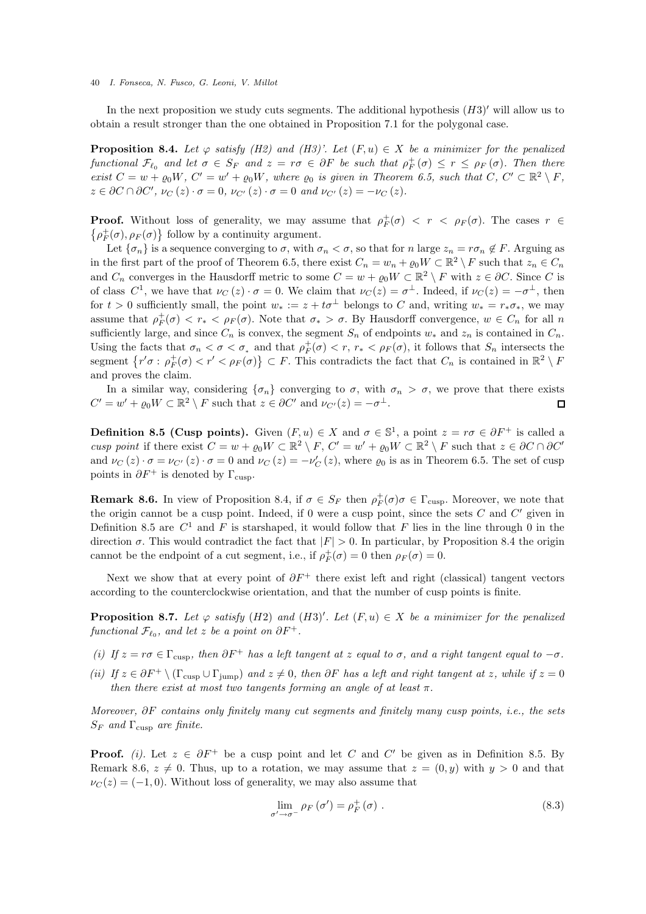In the next proposition we study cuts segments. The additional hypothesis  $(H3)'$  will allow us to obtain a result stronger than the one obtained in Proposition 7.1 for the polygonal case.

**Proposition 8.4.** Let  $\varphi$  *satisfy (H2)* and *(H3)'.* Let  $(F, u) \in X$  be a minimizer for the penalized *functional*  $\mathcal{F}_{\ell_0}$  *and let*  $\sigma \in S_F$  *and*  $z = r\sigma \in \partial F$  *be such that*  $\rho_F^+(\sigma) \leq r \leq \rho_F(\sigma)$ *. Then there exist*  $C = w + \varrho_0 W$ ,  $C' = w' + \varrho_0 W$ , where  $\varrho_0$  *is given in Theorem 6.5, such that*  $C, C' \subset \mathbb{R}^2 \setminus F$ ,  $z \in \partial C \cap \partial C', \nu_C(z) \cdot \sigma = 0, \nu_{C'}(z) \cdot \sigma = 0 \text{ and } \nu_{C'}(z) = -\nu_C(z).$ 

**Proof.** Without loss of generality, we may assume that  $\rho_F^+(\sigma) < r < \rho_F(\sigma)$ . The cases  $r \in$  $\left\{ \rho_{F}^{+}(\sigma),\rho_{F}(\sigma)\right\}$  follow by a continuity argument.

Let  $\{\sigma_n\}$  is a sequence converging to  $\sigma$ , with  $\sigma_n < \sigma$ , so that for n large  $z_n = r\sigma_n \notin F$ . Arguing as in the first part of the proof of Theorem 6.5, there exist  $C_n = w_n + \varrho_0 W \subset \mathbb{R}^2 \setminus F$  such that  $z_n \in C_n$ and  $C_n$  converges in the Hausdorff metric to some  $C = w + \varrho_0 W \subset \mathbb{R}^2 \setminus F$  with  $z \in \partial C$ . Since C is of class  $C^1$ , we have that  $\nu_C(z) \cdot \sigma = 0$ . We claim that  $\nu_C(z) = \sigma^{\perp}$ . Indeed, if  $\nu_C(z) = -\sigma^{\perp}$ , then for  $t > 0$  sufficiently small, the point  $w_* := z + t\sigma^{\perp}$  belongs to C and, writing  $w_* = r_*\sigma_*,$  we may assume that  $\rho_F^+(\sigma) < r_* < \rho_F(\sigma)$ . Note that  $\sigma_* > \sigma$ . By Hausdorff convergence,  $w \in C_n$  for all n sufficiently large, and since  $C_n$  is convex, the segment  $S_n$  of endpoints  $w_*$  and  $z_n$  is contained in  $C_n$ . Using the facts that  $\sigma_n < \sigma < \sigma_*$  and that  $\rho_F^+(\sigma) < r$ ,  $r_* < \rho_F(\sigma)$ , it follows that  $S_n$  intersects the segment  $\{r'\sigma: \rho_F^+(\sigma) < r' < \rho_F(\sigma)\}\subset F$ . This contradicts the fact that  $C_n$  is contained in  $\mathbb{R}^2 \setminus F$ and proves the claim.

In a similar way, considering  $\{\sigma_n\}$  converging to  $\sigma$ , with  $\sigma_n > \sigma$ , we prove that there exists  $C' = w' + \varrho_0 W \subset \mathbb{R}^2 \setminus F$  such that  $z \in \partial C'$  and  $\nu_{C'}(z) = -\sigma^{\perp}$ .  $\Box$ 

**Definition 8.5 (Cusp points).** Given  $(F, u) \in X$  and  $\sigma \in \mathbb{S}^1$ , a point  $z = r\sigma \in \partial F^+$  is called a *cusp point* if there exist  $C = w + \varrho_0 W \subset \mathbb{R}^2 \setminus F$ ,  $C' = w' + \varrho_0 W \subset \mathbb{R}^2 \setminus F$  such that  $z \in \partial C \cap \partial C'$ and  $\nu_C(z) \cdot \sigma = \nu_{C'}(z) \cdot \sigma = 0$  and  $\nu_C(z) = -\nu'_C(z)$ , where  $\varrho_0$  is as in Theorem 6.5. The set of cusp points in  $\partial F^+$  is denoted by  $\Gamma_{\text{cusp}}$ .

**Remark 8.6.** In view of Proposition 8.4, if  $\sigma \in S_F$  then  $\rho_F^+(\sigma)\sigma \in \Gamma_{\text{cusp}}$ . Moreover, we note that the origin cannot be a cusp point. Indeed, if 0 were a cusp point, since the sets  $C$  and  $C'$  given in Definition 8.5 are  $C^1$  and F is starshaped, it would follow that F lies in the line through 0 in the direction  $\sigma$ . This would contradict the fact that  $|F| > 0$ . In particular, by Proposition 8.4 the origin cannot be the endpoint of a cut segment, i.e., if  $\rho_F^+(\sigma) = 0$  then  $\rho_F(\sigma) = 0$ .

Next we show that at every point of  $\partial F^+$  there exist left and right (classical) tangent vectors according to the counterclockwise orientation, and that the number of cusp points is finite.

**Proposition 8.7.** Let  $\varphi$  *satisfy* (H2) and (H3)'. Let  $(F, u) \in X$  be a minimizer for the penalized  $\mathit{functional}\ \mathcal{F}_{\ell_0},\ \mathit{and\ let}\ z\ \mathit{be}\ a\ point\ on\ \partial F^+.$ 

- *(i)* If  $z = r\sigma \in \Gamma_{\text{cusp}}$ , then  $\partial F^+$  has a left tangent at z equal to  $\sigma$ , and a right tangent equal to  $-\sigma$ .
- *(ii)* If  $z \in \partial F^+ \setminus (\Gamma_{\text{cusp}} \cup \Gamma_{\text{jump}})$  and  $z \neq 0$ , then  $\partial F$  has a left and right tangent at z, while if  $z = 0$ *then there exist at most two tangents forming an angle of at least*  $\pi$ .

*Moreover,* ∂F *contains only finitely many cut segments and finitely many cusp points, i.e., the sets*  $S_F$  *and*  $\Gamma_{\text{cusp}}$  *are finite.* 

**Proof.** *(i)*. Let  $z \in \partial F^+$  be a cusp point and let C and C' be given as in Definition 8.5. By Remark 8.6,  $z \neq 0$ . Thus, up to a rotation, we may assume that  $z = (0, y)$  with  $y > 0$  and that  $\nu_C(z) = (-1, 0)$ . Without loss of generality, we may also assume that

$$
\lim_{\sigma' \to \sigma^-} \rho_F(\sigma') = \rho_F^+(\sigma) \tag{8.3}
$$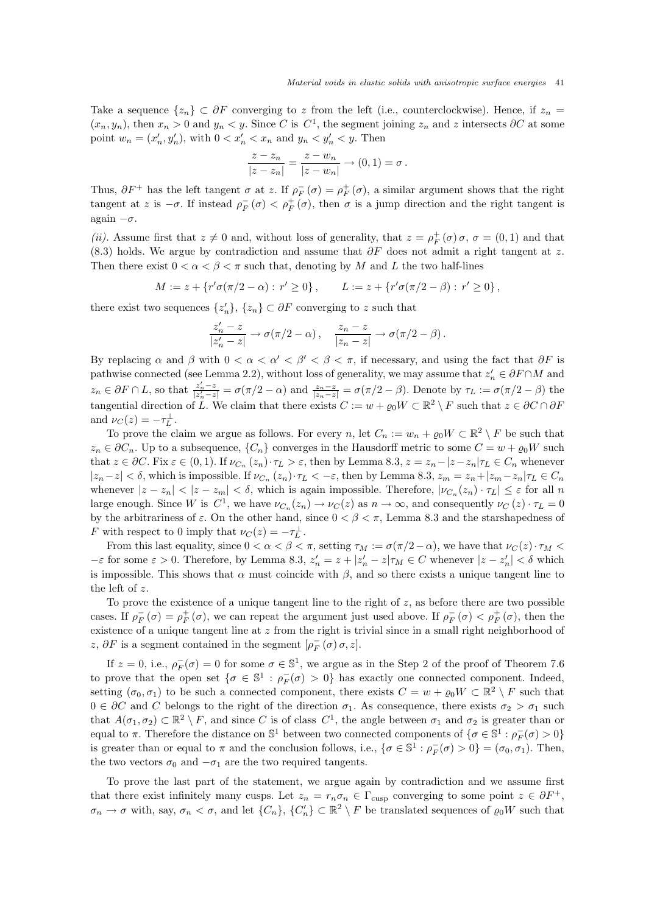Take a sequence  $\{z_n\} \subset \partial F$  converging to z from the left (i.e., counterclockwise). Hence, if  $z_n =$  $(x_n, y_n)$ , then  $x_n > 0$  and  $y_n < y$ . Since C is  $C^1$ , the segment joining  $z_n$  and z intersects  $\partial C$  at some point  $w_n = (x'_n, y'_n)$ , with  $0 < x'_n < x_n$  and  $y_n < y'_n < y$ . Then

$$
\frac{z - z_n}{|z - z_n|} = \frac{z - w_n}{|z - w_n|} \to (0, 1) = \sigma.
$$

Thus,  $\partial F^+$  has the left tangent  $\sigma$  at z. If  $\rho_F^-(\sigma) = \rho_F^+(\sigma)$ , a similar argument shows that the right tangent at z is  $-\sigma$ . If instead  $\rho_F^-(\sigma) < \rho_F^+(\sigma)$ , then  $\sigma$  is a jump direction and the right tangent is again  $-\sigma$ .

(*ii*). Assume first that  $z \neq 0$  and, without loss of generality, that  $z = \rho_F^+(\sigma) \sigma$ ,  $\sigma = (0, 1)$  and that (8.3) holds. We argue by contradiction and assume that  $\partial F$  does not admit a right tangent at z. Then there exist  $0 < \alpha < \beta < \pi$  such that, denoting by M and L the two half-lines

$$
M := z + \{ r' \sigma(\pi/2 - \alpha) : r' \ge 0 \}, \qquad L := z + \{ r' \sigma(\pi/2 - \beta) : r' \ge 0 \},
$$

there exist two sequences  $\{z'_n\}, \{z_n\} \subset \partial F$  converging to z such that

$$
\frac{z_n'-z}{|z_n'-z|} \to \sigma(\pi/2-\alpha)\,, \quad \frac{z_n-z}{|z_n-z|} \to \sigma(\pi/2-\beta)\,.
$$

By replacing  $\alpha$  and  $\beta$  with  $0 < \alpha < \alpha' < \beta' < \beta < \pi$ , if necessary, and using the fact that  $\partial F$  is pathwise connected (see Lemma 2.2), without loss of generality, we may assume that  $z'_n \in \partial F \cap M$  and  $z_n \in \partial F \cap L$ , so that  $\frac{z'_n - z}{|z'_n - z|} = \sigma(\pi/2 - \alpha)$  and  $\frac{z_n - z}{|z_n - z|} = \sigma(\pi/2 - \beta)$ . Denote by  $\tau_L := \sigma(\pi/2 - \beta)$  the tangential direction of  $\hat{L}$ . We claim that there exists  $C := w + \varrho_0 W \subset \mathbb{R}^2 \setminus F$  such that  $z \in \partial C \cap \partial F$ and  $\nu_C(z) = -\tau_L^{\perp}$ .

To prove the claim we argue as follows. For every n, let  $C_n := w_n + \varrho_0 W \subset \mathbb{R}^2 \setminus F$  be such that  $z_n \in \partial C_n$ . Up to a subsequence,  $\{C_n\}$  converges in the Hausdorff metric to some  $C = w + \rho_0 W$  such that  $z \in \partial C$ . Fix  $\varepsilon \in (0,1)$ . If  $\nu_{C_n}(z_n) \cdot \tau_L > \varepsilon$ , then by Lemma 8.3,  $z = z_n - |z - z_n|\tau_L \in C_n$  whenever  $|z_n-z| < \delta$ , which is impossible. If  $\nu_{C_n}(z_n) \cdot \tau_L < -\varepsilon$ , then by Lemma 8.3,  $z_m = z_n + |z_m - z_n|\tau_L \in C_n$ whenever  $|z - z_n| < |z - z_m| < \delta$ , which is again impossible. Therefore,  $|\nu_{C_n}(z_n) \cdot \tau_L| \leq \varepsilon$  for all n large enough. Since W is  $C^1$ , we have  $\nu_{C_n}(z_n) \to \nu_C(z)$  as  $n \to \infty$ , and consequently  $\nu_C(z) \cdot \tau_L = 0$ by the arbitrariness of  $\varepsilon$ . On the other hand, since  $0 < \beta < \pi$ , Lemma 8.3 and the starshapedness of F with respect to 0 imply that  $\nu_C(z) = -\tau_L^{\perp}$ .

From this last equality, since  $0 < \alpha < \beta < \pi$ , setting  $\tau_M := \sigma(\pi/2 - \alpha)$ , we have that  $\nu_C(z) \cdot \tau_M <$  $-\varepsilon$  for some  $\varepsilon > 0$ . Therefore, by Lemma 8.3,  $z_n' = z + |z_n' - z|\tau_M \in C$  whenever  $|z - z_n'| < \delta$  which is impossible. This shows that  $\alpha$  must coincide with  $\beta$ , and so there exists a unique tangent line to the left of z.

To prove the existence of a unique tangent line to the right of  $z$ , as before there are two possible cases. If  $\rho_F^-(\sigma) = \rho_F^+(\sigma)$ , we can repeat the argument just used above. If  $\rho_F^-(\sigma) < \rho_F^+(\sigma)$ , then the existence of a unique tangent line at z from the right is trivial since in a small right neighborhood of z,  $\partial F$  is a segment contained in the segment  $[\rho_F^-(\sigma)\,\sigma,z]$ .

If  $z = 0$ , i.e.,  $\rho_F^-(\sigma) = 0$  for some  $\sigma \in \mathbb{S}^1$ , we argue as in the Step 2 of the proof of Theorem 7.6 to prove that the open set  $\{\sigma \in \mathbb{S}^1 : \rho_F^-(\sigma) > 0\}$  has exactly one connected component. Indeed, setting  $(\sigma_0, \sigma_1)$  to be such a connected component, there exists  $C = w + \varrho_0 W \subset \mathbb{R}^2 \setminus F$  such that  $0 \in \partial C$  and C belongs to the right of the direction  $\sigma_1$ . As consequence, there exists  $\sigma_2 > \sigma_1$  such that  $A(\sigma_1, \sigma_2) \subset \mathbb{R}^2 \setminus F$ , and since C is of class  $C^1$ , the angle between  $\sigma_1$  and  $\sigma_2$  is greater than or equal to  $\pi$ . Therefore the distance on  $\mathbb{S}^1$  between two connected components of  $\{\sigma \in \mathbb{S}^1 : \rho_F^-(\sigma) > 0\}$ is greater than or equal to  $\pi$  and the conclusion follows, i.e.,  $\{\sigma \in \mathbb{S}^1 : \rho_F^-(\sigma) > 0\} = (\sigma_0, \sigma_1)$ . Then, the two vectors  $\sigma_0$  and  $-\sigma_1$  are the two required tangents.

To prove the last part of the statement, we argue again by contradiction and we assume first that there exist infinitely many cusps. Let  $z_n = r_n \sigma_n \in \Gamma_{\text{cusp}}$  converging to some point  $z \in \partial F^+$ ,  $\sigma_n \to \sigma$  with, say,  $\sigma_n < \sigma$ , and let  $\{C_n\}$ ,  $\{C'_n\} \subset \mathbb{R}^2 \setminus F$  be translated sequences of  $\varrho_0 W$  such that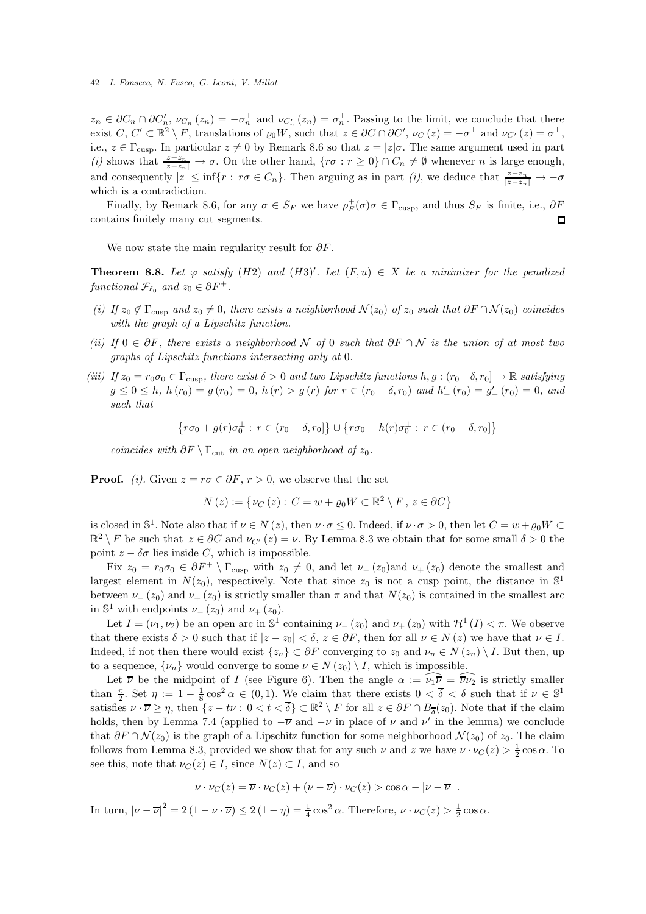$z_n \in \partial C_n \cap \partial C'_n$ ,  $\nu_{C_n}(z_n) = -\sigma_n^{\perp}$  and  $\nu_{C'_n}(z_n) = \sigma_n^{\perp}$ . Passing to the limit, we conclude that there exist  $C, C' \subset \mathbb{R}^2 \setminus F$ , translations of  $\varrho_0 W$ , such that  $z \in \partial C \cap \partial C'$ ,  $\nu_C(z) = -\sigma^{\perp}$  and  $\nu_{C'}(z) = \sigma^{\perp}$ , i.e.,  $z \in \Gamma_{\text{cusp}}$ . In particular  $z \neq 0$  by Remark 8.6 so that  $z = |z|\sigma$ . The same argument used in part *(i)* shows that  $\frac{z-z_n}{|z-z_n|} \to \sigma$ . On the other hand,  $\{r\sigma : r \geq 0\} \cap C_n \neq \emptyset$  whenever *n* is large enough, and consequently  $|z| \leq \inf\{r : r\sigma \in C_n\}$ . Then arguing as in part *(i)*, we deduce that  $\frac{z-z_n}{|z-z_n|} \to -\sigma$ which is a contradiction.

Finally, by Remark 8.6, for any  $\sigma \in S_F$  we have  $\rho_F^+(\sigma)\sigma \in \Gamma_{\text{cusp}}$ , and thus  $S_F$  is finite, i.e.,  $\partial F$ contains finitely many cut segments.  $\Box$ 

We now state the main regularity result for  $\partial F$ .

**Theorem 8.8.** Let  $\varphi$  satisfy (H2) and (H3)'. Let  $(F, u) \in X$  be a minimizer for the penalized *functional*  $\mathcal{F}_{\ell_0}$  *and*  $z_0 \in \partial F^+$ *.* 

- *(i) If*  $z_0 \notin \Gamma_{\text{cusp}}$  *and*  $z_0 \neq 0$ *, there exists a neighborhood*  $\mathcal{N}(z_0)$  *of*  $z_0$  *such that*  $\partial F \cap \mathcal{N}(z_0)$  *coincides with the graph of a Lipschitz function.*
- *(ii) If* 0 ∈ ∂F*, there exists a neighborhood* N *of* 0 *such that* ∂F ∩ N *is the union of at most two graphs of Lipschitz functions intersecting only at* 0*.*
- *(iii)* If  $z_0 = r_0 \sigma_0 \in \Gamma_{\text{cusp}}$ , there exist  $\delta > 0$  and two Lipschitz functions  $h, g : (r_0 \delta, r_0] \to \mathbb{R}$  satisfying  $g \le 0 \le h$ ,  $h(r_0) = g(r_0) = 0$ ,  $h(r) > g(r)$  for  $r \in (r_0 - \delta, r_0)$  and  $h'_{-}(r_0) = g'_{-}(r_0) = 0$ , and *such that*

$$
\{r\sigma_0 + g(r)\sigma_0^{\perp} : r \in (r_0 - \delta, r_0] \} \cup \{r\sigma_0 + h(r)\sigma_0^{\perp} : r \in (r_0 - \delta, r_0] \}
$$

*coincides with*  $\partial F \setminus \Gamma_{\text{cut}}$  *in an open neighborhood of*  $z_0$ *.* 

**Proof.** *(i)*. Given  $z = r\sigma \in \partial F$ ,  $r > 0$ , we observe that the set

$$
N(z) := \{ \nu_C(z) : C = w + \varrho_0 W \subset \mathbb{R}^2 \setminus F, z \in \partial C \}
$$

is closed in  $\mathbb{S}^1$ . Note also that if  $\nu \in N(z)$ , then  $\nu \cdot \sigma \leq 0$ . Indeed, if  $\nu \cdot \sigma > 0$ , then let  $C = w + \varrho_0 W \subset$  $\mathbb{R}^2 \setminus F$  be such that  $z \in \partial C$  and  $\nu_{C'}(z) = \nu$ . By Lemma 8.3 we obtain that for some small  $\delta > 0$  the point  $z - \delta \sigma$  lies inside C, which is impossible.

Fix  $z_0 = r_0 \sigma_0 \in \partial F^+ \setminus \Gamma_{\text{cusp}}$  with  $z_0 \neq 0$ , and let  $\nu_-(z_0)$  and  $\nu_+(z_0)$  denote the smallest and largest element in  $N(z_0)$ , respectively. Note that since  $z_0$  is not a cusp point, the distance in  $\mathbb{S}^1$ between  $\nu_-(z_0)$  and  $\nu_+(z_0)$  is strictly smaller than  $\pi$  and that  $N(z_0)$  is contained in the smallest arc in  $\mathbb{S}^1$  with endpoints  $\nu_-(z_0)$  and  $\nu_+(z_0)$ .

Let  $I = (\nu_1, \nu_2)$  be an open arc in  $\mathbb{S}^1$  containing  $\nu_-(z_0)$  and  $\nu_+(z_0)$  with  $\mathcal{H}^1(I) < \pi$ . We observe that there exists  $\delta > 0$  such that if  $|z - z_0| < \delta$ ,  $z \in \partial F$ , then for all  $\nu \in N(z)$  we have that  $\nu \in I$ . Indeed, if not then there would exist  $\{z_n\} \subset \partial F$  converging to  $z_0$  and  $\nu_n \in N(z_n) \setminus I$ . But then, up to a sequence,  $\{\nu_n\}$  would converge to some  $\nu \in N(z_0) \setminus I$ , which is impossible.

Let  $\overline{\nu}$  be the midpoint of I (see Figure 6). Then the angle  $\alpha := \widehat{\nu_1 \nu} = \widehat{\overline{\nu} \nu_2}$  is strictly smaller than  $\frac{\pi}{2}$ . Set  $\eta := 1 - \frac{1}{8} \cos^2 \alpha \in (0, 1)$ . We claim that there exists  $0 < \overline{\delta} < \delta$  such that if  $\nu \in \mathbb{S}^1$ satisfies  $\nu \cdot \overline{\nu} \ge \eta$ , then  $\{z - t\nu : 0 < t < \overline{\delta}\} \subset \mathbb{R}^2 \setminus F$  for all  $z \in \partial F \cap B_{\overline{\delta}}(z_0)$ . Note that if the claim holds, then by Lemma 7.4 (applied to  $-\overline{\nu}$  and  $-\nu$  in place of  $\nu$  and  $\nu'$  in the lemma) we conclude that  $\partial F \cap \mathcal{N}(z_0)$  is the graph of a Lipschitz function for some neighborhood  $\mathcal{N}(z_0)$  of  $z_0$ . The claim follows from Lemma 8.3, provided we show that for any such  $\nu$  and  $z$  we have  $\nu \cdot \nu_C(z) > \frac{1}{2} \cos \alpha$ . To see this, note that  $\nu_C(z) \in I$ , since  $N(z) \subset I$ , and so

$$
\nu \cdot \nu_C(z) = \overline{\nu} \cdot \nu_C(z) + (\nu - \overline{\nu}) \cdot \nu_C(z) > \cos \alpha - |\nu - \overline{\nu}|.
$$

In turn,  $|\nu - \overline{\nu}|^2 = 2(1 - \nu \cdot \overline{\nu}) \le 2(1 - \eta) = \frac{1}{4}\cos^2\alpha$ . Therefore,  $\nu \cdot \nu_C(z) > \frac{1}{2}\cos\alpha$ .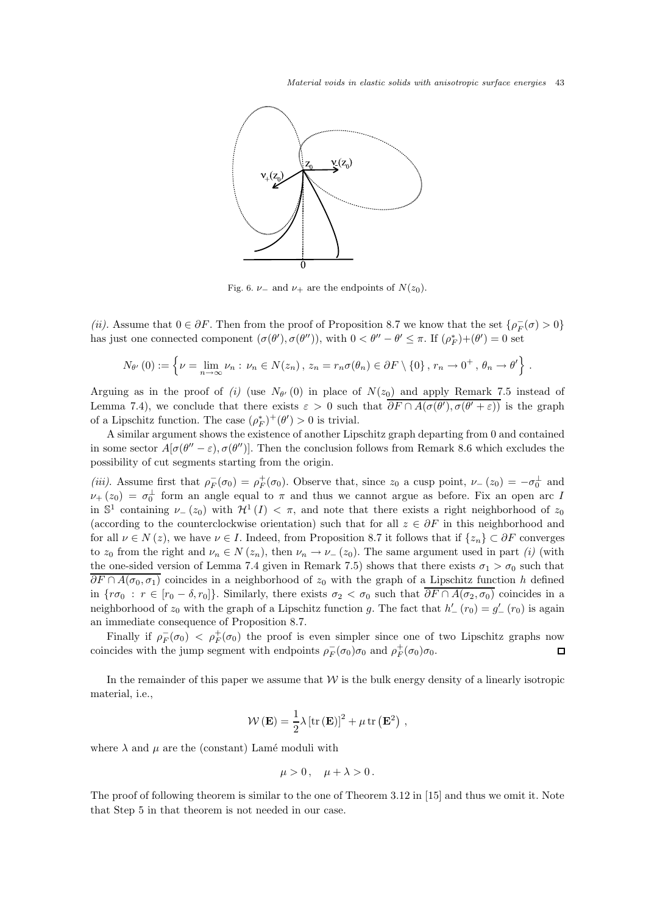Material voids in elastic solids with anisotropic surface energies 43



Fig. 6.  $\nu$ <sub>-</sub> and  $\nu$ <sub>+</sub> are the endpoints of  $N(z_0)$ .

(*ii*). Assume that  $0 \in \partial F$ . Then from the proof of Proposition 8.7 we know that the set  $\{\rho_F^-(\sigma) > 0\}$ has just one connected component  $(\sigma(\theta'), \sigma(\theta''))$ , with  $0 < \theta'' - \theta' \leq \pi$ . If  $(\rho_F^*) + (\theta') = 0$  set

$$
N_{\theta'}(0) := \left\{\nu = \lim_{n \to \infty} \nu_n : \nu_n \in N(z_n), \ z_n = r_n \sigma(\theta_n) \in \partial F \setminus \{0\}, \ r_n \to 0^+, \ \theta_n \to \theta'\right\}.
$$

Arguing as in the proof of (i) (use  $N_{\theta'}(0)$  in place of  $N(z_0)$  and apply Remark 7.5 instead of Lemma 7.4), we conclude that there exists  $\varepsilon > 0$  such that  $\partial F \cap A(\sigma(\theta'), \sigma(\theta' + \varepsilon))$  is the graph of a Lipschitz function. The case  $(\rho_F^*)^+(\theta') > 0$  is trivial.

A similar argument shows the existence of another Lipschitz graph departing from 0 and contained in some sector  $A[\sigma(\theta'' - \varepsilon), \sigma(\theta'')]$ . Then the conclusion follows from Remark 8.6 which excludes the possibility of cut segments starting from the origin.

(*iii*). Assume first that  $\rho_F^-(\sigma_0) = \rho_F^+(\sigma_0)$ . Observe that, since  $z_0$  a cusp point,  $\nu_-(z_0) = -\sigma_0^{\perp}$  and  $\nu_{+}(z_0) = \sigma_0^{\perp}$  form an angle equal to  $\pi$  and thus we cannot argue as before. Fix an open arc I in  $\mathbb{S}^1$  containing  $\nu_-(z_0)$  with  $\mathcal{H}^1(I) < \pi$ , and note that there exists a right neighborhood of  $z_0$ (according to the counterclockwise orientation) such that for all  $z \in \partial F$  in this neighborhood and for all  $\nu \in N(z)$ , we have  $\nu \in I$ . Indeed, from Proposition 8.7 it follows that if  $\{z_n\} \subset \partial F$  converges to  $z_0$  from the right and  $\nu_n \in N(z_n)$ , then  $\nu_n \to \nu_-(z_0)$ . The same argument used in part *(i)* (with the one-sided version of Lemma 7.4 given in Remark 7.5) shows that there exists  $\sigma_1 > \sigma_0$  such that  $\partial F \cap A(\sigma_0, \sigma_1)$  coincides in a neighborhood of  $z_0$  with the graph of a Lipschitz function h defined in  $\{\tau\sigma_0 : r \in [r_0 - \delta, r_0]\}\$ . Similarly, there exists  $\sigma_2 < \sigma_0$  such that  $\overline{\partial F \cap A(\sigma_2, \sigma_0)}$  coincides in a neighborhood of  $z_0$  with the graph of a Lipschitz function g. The fact that  $h'_{-}(r_0) = g'_{-}(r_0)$  is again an immediate consequence of Proposition 8.7.

Finally if  $\rho_F^-(\sigma_0) < \rho_F^+(\sigma_0)$  the proof is even simpler since one of two Lipschitz graphs now coincides with the jump segment with endpoints  $\rho_F^-(\sigma_0)\sigma_0$  and  $\rho_F^+(\sigma_0)\sigma_0$ .  $\Box$ 

In the remainder of this paper we assume that  $W$  is the bulk energy density of a linearly isotropic material, i.e.,

$$
W(\mathbf{E}) = \frac{1}{2}\lambda \left[\text{tr}(\mathbf{E})\right]^2 + \mu \,\text{tr}\left(\mathbf{E}^2\right) ,
$$

where  $\lambda$  and  $\mu$  are the (constant) Lamé moduli with

$$
\mu>0\,,\quad \mu+\lambda>0\,.
$$

The proof of following theorem is similar to the one of Theorem 3.12 in [15] and thus we omit it. Note that Step 5 in that theorem is not needed in our case.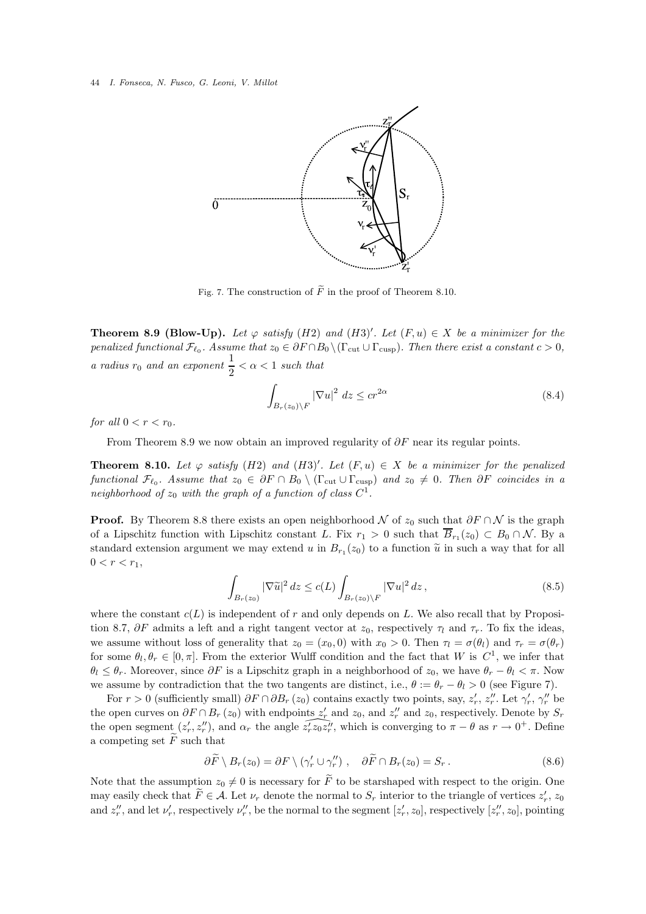

Fig. 7. The construction of  $\widetilde{F}$  in the proof of Theorem 8.10.

**Theorem 8.9 (Blow-Up).** Let  $\varphi$  satisfy (H2) and (H3)'. Let  $(F, u) \in X$  be a minimizer for the *penalized functional*  $\mathcal{F}_{\ell_0}$ . Assume that  $z_0 \in \partial F \cap B_0 \setminus (\Gamma_{\text{cut}} \cup \Gamma_{\text{cusp}})$ . Then there exist a constant  $c > 0$ , *a radius*  $r_0$  *and an exponent*  $\frac{1}{2} < \alpha < 1$  *such that* 

$$
\int_{B_r(z_0)\backslash F} |\nabla u|^2 dz \leq c r^{2\alpha} \tag{8.4}
$$

*for all*  $0 < r < r_0$ *.* 

From Theorem 8.9 we now obtain an improved regularity of  $\partial F$  near its regular points.

**Theorem 8.10.** Let  $\varphi$  satisfy  $(H2)$  and  $(H3)'$ . Let  $(F, u) \in X$  be a minimizer for the penalized *functional*  $\mathcal{F}_{\ell_0}$ . Assume that  $z_0 \in \partial F \cap B_0 \setminus (\Gamma_{\text{cut}} \cup \Gamma_{\text{cusp}})$  and  $z_0 \neq 0$ . Then  $\partial F$  *coincides in a* neighborhood of  $z_0$  with the graph of a function of class  $C^1$ .

**Proof.** By Theorem 8.8 there exists an open neighborhood N of  $z_0$  such that  $\partial F \cap N$  is the graph of a Lipschitz function with Lipschitz constant L. Fix  $r_1 > 0$  such that  $B_{r_1}(z_0) \subset B_0 \cap N$ . By a standard extension argument we may extend u in  $B_{r_1}(z_0)$  to a function  $\tilde{u}$  in such a way that for all  $0 < r < r_1$ ,

$$
\int_{B_r(z_0)} |\nabla \widetilde{u}|^2 dz \le c(L) \int_{B_r(z_0)\backslash F} |\nabla u|^2 dz,
$$
\n(8.5)

where the constant  $c(L)$  is independent of r and only depends on L. We also recall that by Proposition 8.7,  $\partial F$  admits a left and a right tangent vector at  $z_0$ , respectively  $\tau_l$  and  $\tau_r$ . To fix the ideas, we assume without loss of generality that  $z_0 = (x_0, 0)$  with  $x_0 > 0$ . Then  $\tau_l = \sigma(\theta_l)$  and  $\tau_r = \sigma(\theta_r)$ for some  $\theta_l, \theta_r \in [0, \pi]$ . From the exterior Wulff condition and the fact that W is  $C^1$ , we infer that  $\theta_l \leq \theta_r$ . Moreover, since  $\partial F$  is a Lipschitz graph in a neighborhood of  $z_0$ , we have  $\theta_r - \theta_l < \pi$ . Now we assume by contradiction that the two tangents are distinct, i.e.,  $\theta := \theta_r - \theta_l > 0$  (see Figure 7).

For  $r > 0$  (sufficiently small)  $\partial F \cap \partial B_r(z_0)$  contains exactly two points, say,  $z'_r$ ,  $z''_r$ . Let  $\gamma'_r$ ,  $\gamma''_r$  be the open curves on  $\partial F \cap B_r(z_0)$  with endpoints  $z'_r$  and  $z_0$ , and  $z''_r$  and  $z_0$ , respectively. Denote by  $S_r$ the open segment  $(z'_r, z''_r)$ , and  $\alpha_r$  the angle  $\widehat{z'_r z_0 z''_r}$ , which is converging to  $\pi - \theta$  as  $r \to 0^+$ . Define a competing set  $\overline{F}$  such that

$$
\partial \widetilde{F} \setminus B_r(z_0) = \partial F \setminus (\gamma'_r \cup \gamma''_r) , \quad \partial \widetilde{F} \cap B_r(z_0) = S_r . \tag{8.6}
$$

Note that the assumption  $z_0 \neq 0$  is necessary for  $\tilde{F}$  to be starshaped with respect to the origin. One may easily check that  $\tilde{F} \in \mathcal{A}$ . Let  $\nu_r$  denote the normal to  $S_r$  interior to the triangle of vertices  $z'_r$ ,  $z_0$ and  $z''_r$ , and let  $\nu'_r$ , respectively  $\nu''_r$ , be the normal to the segment  $[z'_r, z_0]$ , respectively  $[z''_r, z_0]$ , pointing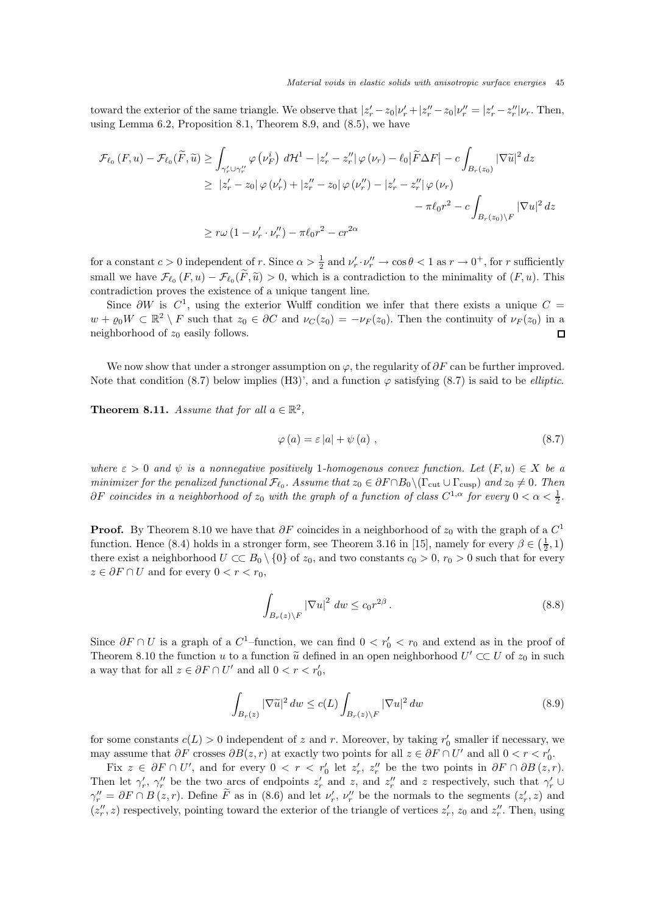toward the exterior of the same triangle. We observe that  $|z'_r - z_0| \nu'_r + |z''_r - z_0| \nu''_r = |z'_r - z''_r| \nu_r$ . Then, using Lemma 6.2, Proposition 8.1, Theorem 8.9, and (8.5), we have

$$
\mathcal{F}_{\ell_0}(F, u) - \mathcal{F}_{\ell_0}(\widetilde{F}, \widetilde{u}) \ge \int_{\gamma'_r \cup \gamma''_r} \varphi(\nu'_F) d\mathcal{H}^1 - |z'_r - z''_r| \varphi(\nu_r) - \ell_0 |\widetilde{F}\Delta F| - c \int_{B_r(z_0)} |\nabla \widetilde{u}|^2 dz
$$
  
\n
$$
\ge |z'_r - z_0| \varphi(\nu'_r) + |z''_r - z_0| \varphi(\nu''_r) - |z'_r - z''_r| \varphi(\nu_r)
$$
  
\n
$$
- \pi \ell_0 r^2 - c \int_{B_r(z_0) \backslash F} |\nabla u|^2 dz
$$
  
\n
$$
\ge r\omega (1 - \nu'_r \cdot \nu''_r) - \pi \ell_0 r^2 - cr^{2\alpha}
$$

for a constant  $c > 0$  independent of r. Since  $\alpha > \frac{1}{2}$  and  $\nu'_r \cdot \nu''_r \to \cos \theta < 1$  as  $r \to 0^+$ , for r sufficiently small we have  $\mathcal{F}_{\ell_0}(F, u) - \mathcal{F}_{\ell_0}(F, \tilde{u}) > 0$ , which is a contradiction to the minimality of  $(F, u)$ . This contradiction proves the existence of a unique tangent line.

Since  $\partial W$  is  $C^1$ , using the exterior Wulff condition we infer that there exists a unique  $C =$  $w + \varrho_0 W \subset \mathbb{R}^2 \setminus F$  such that  $z_0 \in \partial C$  and  $\nu_C(z_0) = -\nu_F(z_0)$ . Then the continuity of  $\nu_F(z_0)$  in a neighborhood of  $z_0$  easily follows.  $\Box$ 

We now show that under a stronger assumption on  $\varphi$ , the regularity of  $\partial F$  can be further improved. Note that condition (8.7) below implies (H3)', and a function  $\varphi$  satisfying (8.7) is said to be *elliptic*.

**Theorem 8.11.** *Assume that for all*  $a \in \mathbb{R}^2$ ,

$$
\varphi(a) = \varepsilon |a| + \psi(a) , \qquad (8.7)
$$

*where*  $\varepsilon > 0$  *and*  $\psi$  *is a nonnegative positively* 1*-homogenous convex function. Let*  $(F, u) \in X$  *be a minimizer for the penalized functional*  $\mathcal{F}_{\ell_0}$ . Assume that  $z_0 \in \partial F \cap B_0 \setminus (\Gamma_{\text{cut}} \cup \Gamma_{\text{cusp}})$  and  $z_0 \neq 0$ . Then  $\partial F$  *coincides in a neighborhood of*  $z_0$  *with the graph of a function of class*  $C^{1,\alpha}$  *for every*  $0 < \alpha < \frac{1}{2}$ *.* 

**Proof.** By Theorem 8.10 we have that  $\partial F$  coincides in a neighborhood of  $z_0$  with the graph of a  $C^1$ function. Hence (8.4) holds in a stronger form, see Theorem 3.16 in [15], namely for every  $\beta \in (\frac{1}{2}, 1)$ there exist a neighborhood  $U \subset B_0 \setminus \{0\}$  of  $z_0$ , and two constants  $c_0 > 0$ ,  $r_0 > 0$  such that for every  $z \in \partial F \cap U$  and for every  $0 < r < r_0$ ,

$$
\int_{B_r(z)\setminus F} |\nabla u|^2 \, dw \le c_0 r^{2\beta} \,. \tag{8.8}
$$

Since  $\partial F \cap U$  is a graph of a  $C^1$ -function, we can find  $0 < r'_0 < r_0$  and extend as in the proof of Theorem 8.10 the function u to a function  $\tilde{u}$  defined in an open neighborhood  $U' \subset\subset U$  of  $z_0$  in such a way that for all  $z \in \partial F \cap U'$  and all  $0 < r < r'_0$ ,

$$
\int_{B_r(z)} |\nabla \widetilde{u}|^2 \, dw \le c(L) \int_{B_r(z)\backslash F} |\nabla u|^2 \, dw \tag{8.9}
$$

for some constants  $c(L) > 0$  independent of z and r. Moreover, by taking  $r'_0$  smaller if necessary, we may assume that  $\partial F$  crosses  $\partial B(z, r)$  at exactly two points for all  $z \in \partial F \cap U'$  and all  $0 < r < r'_0$ .

Fix  $z \in \partial F \cap U'$ , and for every  $0 < r < r'_0$  let  $z'_r$ ,  $z''_r$  be the two points in  $\partial F \cap \partial B(z,r)$ . Then let  $\gamma'_r$ ,  $\gamma''_r$  be the two arcs of endpoints  $z'_r$  and z, and  $z''_r$  and z respectively, such that  $\gamma'_r \cup$  $\gamma''_r = \partial F \cap B(z,r)$ . Define  $\tilde{F}$  as in (8.6) and let  $\nu'_r$ ,  $\nu''_r$  be the normals to the segments  $(z'_r, z)$  and  $(z''_r, z)$  respectively, pointing toward the exterior of the triangle of vertices  $z'_r$ ,  $z_0$  and  $z''_r$ . Then, using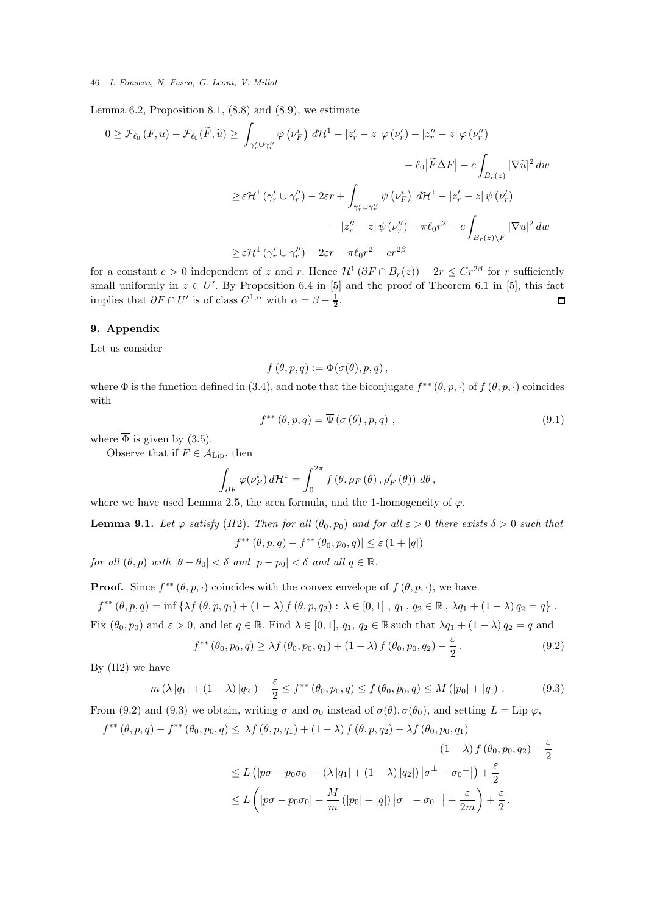Lemma 6.2, Proposition 8.1,  $(8.8)$  and  $(8.9)$ , we estimate

$$
0 \geq \mathcal{F}_{\ell_0}(F, u) - \mathcal{F}_{\ell_0}(\widetilde{F}, \widetilde{u}) \geq \int_{\gamma'_r \cup \gamma''_r} \varphi(\nu'_F) d\mathcal{H}^1 - |z'_r - z| \varphi(\nu'_r) - |z''_r - z| \varphi(\nu''_r)
$$
  

$$
- \ell_0 |\widetilde{F}\Delta F| - c \int_{B_r(z)} |\nabla \widetilde{u}|^2 dw
$$
  

$$
\geq \varepsilon \mathcal{H}^1(\gamma'_r \cup \gamma''_r) - 2\varepsilon r + \int_{\gamma'_r \cup \gamma''_r} \psi(\nu'_F) d\mathcal{H}^1 - |z'_r - z| \psi(\nu'_r)
$$
  

$$
- |z''_r - z| \psi(\nu''_r) - \pi \ell_0 r^2 - c \int_{B_r(z)\backslash F} |\nabla u|^2 dw
$$
  

$$
\geq \varepsilon \mathcal{H}^1(\gamma'_r \cup \gamma''_r) - 2\varepsilon r - \pi \ell_0 r^2 - c r^{2\beta}
$$

for a constant  $c > 0$  independent of z and r. Hence  $\mathcal{H}^1(\partial F \cap B_r(z)) - 2r \leq Cr^{2\beta}$  for r sufficiently small uniformly in  $z \in U'$ . By Proposition 6.4 in [5] and the proof of Theorem 6.1 in [5], this fact implies that  $\partial F \cap U'$  is of class  $C^{1,\alpha}$  with  $\alpha = \beta - \frac{1}{2}$ .  $\Box$ 

### 9. Appendix

Let us consider

$$
f(\theta, p, q) := \Phi(\sigma(\theta), p, q),
$$

where  $\Phi$  is the function defined in (3.4), and note that the biconjugate  $f^{**}(\theta, p, \cdot)$  of  $f(\theta, p, \cdot)$  coincides with

$$
f^{**}(\theta, p, q) = \overline{\Phi}(\sigma(\theta), p, q) , \qquad (9.1)
$$

where  $\overline{\Phi}$  is given by (3.5).

Observe that if  $F \in \mathcal{A}_{\text{Lip}}$ , then

$$
\int_{\partial F} \varphi(\nu_F^i) d\mathcal{H}^1 = \int_0^{2\pi} f(\theta, \rho_F(\theta), \rho'_F(\theta)) d\theta,
$$

where we have used Lemma 2.5, the area formula, and the 1-homogeneity of  $\varphi$ .

**Lemma 9.1.** *Let*  $\varphi$  *satisfy* (*H2*)*. Then for all* ( $\theta_0$ ,  $p_0$ ) *and for all*  $\varepsilon > 0$  *there exists*  $\delta > 0$  *such that* 

 $|f^{**}(\theta, p, q) - f^{**}(\theta_0, p_0, q)| \leq \varepsilon (1 + |q|)$ 

*for all*  $(\theta, p)$  *with*  $|\theta - \theta_0| < \delta$  *and*  $|p - p_0| < \delta$  *and all*  $q \in \mathbb{R}$ *.* 

f

**Proof.** Since  $f^{**}(\theta, p, \cdot)$  coincides with the convex envelope of  $f(\theta, p, \cdot)$ , we have

 $f^{**}(\theta, p, q) = \inf \{ \lambda f(\theta, p, q_1) + (1 - \lambda) f(\theta, p, q_2) : \lambda \in [0, 1], q_1, q_2 \in \mathbb{R}, \lambda q_1 + (1 - \lambda) q_2 = q \}$ . Fix  $(\theta_0, p_0)$  and  $\varepsilon > 0$ , and let  $q \in \mathbb{R}$ . Find  $\lambda \in [0, 1]$ ,  $q_1, q_2 \in \mathbb{R}$  such that  $\lambda q_1 + (1 - \lambda) q_2 = q$  and

$$
f^{**}(\theta_0, p_0, q) \ge \lambda f(\theta_0, p_0, q_1) + (1 - \lambda) f(\theta_0, p_0, q_2) - \frac{\varepsilon}{2}.
$$
\n(9.2)

By (H2) we have

$$
m(\lambda |q_1| + (1 - \lambda) |q_2|) - \frac{\varepsilon}{2} \le f^{**}(\theta_0, p_0, q) \le f(\theta_0, p_0, q) \le M(|p_0| + |q|).
$$
 (9.3)

From (9.2) and (9.3) we obtain, writing  $\sigma$  and  $\sigma_0$  instead of  $\sigma(\theta)$ ,  $\sigma(\theta_0)$ , and setting  $L = \text{Lip }\varphi$ ,

$$
f^{**}(\theta, p, q) - f^{**}(\theta_0, p_0, q) \leq \lambda f(\theta, p, q_1) + (1 - \lambda) f(\theta, p, q_2) - \lambda f(\theta_0, p_0, q_1)
$$
  

$$
- (1 - \lambda) f(\theta_0, p_0, q_2) + \frac{\varepsilon}{2}
$$
  

$$
\leq L (|p\sigma - p_0\sigma_0| + (\lambda |q_1| + (1 - \lambda) |q_2|) |\sigma^{\perp} - \sigma_0^{\perp}|) + \frac{\varepsilon}{2}
$$
  

$$
\leq L (|p\sigma - p_0\sigma_0| + \frac{M}{m} (|p_0| + |q|) |\sigma^{\perp} - \sigma_0^{\perp}| + \frac{\varepsilon}{2m}) + \frac{\varepsilon}{2}.
$$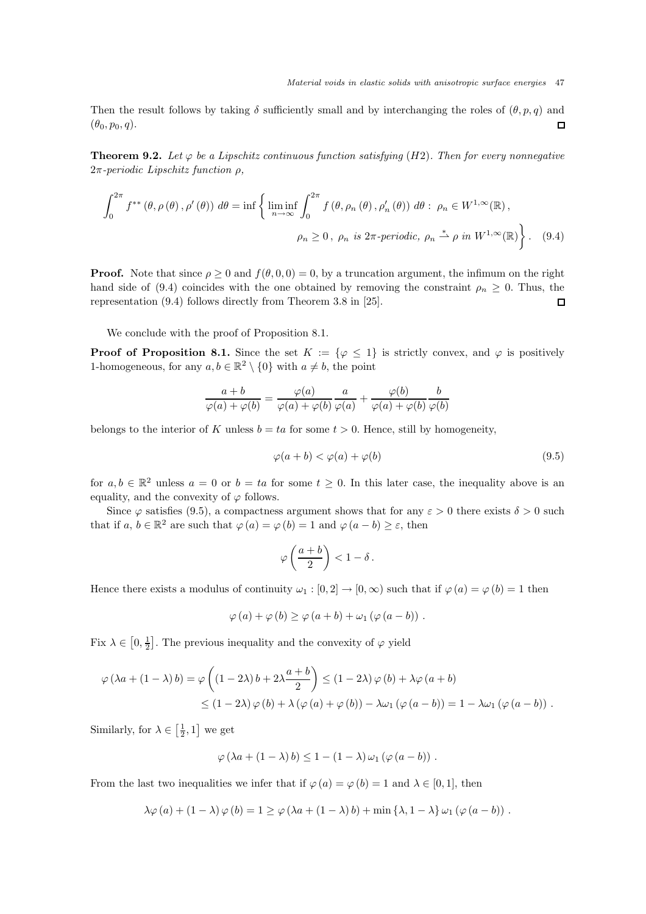Then the result follows by taking  $\delta$  sufficiently small and by interchanging the roles of  $(\theta, p, q)$  and  $(\theta_0, p_0, q).$  $\Box$ 

**Theorem 9.2.** Let  $\varphi$  be a Lipschitz continuous function satisfying (H2). Then for every nonnegative 2π*-periodic Lipschitz function* ρ*,*

$$
\int_0^{2\pi} f^{**}(\theta, \rho(\theta), \rho'(\theta)) d\theta = \inf \left\{ \liminf_{n \to \infty} \int_0^{2\pi} f(\theta, \rho_n(\theta), \rho'_n(\theta)) d\theta : \rho_n \in W^{1, \infty}(\mathbb{R}),
$$
  

$$
\rho_n \ge 0, \rho_n \text{ is } 2\pi\text{-periodic, } \rho_n \stackrel{*}{\to} \rho \text{ in } W^{1, \infty}(\mathbb{R}) \right\}. \tag{9.4}
$$

**Proof.** Note that since  $\rho \ge 0$  and  $f(\theta, 0, 0) = 0$ , by a truncation argument, the infimum on the right hand side of (9.4) coincides with the one obtained by removing the constraint  $\rho_n \geq 0$ . Thus, the representation (9.4) follows directly from Theorem 3.8 in [25].  $\Box$ 

We conclude with the proof of Proposition 8.1.

**Proof of Proposition 8.1.** Since the set  $K := \{ \varphi \leq 1 \}$  is strictly convex, and  $\varphi$  is positively 1-homogeneous, for any  $a, b \in \mathbb{R}^2 \setminus \{0\}$  with  $a \neq b$ , the point

$$
\frac{a+b}{\varphi(a)+\varphi(b)}=\frac{\varphi(a)}{\varphi(a)+\varphi(b)}\frac{a}{\varphi(a)}+\frac{\varphi(b)}{\varphi(a)+\varphi(b)}\frac{b}{\varphi(b)}
$$

belongs to the interior of K unless  $b = ta$  for some  $t > 0$ . Hence, still by homogeneity,

$$
\varphi(a+b) < \varphi(a) + \varphi(b) \tag{9.5}
$$

for  $a, b \in \mathbb{R}^2$  unless  $a = 0$  or  $b = ta$  for some  $t \geq 0$ . In this later case, the inequality above is an equality, and the convexity of  $\varphi$  follows.

Since  $\varphi$  satisfies (9.5), a compactness argument shows that for any  $\varepsilon > 0$  there exists  $\delta > 0$  such that if  $a, b \in \mathbb{R}^2$  are such that  $\varphi(a) = \varphi(b) = 1$  and  $\varphi(a - b) \ge \varepsilon$ , then

$$
\varphi\left(\frac{a+b}{2}\right) < 1 - \delta \, .
$$

Hence there exists a modulus of continuity  $\omega_1 : [0, 2] \to [0, \infty)$  such that if  $\varphi(a) = \varphi(b) = 1$  then

$$
\varphi(a) + \varphi(b) \ge \varphi(a+b) + \omega_1(\varphi(a-b)).
$$

Fix  $\lambda \in [0, \frac{1}{2}]$ . The previous inequality and the convexity of  $\varphi$  yield

$$
\varphi(\lambda a + (1 - \lambda) b) = \varphi\left((1 - 2\lambda) b + 2\lambda \frac{a + b}{2}\right) \le (1 - 2\lambda) \varphi(b) + \lambda \varphi(a + b)
$$
  
 
$$
\le (1 - 2\lambda) \varphi(b) + \lambda (\varphi(a) + \varphi(b)) - \lambda \omega_1 (\varphi(a - b)) = 1 - \lambda \omega_1 (\varphi(a - b)).
$$

Similarly, for  $\lambda \in \left[\frac{1}{2}, 1\right]$  we get

$$
\varphi(\lambda a + (1 - \lambda) b) \leq 1 - (1 - \lambda) \omega_1 (\varphi(a - b)) .
$$

From the last two inequalities we infer that if  $\varphi(a) = \varphi(b) = 1$  and  $\lambda \in [0, 1]$ , then

$$
\lambda \varphi(a) + (1 - \lambda) \varphi(b) = 1 \ge \varphi(\lambda a + (1 - \lambda) b) + \min \{\lambda, 1 - \lambda\} \omega_1 (\varphi(a - b)).
$$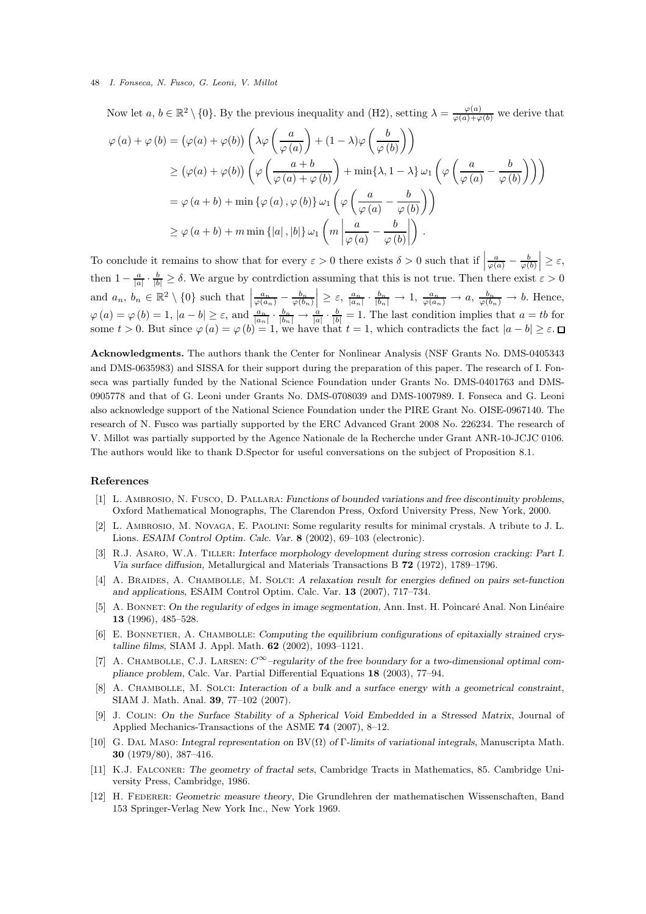Now let  $a, b \in \mathbb{R}^2 \setminus \{0\}$ . By the previous inequality and (H2), setting  $\lambda = \frac{\varphi(a)}{\varphi(a) + \varphi(b)}$  we derive that

$$
\varphi(a) + \varphi(b) = (\varphi(a) + \varphi(b)) \left( \lambda \varphi \left( \frac{a}{\varphi(a)} \right) + (1 - \lambda) \varphi \left( \frac{b}{\varphi(b)} \right) \right)
$$
  
\n
$$
\geq (\varphi(a) + \varphi(b)) \left( \varphi \left( \frac{a+b}{\varphi(a) + \varphi(b)} \right) + \min \{ \lambda, 1 - \lambda \} \omega_1 \left( \varphi \left( \frac{a}{\varphi(a)} - \frac{b}{\varphi(b)} \right) \right) \right)
$$
  
\n
$$
= \varphi(a+b) + \min \{ \varphi(a), \varphi(b) \} \omega_1 \left( \varphi \left( \frac{a}{\varphi(a)} - \frac{b}{\varphi(b)} \right) \right)
$$
  
\n
$$
\geq \varphi(a+b) + m \min \{ |a|, |b| \} \omega_1 \left( m \left| \frac{a}{\varphi(a)} - \frac{b}{\varphi(b)} \right| \right) .
$$

To conclude it remains to show that for every  $\varepsilon > 0$  there exists  $\delta > 0$  such that if  $\left| \frac{a}{\varphi(a)} - \frac{b}{\varphi(b)} \right|$  $\Big| \geq \varepsilon$ , then  $1 - \frac{a}{|a|} \cdot \frac{b}{|b|} \ge \delta$ . We argue by contrdiction assuming that this is not true. Then there exist  $\varepsilon > 0$ and  $a_n, b_n \in \mathbb{R}^2 \setminus \{0\}$  such that  $\left| \frac{a_n}{\varphi(a_n)} - \frac{b_n}{\varphi(b_n)} \right|$  $\Big| \geq \varepsilon, \frac{a_n}{|a_n|} \cdot \frac{b_n}{|b_n|} \to 1, \frac{a_n}{\varphi(a_n)} \to a, \frac{b_n}{\varphi(b_n)} \to b.$  Hence,  $\varphi(a) = \varphi(b) = 1, |a - b| \ge \varepsilon$ , and  $\frac{a_n}{|a_n|} \cdot \frac{b_n}{|b_n|} \to \frac{a}{|a|} \cdot \frac{b}{|b|} = 1$ . The last condition implies that  $a = tb$  for some  $t > 0$ . But since  $\varphi(a) = \varphi(b) = 1$ , we have that  $t = 1$ , which contradicts the fact  $|a - b| \ge \varepsilon$ .

Acknowledgments. The authors thank the Center for Nonlinear Analysis (NSF Grants No. DMS-0405343 and DMS-0635983) and SISSA for their support during the preparation of this paper. The research of I. Fonseca was partially funded by the National Science Foundation under Grants No. DMS-0401763 and DMS-0905778 and that of G. Leoni under Grants No. DMS-0708039 and DMS-1007989. I. Fonseca and G. Leoni also acknowledge support of the National Science Foundation under the PIRE Grant No. OISE-0967140. The research of N. Fusco was partially supported by the ERC Advanced Grant 2008 No. 226234. The research of V. Millot was partially supported by the Agence Nationale de la Recherche under Grant ANR-10-JCJC 0106. The authors would like to thank D.Spector for useful conversations on the subject of Proposition 8.1.

### References

- [1] L. Ambrosio, N. Fusco, D. Pallara: *Functions of bounded variations and free discontinuity problems*, Oxford Mathematical Monographs, The Clarendon Press, Oxford University Press, New York, 2000.
- [2] L. Ambrosio, M. Novaga, E. Paolini: Some regularity results for minimal crystals. A tribute to J. L. Lions. *ESAIM Control Optim. Calc. Var.* 8 (2002), 69–103 (electronic).
- [3] R.J. Asaro, W.A. Tiller: *Interface morphology development during stress corrosion cracking: Part I. Via surface diffusion,* Metallurgical and Materials Transactions B 72 (1972), 1789–1796.
- [4] A. Braides, A. Chambolle, M. Solci: *A relaxation result for energies defined on pairs set-function and applications*, ESAIM Control Optim. Calc. Var. 13 (2007), 717–734.
- [5] A. BONNET: On the regularity of edges in image segmentation, Ann. Inst. H. Poincaré Anal. Non Linéaire 13 (1996), 485–528.
- [6] E. BONNETIER, A. CHAMBOLLE: *Computing the equilibrium configurations of epitaxially strained crystalline films,* SIAM J. Appl. Math. 62 (2002), 1093–1121.
- [7] A. Chambolle, C.J. Larsen: C∞*–regularity of the free boundary for a two-dimensional optimal compliance problem*, Calc. Var. Partial Differential Equations 18 (2003), 77–94.
- [8] A. Chambolle, M. Solci: *Interaction of a bulk and a surface energy with a geometrical constraint*, SIAM J. Math. Anal. 39, 77–102 (2007).
- [9] J. Colin: *On the Surface Stability of a Spherical Void Embedded in a Stressed Matrix*, Journal of Applied Mechanics-Transactions of the ASME 74 (2007), 8–12.
- [10] G. Dal Maso: *Integral representation on* BV(Ω) *of* Γ*-limits of variational integrals*, Manuscripta Math. 30 (1979/80), 387–416.
- [11] K.J. Falconer: *The geometry of fractal sets*, Cambridge Tracts in Mathematics, 85. Cambridge University Press, Cambridge, 1986.
- [12] H. Federer: *Geometric measure theory*, Die Grundlehren der mathematischen Wissenschaften, Band 153 Springer-Verlag New York Inc., New York 1969.